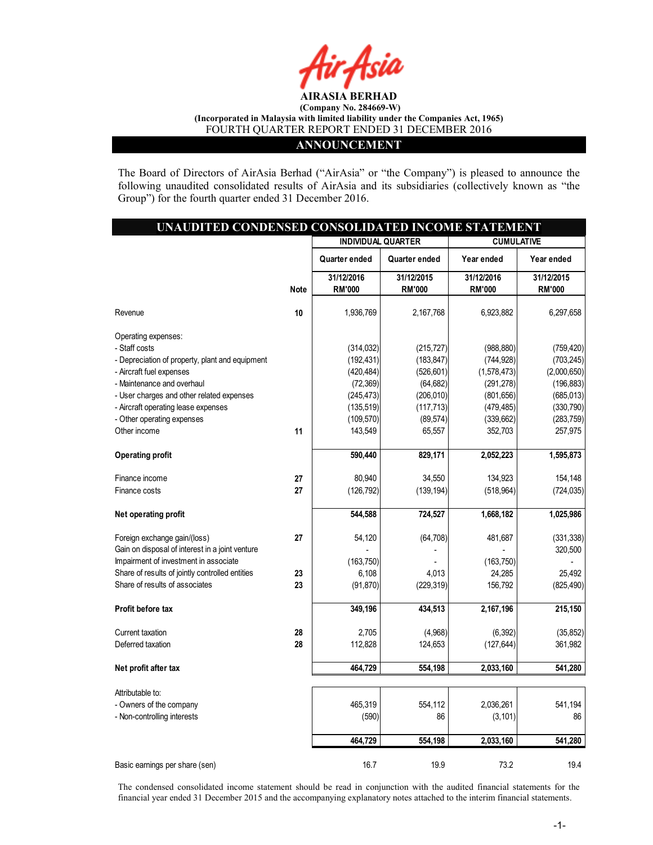

### ANNOUNCEMENT

The Board of Directors of AirAsia Berhad ("AirAsia" or "the Company") is pleased to announce the following unaudited consolidated results of AirAsia and its subsidiaries (collectively known as "the Group") for the fourth quarter ended 31 December 2016.

| UNAUDITED CONDENSED CONSOLIDATED INCOME STATEMENT |             |                           |               |                       |               |
|---------------------------------------------------|-------------|---------------------------|---------------|-----------------------|---------------|
|                                                   |             | <b>INDIVIDUAL QUARTER</b> |               | <b>CUMULATIVE</b>     |               |
|                                                   |             | Quarter ended             | Quarter ended | Year ended            | Year ended    |
|                                                   |             | 31/12/2016                | 31/12/2015    | 31/12/2016            | 31/12/2015    |
|                                                   | <b>Note</b> | <b>RM'000</b>             | <b>RM'000</b> | <b>RM'000</b>         | <b>RM'000</b> |
|                                                   |             |                           |               |                       |               |
| Revenue                                           | 10          | 1,936,769                 | 2,167,768     | 6,923,882             | 6,297,658     |
| Operating expenses:                               |             |                           |               |                       |               |
| - Staff costs                                     |             | (314, 032)                | (215, 727)    | (988, 880)            | (759, 420)    |
| - Depreciation of property, plant and equipment   |             | (192, 431)                | (183, 847)    | (744, 928)            | (703, 245)    |
| - Aircraft fuel expenses                          |             | (420, 484)                | (526, 601)    | (1,578,473)           | (2,000,650)   |
| - Maintenance and overhaul                        |             | (72, 369)                 | (64, 682)     | (291, 278)            | (196, 883)    |
| - User charges and other related expenses         |             | (245, 473)                | (206, 010)    | (801, 656)            | (685, 013)    |
| - Aircraft operating lease expenses               |             | (135, 519)                | (117, 713)    | (479, 485)            | (330, 790)    |
| - Other operating expenses                        |             |                           | (89, 574)     |                       | (283, 759)    |
| Other income                                      | 11          | (109, 570)                | 65,557        | (339, 662)<br>352,703 |               |
|                                                   |             | 143,549                   |               |                       | 257,975       |
| <b>Operating profit</b>                           |             | 590,440                   | 829,171       | 2,052,223             | 1,595,873     |
| Finance income                                    | 27          | 80,940                    | 34,550        | 134,923               | 154,148       |
|                                                   | 27          |                           |               |                       |               |
| Finance costs                                     |             | (126, 792)                | (139, 194)    | (518, 964)            | (724, 035)    |
| Net operating profit                              |             | 544,588                   | 724,527       | 1,668,182             | 1,025,986     |
| Foreign exchange gain/(loss)                      | 27          | 54,120                    | (64, 708)     | 481,687               | (331, 338)    |
| Gain on disposal of interest in a joint venture   |             |                           |               |                       | 320,500       |
| Impairment of investment in associate             |             | (163, 750)                |               | (163, 750)            |               |
| Share of results of jointly controlled entities   | 23          | 6,108                     | 4,013         | 24,285                | 25,492        |
| Share of results of associates                    | 23          | (91, 870)                 | (229, 319)    | 156,792               | (825, 490)    |
|                                                   |             |                           |               |                       |               |
| Profit before tax                                 |             | 349,196                   | 434,513       | 2,167,196             | 215,150       |
| Current taxation                                  | 28          | 2,705                     | (4,968)       | (6, 392)              | (35, 852)     |
| Deferred taxation                                 | 28          | 112,828                   | 124,653       | (127, 644)            | 361,982       |
|                                                   |             | 464,729                   | 554,198       |                       | 541,280       |
| Net profit after tax                              |             |                           |               | 2,033,160             |               |
| Attributable to:                                  |             |                           |               |                       |               |
| - Owners of the company                           |             | 465,319                   | 554,112       | 2,036,261             | 541,194       |
| - Non-controlling interests                       |             | (590)                     | 86            | (3, 101)              | 86            |
|                                                   |             |                           |               |                       |               |
|                                                   |             | 464,729                   | 554,198       | 2,033,160             | 541,280       |
| Basic earnings per share (sen)                    |             | 16.7                      | 19.9          | 73.2                  | 19.4          |

The condensed consolidated income statement should be read in conjunction with the audited financial statements for the financial year ended 31 December 2015 and the accompanying explanatory notes attached to the interim financial statements.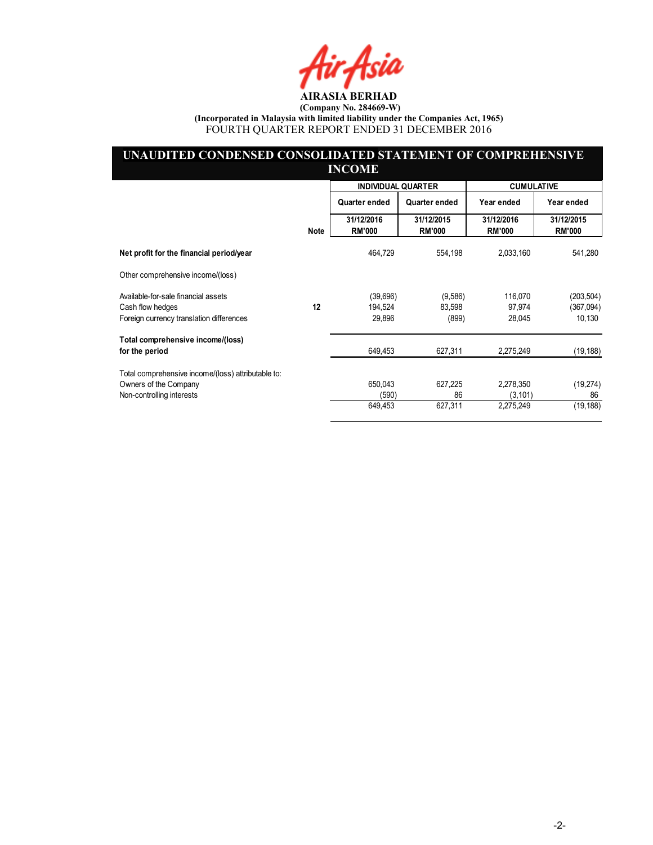Hir Asia

### UNAUDITED CONDENSED CONSOLIDATED STATEMENT OF COMPREHENSIVE INCOME

|                                                              |             | <b>INDIVIDUAL QUARTER</b>   |                             | <b>CUMULATIVE</b>           |                             |
|--------------------------------------------------------------|-------------|-----------------------------|-----------------------------|-----------------------------|-----------------------------|
|                                                              |             | Quarter ended               | Quarter ended               | Year ended                  | Year ended                  |
|                                                              | <b>Note</b> | 31/12/2016<br><b>RM'000</b> | 31/12/2015<br><b>RM'000</b> | 31/12/2016<br><b>RM'000</b> | 31/12/2015<br><b>RM'000</b> |
| Net profit for the financial period/year                     |             | 464,729                     | 554,198                     | 2,033,160                   | 541,280                     |
| Other comprehensive income/(loss)                            |             |                             |                             |                             |                             |
| Available-for-sale financial assets                          |             | (39,696)                    | (9,586)                     | 116,070                     | (203, 504)                  |
| Cash flow hedges<br>Foreign currency translation differences | 12          | 194,524<br>29,896           | 83,598<br>(899)             | 97,974<br>28,045            | (367,094)<br>10,130         |
| Total comprehensive income/(loss)<br>for the period          |             | 649,453                     | 627,311                     | 2,275,249                   | (19, 188)                   |
| Total comprehensive income/(loss) attributable to:           |             |                             |                             |                             |                             |
| Owners of the Company                                        |             | 650,043                     | 627,225                     | 2,278,350                   | (19, 274)                   |
| Non-controlling interests                                    |             | (590)                       | 86                          | (3, 101)                    | 86                          |
|                                                              |             | 649,453                     | 627,311                     | 2,275,249                   | (19, 188)                   |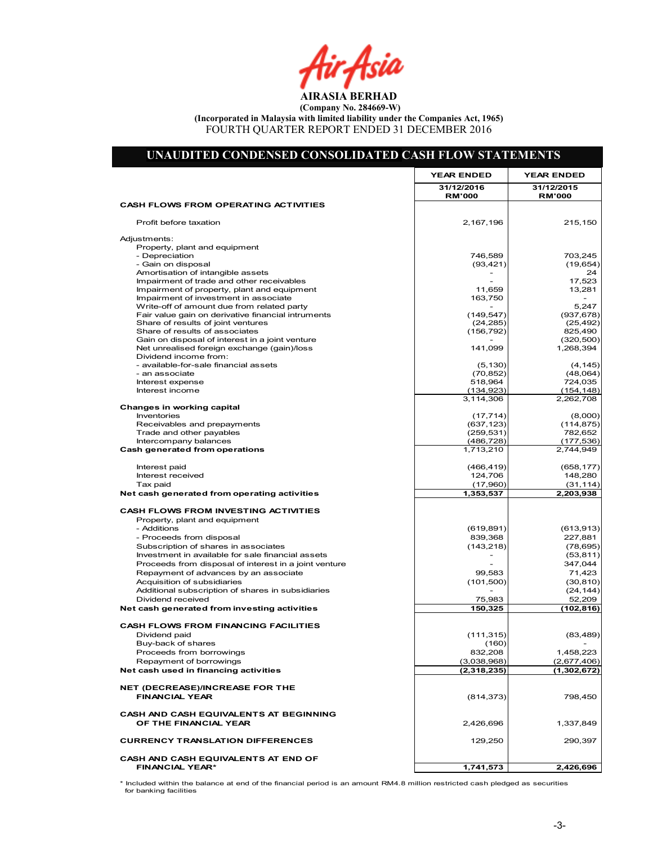Air Asia

### UNAUDITED CONDENSED CONSOLIDATED CASH FLOW STATEMENTS

|                                                                                   | <b>YEAR ENDED</b>           | <b>YEAR ENDED</b>           |
|-----------------------------------------------------------------------------------|-----------------------------|-----------------------------|
|                                                                                   | 31/12/2016<br><b>RM'000</b> | 31/12/2015<br><b>RM'000</b> |
| <b>CASH FLOWS FROM OPERATING ACTIVITIES</b>                                       |                             |                             |
| Profit before taxation                                                            | 2,167,196                   | 215,150                     |
| Adjustments:                                                                      |                             |                             |
| Property, plant and equipment                                                     |                             |                             |
| - Depreciation                                                                    | 746,589                     | 703,245                     |
| - Gain on disposal                                                                | (93, 421)                   | (19, 654)                   |
| Amortisation of intangible assets<br>Impairment of trade and other receivables    |                             | 24<br>17,523                |
| Impairment of property, plant and equipment                                       | 11,659                      | 13,281                      |
| Impairment of investment in associate                                             | 163,750                     |                             |
| Write-off of amount due from related party                                        |                             | 5,247                       |
| Fair value gain on derivative financial intruments                                | (149, 547)                  | (937, 678)                  |
| Share of results of joint ventures                                                | (24, 285)                   | (25, 492)                   |
| Share of results of associates<br>Gain on disposal of interest in a joint venture | (156, 792)                  | 825,490<br>(320, 500)       |
| Net unrealised foreign exchange (gain)/loss                                       | 141,099                     | 1,268,394                   |
| Dividend income from:                                                             |                             |                             |
| - available-for-sale financial assets                                             | (5, 130)                    | (4, 145)                    |
| - an associate                                                                    | (70, 852)                   | (48,064)                    |
| Interest expense                                                                  | 518,964                     | 724,035                     |
| Interest income                                                                   | (134, 923)                  | (154, 148)                  |
| Changes in working capital                                                        | 3,114,306                   | 2,262,708                   |
| Inventories                                                                       | (17, 714)                   | (8,000)                     |
| Receivables and prepayments                                                       | (637, 123)                  | (114, 875)                  |
| Trade and other payables                                                          | (259, 531)                  | 782,652                     |
| Intercompany balances                                                             | (486, 728)                  | (177, 536)                  |
| Cash generated from operations                                                    | 1,713,210                   | 2,744,949                   |
| Interest paid                                                                     | (466, 419)                  | (658, 177)                  |
| Interest received                                                                 | 124,706                     | 148,280                     |
| Tax paid                                                                          | (17,960)                    | (31, 114)                   |
| Net cash generated from operating activities                                      | 1,353,537                   | 2,203,938                   |
| <b>CASH FLOWS FROM INVESTING ACTIVITIES</b>                                       |                             |                             |
| Property, plant and equipment                                                     |                             |                             |
| - Additions                                                                       | (619, 891)                  | (613, 913)                  |
| - Proceeds from disposal                                                          | 839,368                     | 227,881                     |
| Subscription of shares in associates                                              | (143, 218)                  | (78, 695)                   |
| Investment in available for sale financial assets                                 |                             | (53, 811)                   |
| Proceeds from disposal of interest in a joint venture                             | 99,583                      | 347,044                     |
| Repayment of advances by an associate<br>Acquisition of subsidiaries              | (101, 500)                  | 71,423<br>(30, 810)         |
| Additional subscription of shares in subsidiaries                                 |                             | (24, 144)                   |
| Dividend received                                                                 | 75,983                      | 52,209                      |
| Net cash generated from investing activities                                      | 150,325                     | (102, 816)                  |
| <b>CASH FLOWS FROM FINANCING FACILITIES</b>                                       |                             |                             |
| Dividend paid                                                                     | (111, 315)                  | (83, 489)                   |
| Buy-back of shares                                                                | (160)                       |                             |
| Proceeds from borrowings                                                          | 832,208                     | 1,458,223                   |
| Repayment of borrowings                                                           | (3,038,968)                 | (2,677,406)                 |
| Net cash used in financing activities                                             | (2,318,235)                 | (1,302,672)                 |
| NET (DECREASE)/INCREASE FOR THE                                                   |                             |                             |
| <b>FINANCIAL YEAR</b>                                                             | (814, 373)                  | 798,450                     |
| <b>CASH AND CASH EQUIVALENTS AT BEGINNING</b>                                     |                             |                             |
| OF THE FINANCIAL YEAR                                                             | 2,426,696                   | 1,337,849                   |
| <b>CURRENCY TRANSLATION DIFFERENCES</b>                                           | 129,250                     | 290,397                     |
| CASH AND CASH EQUIVALENTS AT END OF                                               |                             |                             |
| <b>FINANCIAL YEAR*</b>                                                            | 1,741,573                   | 2,426,696                   |

\* Included within the balance at end of the financial period is an amount RM4.8 million restricted cash pledged as securities for banking facilities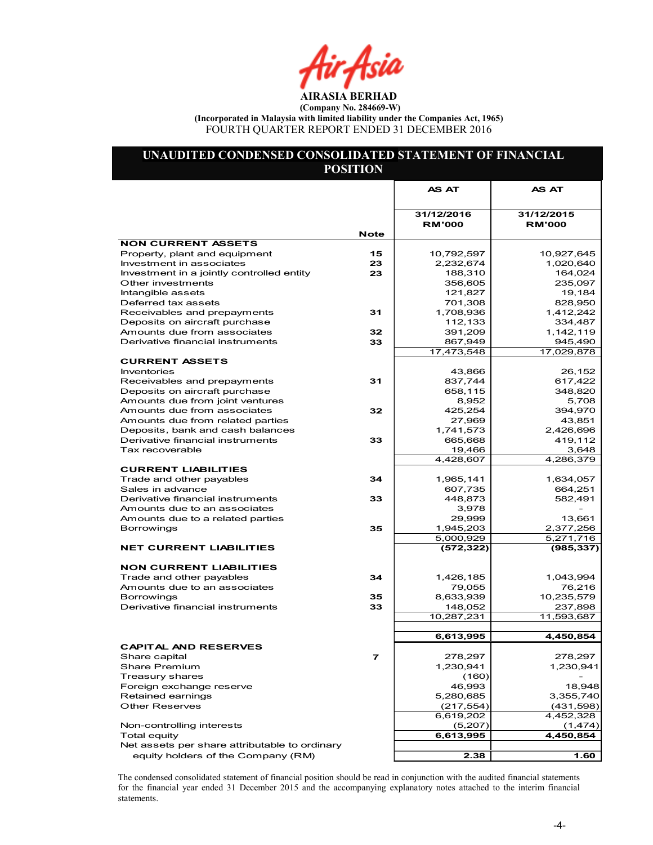Air Asia

### UNAUDITED CONDENSED CONSOLIDATED STATEMENT OF FINANCIAL POSITION

|                                                          |             | AS AT               | AS AT               |
|----------------------------------------------------------|-------------|---------------------|---------------------|
|                                                          |             |                     |                     |
|                                                          |             | 31/12/2016          | 31/12/2015          |
|                                                          | <b>Note</b> | <b>RM'000</b>       | <b>RM'000</b>       |
| <b>NON CURRENT ASSETS</b>                                |             |                     |                     |
| Property, plant and equipment                            | 15          | 10,792,597          | 10,927,645          |
| Investment in associates                                 | 23          | 2,232,674           | 1,020,640           |
| Investment in a jointly controlled entity                | 23          | 188,310             | 164,024             |
| Other investments                                        |             | 356,605             | 235,097             |
| Intangible assets                                        |             | 121,827             | 19,184              |
| Deferred tax assets                                      |             | 701,308             | 828,950             |
| Receivables and prepayments                              | 31          | 1,708,936           | 1,412,242           |
| Deposits on aircraft purchase                            |             | 112,133             | 334,487             |
| Amounts due from associates                              | 32          | 391,209             | 1,142,119           |
| Derivative financial instruments                         | 33          | 867,949             | 945,490             |
|                                                          |             | 17,473,548          | 17,029,878          |
| <b>CURRENT ASSETS</b>                                    |             |                     |                     |
| Inventories                                              |             | 43,866              | 26,152              |
| Receivables and prepayments                              | 31          | 837,744             | 617,422             |
| Deposits on aircraft purchase                            |             | 658,115             | 348,820             |
| Amounts due from joint ventures                          |             | 8,952               | 5,708               |
| Amounts due from associates                              | 32          | 425,254             | 394,970             |
| Amounts due from related parties                         |             | 27,969              | 43,851              |
| Deposits, bank and cash balances                         |             | 1,741,573           | 2,426,696           |
| Derivative financial instruments                         | 33          | 665,668             | 419,112             |
| Tax recoverable                                          |             | 19,466              | 3,648               |
| <b>CURRENT LIABILITIES</b>                               |             | 4,428,607           | 4,286,379           |
| Trade and other payables                                 | 34          | 1,965,141           | 1,634,057           |
| Sales in advance                                         |             | 607,735             | 664,251             |
| Derivative financial instruments                         | 33          | 448,873             | 582,491             |
| Amounts due to an associates                             |             | 3,978               |                     |
| Amounts due to a related parties                         |             | 29,999              | 13,661              |
| <b>Borrowings</b>                                        | 35          | 1,945,203           | 2,377,256           |
|                                                          |             | 5,000,929           | 5,271,716           |
| <b>NET CURRENT LIABILITIES</b>                           |             | (572, 322)          | (985, 337)          |
|                                                          |             |                     |                     |
| <b>NON CURRENT LIABILITIES</b>                           | 34          |                     |                     |
| Trade and other payables<br>Amounts due to an associates |             | 1,426,185<br>79,055 | 1,043,994<br>76,216 |
| <b>Borrowings</b>                                        | 35          | 8,633,939           | 10,235,579          |
| Derivative financial instruments                         | 33          | 148,052             | 237,898             |
|                                                          |             | 10,287,231          | 11,593,687          |
|                                                          |             |                     |                     |
|                                                          |             | 6,613,995           | 4,450,854           |
| <b>CAPITAL AND RESERVES</b>                              |             |                     |                     |
| Share capital                                            | 7           | 278,297             | 278,297             |
| Share Premium                                            |             | 1,230,941           | 1,230,941           |
| Treasury shares                                          |             | (160)               |                     |
| Foreign exchange reserve                                 |             | 46,993              | 18,948              |
| Retained earnings                                        |             | 5,280,685           | 3,355,740           |
| <b>Other Reserves</b>                                    |             | (217, 554)          | (431, 598)          |
|                                                          |             | 6,619,202           | 4,452,328           |
| Non-controlling interests                                |             | (5,207)             | (1, 474)            |
| <b>Total equity</b>                                      |             | 6,613,995           | 4,450,854           |
| Net assets per share attributable to ordinary            |             |                     |                     |
| equity holders of the Company (RM)                       |             | 2.38                | 1.60                |

The condensed consolidated statement of financial position should be read in conjunction with the audited financial statements for the financial year ended 31 December 2015 and the accompanying explanatory notes attached to the interim financial statements.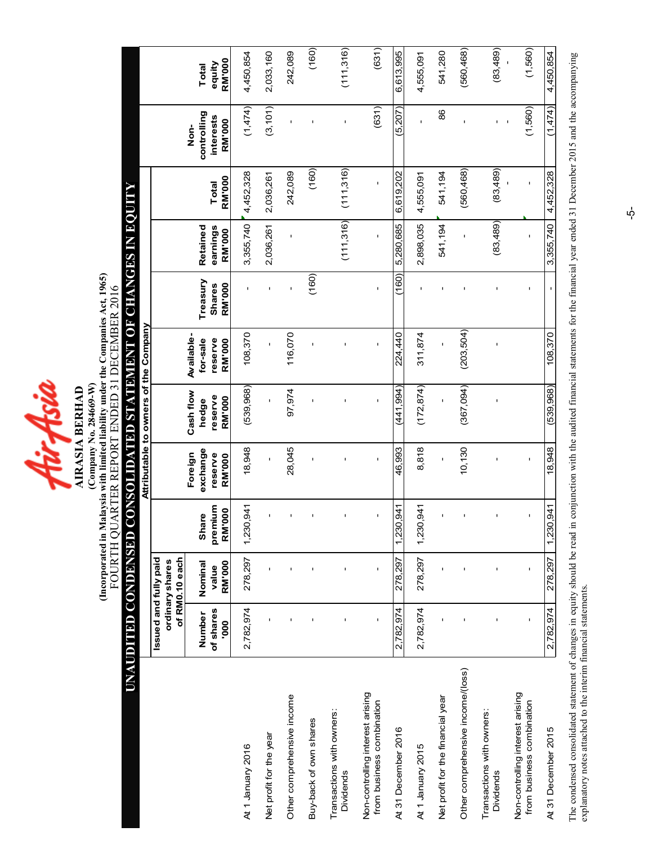Hir Asia **AIRASIA BERHAD** 

(Incorporated in Malaysia with limited liability under the Companies Act, 1965)<br>FOURTH QUARTER REPORT ENDED 31 DECEMBER 2016 (Incorporated in Malaysia with limited liability under the Companies Act, 1965) FOURTH QUARTER REPORT ENDED 31 DECEMBER 2016 (Company No. 284669-W) (Company No. 284669-W) AIRASIA BERHAD

# UNAUDITED CONDENSED CONSOLIDATED STATEMENT OF CHANGES IN EQUITY UNAUDITED CONDENSED CONSOLIDATED STATEMENT OF CHANGES IN EQUITY

|                                                               |                         |                                   |                             |                     | Attributable to owners of the Company |                          |                         |                           |                        |                     |                  |
|---------------------------------------------------------------|-------------------------|-----------------------------------|-----------------------------|---------------------|---------------------------------------|--------------------------|-------------------------|---------------------------|------------------------|---------------------|------------------|
|                                                               | Issued and fully paid   | of RM0.10 each<br>ordinary shares |                             |                     |                                       |                          |                         |                           |                        |                     |                  |
|                                                               | Number                  | Nominal                           | <b>Share</b>                | exchange<br>Foreign | Cash flow<br>hedge                    | Available-<br>for-sale   | Treasury                | Retained                  |                        | controlling<br>Non- | Total            |
|                                                               | of shares<br><b>000</b> | RM'000<br>value                   | premium<br>000<br><b>RM</b> | reserve<br>RM'000   | reserve<br>RM'000                     | reserve<br><b>RM'000</b> | RM'000<br><b>Shares</b> | earnings<br><b>RM'000</b> | <b>RM'000</b><br>Total | interests<br>RM'000 | RM'000<br>equity |
| At 1 January 2016                                             | 2,782,974               | 278,297                           | 1,230,941                   | 18,948              | (539, 968)                            | 108,370                  |                         | 3,355,740                 | 4,452,328              | (1,474)             | 4,450,854        |
| Net profit for the year                                       |                         | $\blacksquare$                    |                             |                     |                                       |                          |                         | 2,036,261                 | 2,036,261              | (3, 101)            | 2,033,160        |
| Other comprehensive income                                    |                         | $\blacksquare$                    |                             | 28,045              | 97,974                                | 116,070                  |                         | f,                        | 242,089                |                     | 242,089          |
| Buy-back of own shares                                        |                         | ı                                 |                             |                     |                                       |                          | (160)                   |                           | (160)                  |                     | (160)            |
| Transactions with owners:<br>Dividends                        |                         | ı                                 |                             |                     |                                       | ı                        |                         | (111, 316)                | (111,316)              | I.                  | (111,316)        |
| Non-controlling interest arising<br>from business combination | ı                       | $\mathbf I$                       | ı                           | ı                   | ı                                     | ı                        | $\mathbf I$             | ı                         | ı                      | (631)               | (631)            |
| At 31 December 2016                                           | 2,782,974               | 278,297                           | 1,230,941                   | 46.993              | (441.994)                             | 224,440                  | (160)                   | 5,280,685                 | 6,619,202              | (5, 207)            | 6,613,995        |
| At 1 January 2015                                             | 2,782,974               | 278,297                           | 1,230,941                   | 8,818               | (172, 874)                            | 311,874                  |                         | 2,898,035                 | 4,555,091              |                     | 4,555,091        |
| Net profit for the financial year                             |                         | ı                                 |                             |                     | ı                                     |                          | f,                      | 541,194                   | 541,194                | 86                  | 541,280          |
| Other comprehensive income/(loss)                             |                         |                                   |                             | 10,130              | (367,094)                             | (203, 504)               |                         |                           | (560, 468)             |                     | (560,468)        |
| Transactions with owners:<br>Dividends                        |                         | ı                                 |                             |                     |                                       | ı                        |                         | (83, 489)                 | (83, 489)              |                     | (83,489)         |
| Non-controlling interest arising<br>from business combination | f,                      | $\mathbf I$                       | ı                           | f,                  |                                       |                          | ı                       | ı                         | ı                      | (1,560)             | (1,560)          |
| At 31 December 2015                                           | 2,782,974               | 278,297                           | 1,230,941                   | 18,948              | (539, 968)                            | 108,370                  |                         | 3,355,740                 | 4,452,328              | (1,474)             | 4,450,854        |

The condensed consolidated statement of changes in equity should be read in conjunction with the audited financial statements for the financial year ended 31 December 2015 and the accompanying<br>explanatory notes attached to The condensed consolidated statement of changes in equity should be read in conjunction with the audited financial statements for the financial year ended 31 December 2015 and the accompanying explanatory notes attached to the interim financial statements.

 $\dot{\phi}$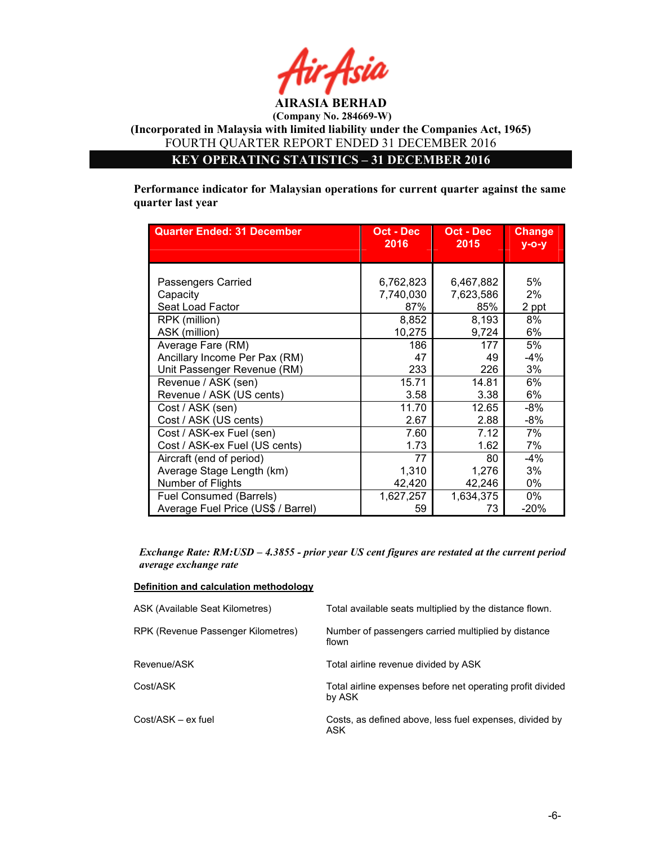

KEY OPERATING STATISTICS – 31 DECEMBER 2016

Performance indicator for Malaysian operations for current quarter against the same quarter last year

| <b>Quarter Ended: 31 December</b>  | Oct - Dec<br>2016 | Oct - Dec<br>2015 | <b>Change</b><br>$V - O - V$ |
|------------------------------------|-------------------|-------------------|------------------------------|
|                                    |                   |                   |                              |
|                                    |                   |                   |                              |
| Passengers Carried                 | 6,762,823         | 6,467,882         | 5%                           |
| Capacity                           | 7,740,030         | 7,623,586         | 2%                           |
| Seat Load Factor                   | 87%               | 85%               | 2 ppt                        |
| RPK (million)                      | 8,852             | 8,193             | 8%                           |
| ASK (million)                      | 10,275            | 9,724             | 6%                           |
| Average Fare (RM)                  | 186               | 177               | 5%                           |
| Ancillary Income Per Pax (RM)      | 47                | 49                | -4%                          |
| Unit Passenger Revenue (RM)        | 233               | 226               | 3%                           |
| Revenue / ASK (sen)                | 15.71             | 14.81             | 6%                           |
| Revenue / ASK (US cents)           | 3.58              | 3.38              | 6%                           |
| Cost / ASK (sen)                   | 11.70             | 12.65             | $-8%$                        |
| Cost / ASK (US cents)              | 2.67              | 2.88              | -8%                          |
| Cost / ASK-ex Fuel (sen)           | 7.60              | 7.12              | 7%                           |
| Cost / ASK-ex Fuel (US cents)      | 1.73              | 1.62              | 7%                           |
| Aircraft (end of period)           | 77                | 80                | $-4%$                        |
| Average Stage Length (km)          | 1,310             | 1,276             | 3%                           |
| Number of Flights                  | 42,420            | 42,246            | 0%                           |
| Fuel Consumed (Barrels)            | 1,627,257         | 1,634,375         | 0%                           |
| Average Fuel Price (US\$ / Barrel) | 59                | 73                | $-20%$                       |

Exchange Rate: RM:USD – 4.3855 - prior year US cent figures are restated at the current period average exchange rate

### Definition and calculation methodology

| ASK (Available Seat Kilometres)    | Total available seats multiplied by the distance flown.              |
|------------------------------------|----------------------------------------------------------------------|
| RPK (Revenue Passenger Kilometres) | Number of passengers carried multiplied by distance<br>flown         |
| Revenue/ASK                        | Total airline revenue divided by ASK                                 |
| Cost/ASK                           | Total airline expenses before net operating profit divided<br>by ASK |
| Cost/ASK – ex fuel                 | Costs, as defined above, less fuel expenses, divided by<br>ASK       |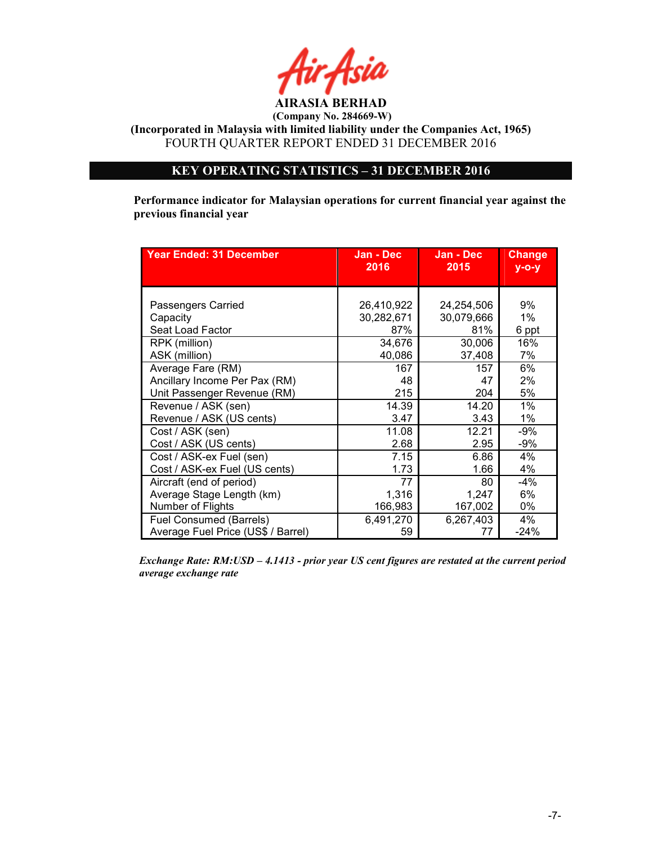

(Incorporated in Malaysia with limited liability under the Companies Act, 1965) FOURTH QUARTER REPORT ENDED 31 DECEMBER 2016

### KEY OPERATING STATISTICS – 31 DECEMBER 2016

Performance indicator for Malaysian operations for current financial year against the previous financial year

| <b>Year Ended: 31 December</b>     | Jan - Dec<br>2016 | Jan - Dec<br>2015 | <b>Change</b><br>$y$ -o-y |
|------------------------------------|-------------------|-------------------|---------------------------|
|                                    |                   |                   |                           |
|                                    |                   |                   |                           |
| Passengers Carried                 | 26,410,922        | 24,254,506        | 9%                        |
| Capacity                           | 30,282,671        | 30,079,666        | 1%                        |
| Seat Load Factor                   | 87%               | 81%               | 6 ppt                     |
| RPK (million)                      | 34,676            | 30,006            | 16%                       |
| ASK (million)                      | 40,086            | 37,408            | 7%                        |
| Average Fare (RM)                  | 167               | 157               | 6%                        |
| Ancillary Income Per Pax (RM)      | 48                | 47                | 2%                        |
| Unit Passenger Revenue (RM)        | 215               | 204               | 5%                        |
| Revenue / ASK (sen)                | 14.39             | 14.20             | $1\%$                     |
| Revenue / ASK (US cents)           | 3.47              | 3.43              | 1%                        |
| Cost / ASK (sen)                   | 11.08             | 12.21             | $-9%$                     |
| Cost / ASK (US cents)              | 2.68              | 2.95              | -9%                       |
| Cost / ASK-ex Fuel (sen)           | 7.15              | 6.86              | 4%                        |
| Cost / ASK-ex Fuel (US cents)      | 1.73              | 1.66              | 4%                        |
| Aircraft (end of period)           | 77                | 80                | $-4%$                     |
| Average Stage Length (km)          | 1,316             | 1,247             | 6%                        |
| Number of Flights                  | 166,983           | 167,002           | 0%                        |
| Fuel Consumed (Barrels)            | 6,491,270         | 6,267,403         | 4%                        |
| Average Fuel Price (US\$ / Barrel) | 59                | 77                | $-24%$                    |

Exchange Rate: RM:USD – 4.1413 - prior year US cent figures are restated at the current period average exchange rate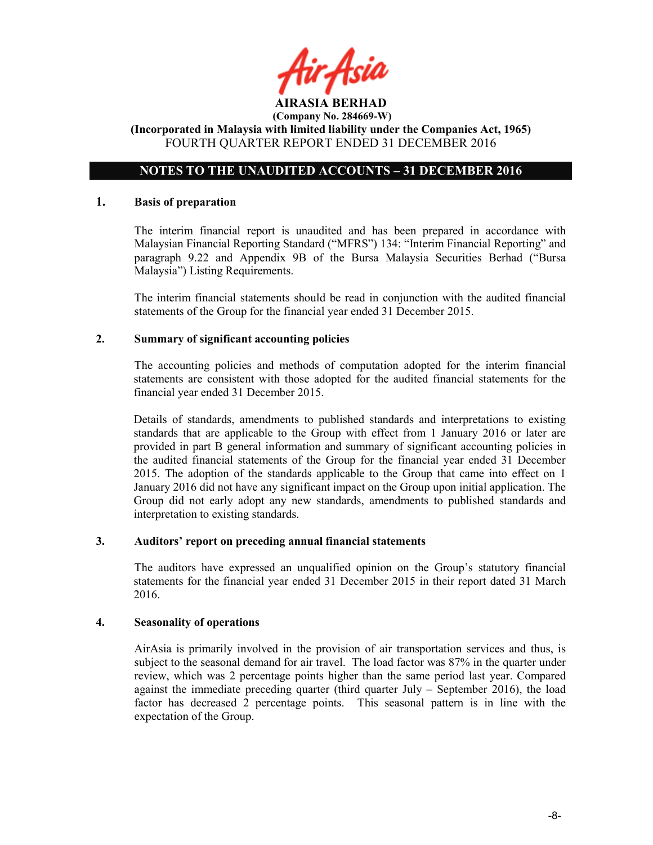

### NOTES TO THE UNAUDITED ACCOUNTS – 31 DECEMBER 2016

### 1. Basis of preparation

The interim financial report is unaudited and has been prepared in accordance with Malaysian Financial Reporting Standard ("MFRS") 134: "Interim Financial Reporting" and paragraph 9.22 and Appendix 9B of the Bursa Malaysia Securities Berhad ("Bursa Malaysia") Listing Requirements.

The interim financial statements should be read in conjunction with the audited financial statements of the Group for the financial year ended 31 December 2015.

### 2. Summary of significant accounting policies

The accounting policies and methods of computation adopted for the interim financial statements are consistent with those adopted for the audited financial statements for the financial year ended 31 December 2015.

Details of standards, amendments to published standards and interpretations to existing standards that are applicable to the Group with effect from 1 January 2016 or later are provided in part B general information and summary of significant accounting policies in the audited financial statements of the Group for the financial year ended 31 December 2015. The adoption of the standards applicable to the Group that came into effect on 1 January 2016 did not have any significant impact on the Group upon initial application. The Group did not early adopt any new standards, amendments to published standards and interpretation to existing standards.

### 3. Auditors' report on preceding annual financial statements

The auditors have expressed an unqualified opinion on the Group's statutory financial statements for the financial year ended 31 December 2015 in their report dated 31 March 2016.

### 4. Seasonality of operations

AirAsia is primarily involved in the provision of air transportation services and thus, is subject to the seasonal demand for air travel. The load factor was 87% in the quarter under review, which was 2 percentage points higher than the same period last year. Compared against the immediate preceding quarter (third quarter July  $-$  September 2016), the load factor has decreased 2 percentage points. This seasonal pattern is in line with the expectation of the Group.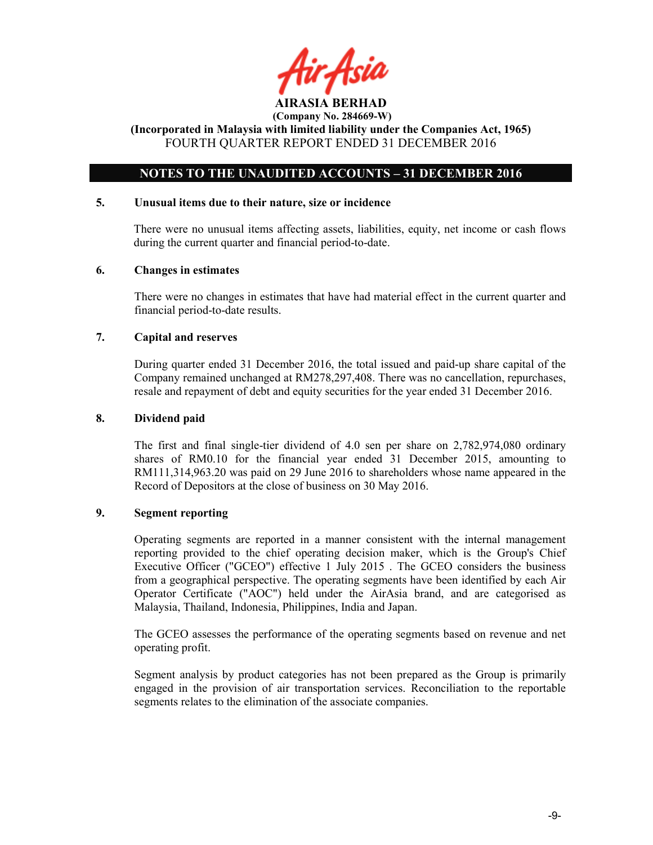

### NOTES TO THE UNAUDITED ACCOUNTS – 31 DECEMBER 2016

### 5. Unusual items due to their nature, size or incidence

There were no unusual items affecting assets, liabilities, equity, net income or cash flows during the current quarter and financial period-to-date.

### 6. Changes in estimates

There were no changes in estimates that have had material effect in the current quarter and financial period-to-date results.

### 7. Capital and reserves

During quarter ended 31 December 2016, the total issued and paid-up share capital of the Company remained unchanged at RM278,297,408. There was no cancellation, repurchases, resale and repayment of debt and equity securities for the year ended 31 December 2016.

### 8. Dividend paid

The first and final single-tier dividend of 4.0 sen per share on 2,782,974,080 ordinary shares of RM0.10 for the financial year ended 31 December 2015, amounting to RM111,314,963.20 was paid on 29 June 2016 to shareholders whose name appeared in the Record of Depositors at the close of business on 30 May 2016.

### 9. Segment reporting

Operating segments are reported in a manner consistent with the internal management reporting provided to the chief operating decision maker, which is the Group's Chief Executive Officer ("GCEO") effective 1 July 2015 . The GCEO considers the business from a geographical perspective. The operating segments have been identified by each Air Operator Certificate ("AOC") held under the AirAsia brand, and are categorised as Malaysia, Thailand, Indonesia, Philippines, India and Japan.

The GCEO assesses the performance of the operating segments based on revenue and net operating profit.

Segment analysis by product categories has not been prepared as the Group is primarily engaged in the provision of air transportation services. Reconciliation to the reportable segments relates to the elimination of the associate companies.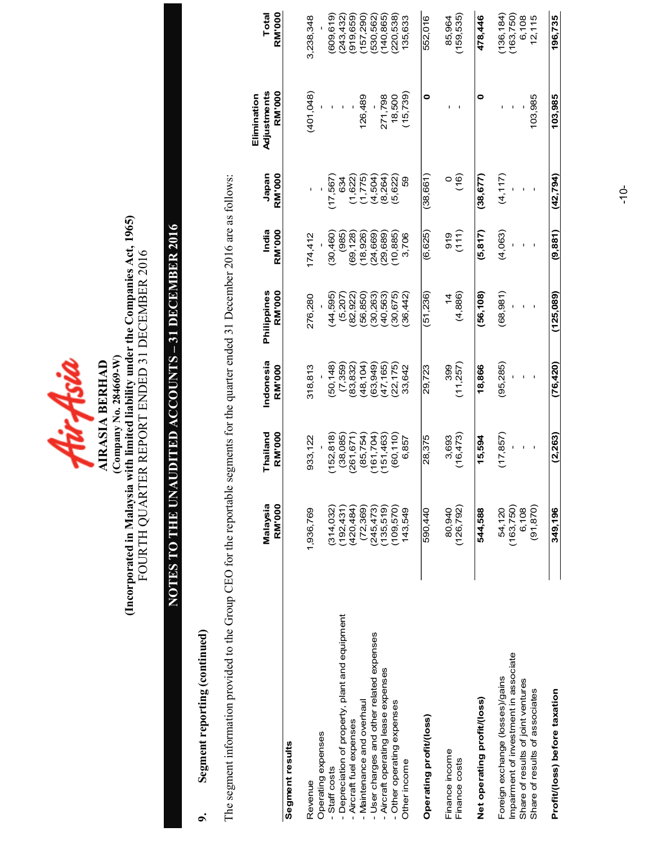

## (Company No. 284669-W)<br>(Incorporated in Malaysia with limited liability under the Companies Act, 1965)<br>FOURTH QUARTER REPORT ENDED 31 DECEMBER 2016 (Incorporated in Malaysia with limited liability under the Companies Act, 1965) FOURTH QUARTER REPORT ENDED 31 DECEMBER 2016 (Company No. 284669-W)

# NOTES TO THE UNAUDITED ACCOUNTS – 31 DECEMBER 2016 NOTES TO THE UNAUDITED ACCOUNTS - 31 DECEMBER 2016

### 9. Segment reporting (continued) Segment reporting (continued)  $\sigma$

The segment information provided to the Group CEO for the reportable segments for the quarter ended 31 December 2016 are as follows: The segment information provided to the Group CEO for the reportable segments for the quarter ended 31 December 2016 are as follows:

|                                                 | Malaysia<br><b>RM</b> '000 | Thailand<br>RM'000 | Indonesia<br><b>RM'000</b> | RM'000<br>Philippines | India<br>RM'000 | Japan<br><b>RM</b> '000 | Adjustments<br>RM'000<br>Elimination | RM'000<br>Total |
|-------------------------------------------------|----------------------------|--------------------|----------------------------|-----------------------|-----------------|-------------------------|--------------------------------------|-----------------|
| Segment results                                 |                            |                    |                            |                       |                 |                         |                                      |                 |
| Revenue                                         | 1,936,769                  | 933,122            | 318,813                    | 276,280               | 174,412         |                         | (401,048)                            | 3,238,348       |
| Operating expenses<br>Staff costs               | (314.032)                  | (152, 818)         | 50,148                     | 44,595                | (30, 460)       | 17,567                  |                                      | (609,619)       |
| - Depreciation of property, plant and equipment | (192, 431)                 | (38,085)           | (7,359)                    | (5,207)               | (985)           | 634                     |                                      | (243, 432)      |
| - Aircraft fuel expenses                        | (420, 484)                 | (261, 671)         | 83,832                     | (82, 922)             | 69,128          | (1,622)                 |                                      | (919, 659)      |
| - Maintenance and overhaul                      | (72, 369)                  | (85, 754)          | (48, 104)                  | (56, 850)             | 18,926)         | (1,775)                 | 126,489                              | (157, 290)      |
| - User charges and other related expenses       | (245, 473)                 | (161, 704)         | 63,949)                    | (30,263)              | (24,669)        | (4,504)                 |                                      | 530,562)        |
| - Aircraft operating lease expenses             | (135,519)                  | (151, 463)         | (47, 165)                  | (40,563)              | 29,689          | (8, 264)                | 271,798                              | 140,865)        |
| - Other operating expenses                      | (109, 570)                 | (60, 110)          | (22, 175)                  | (30, 675)             | 10,885)         | (5, 622)                | 18,500                               | (220, 538)      |
| Other income                                    | 143,549                    | 6,857              | 33,642                     | 36,442                | 3,706           | 59                      | (15, 739)                            | 135,633         |
| Operating profit/(loss)                         | 590,440                    | 28,375             | 29,723                     | (51, 236)             | (6,625)         | (38, 661)               | 0                                    | 552,016         |
| Finance income                                  | 80,940                     | 3,693              | 399                        | $rac{4}{4}$           | 919             |                         |                                      | 85,964          |
| Finance costs                                   | (126, 792)                 | (16, 473)          | (11, 257)                  | (4,886)               | (111)           | $\frac{6}{16}$          |                                      | (159,535)       |
| Net operating profit/(loss)                     | 544,588                    | 15,594             | 18,866                     | (56, 108)             | (5, 817)        | (38, 677)               | 0                                    | 478,446         |
| Foreign exchange (losses)/gains                 | 54,120                     | (17, 857)          | (95, 285)                  | (68, 981)             | (4,063)         | (4, 117)                |                                      | (136, 184)      |
| Impairment of investment in associate           | (163, 750)                 |                    |                            |                       |                 |                         |                                      | (163, 750)      |
| Share of results of joint ventures              | 6.108                      |                    |                            |                       |                 |                         |                                      | 6,108           |
| Share of results of associates                  | (91, 870)                  |                    |                            |                       |                 |                         | 103,985                              | 12,115          |
| Profit/(loss) before taxation                   | 349,196                    | (2, 263)           | (76, 420)                  | (125,089)             | (9.881)         | (42.794)                | 103,985                              | 196,735         |

-10-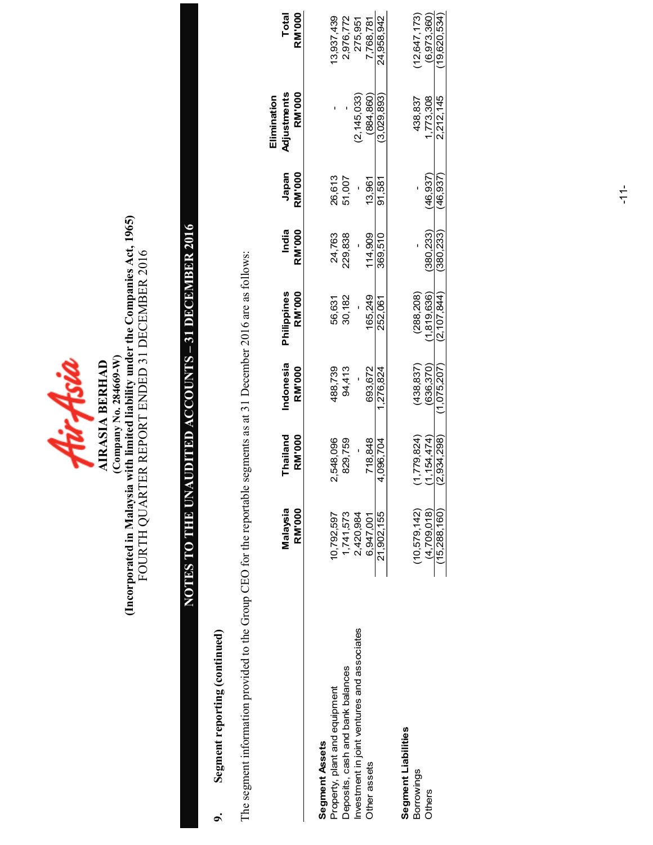

## (Company No. 284669-W)<br>(Incorporated in Malaysia with limited liability under the Companies Act, 1965)<br>FOURTH QUARTER REPORT ENDED 31 DECEMBER 2016 (Incorporated in Malaysia with limited liability under the Companies Act, 1965) FOURTH QUARTER REPORT ENDED 31 DECEMBER 2016 (Company No. 284669-W)

# NOTES TO THE UNAUDITED ACCOUNTS – 31 DECEMBER 2016 NOTES TO THE UNAUDITED ACCOUNTS - 31 DECEMBER 2016

### 9. Segment reporting (continued) Segment reporting (continued)  $\ddot{\circ}$

The segment information provided to the Group CEO for the reportable segments as at 31 December 2016 are as follows: The segment information provided to the Group CEO for the reportable segments as at 31 December 2016 are as follows:

|                                             |                |               |             |                    |               |               | Elimination   |                |
|---------------------------------------------|----------------|---------------|-------------|--------------------|---------------|---------------|---------------|----------------|
|                                             | Malaysia       | Thailand      | Indonesia   | <b>Philippines</b> | India         | Japan         | Adjustments   | Total          |
|                                             | RM'000         | <b>RM'000</b> | RM'000      | <b>RM'000</b>      | <b>RM'000</b> | <b>RM'000</b> | <b>RM'000</b> | <b>RM'000</b>  |
| Segment Assets                              |                |               |             |                    |               |               |               |                |
| Property, plant and equipment               | 10,792,597     | 2,548,096     | 488,739     | 56,631             | 24,763        | 26,613        |               | 13,937,439     |
| Deposits, cash and bank balances            | 1,741,573      | 829,759       | 94,413      | 30,182             | 229,838       | 51,007        |               | 2,976,772      |
| Investment in joint ventures and associates | 2,420,984      |               |             |                    |               |               | (2, 145, 033) | 275,951        |
| Other assets                                | 6,947,001      | 718,848       | 693.672     | 165.249            | 114,909       | 13,961        | (884, 860)    | 7,768,781      |
|                                             | 21,902,155     | 4,096,704     | 1,276,824   | 252,061            | 369.510       | 91.581        | (3.029.893)   | 24.958.942     |
| Segment Liabilities                         |                |               |             |                    |               |               |               |                |
| Borrowings                                  | (10, 579, 142) | (1,779,824)   | (438, 837)  | (288, 208)         |               |               | 438,837       | (12, 647, 173) |
| Others                                      | (4,709,018)    | (1.154.474)   | 636.370)    | 1,819,636)         | 380.233)      | 46.937)       | 773,308       | (6.973.360)    |
|                                             | (15,288,160)   | 2,934,298)    | (1.075.207) | (2.107.844)        | (380.233)     | 46.937)       | 2.212.145     | (19.620.534)   |
|                                             |                |               |             |                    |               |               |               |                |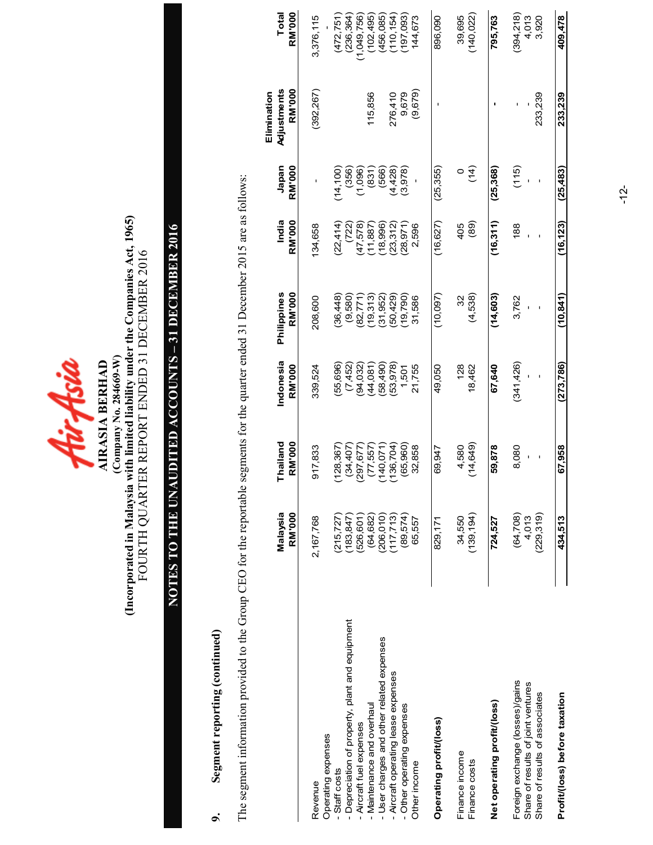

## (Company No. 284669-W)<br>(Incorporated in Malaysia with limited liability under the Companies Act, 1965)<br>FOURTH QUARTER REPORT ENDED 31 DECEMBER 2016 (Incorporated in Malaysia with limited liability under the Companies Act, 1965) FOURTH QUARTER REPORT ENDED 31 DECEMBER 2016 (Company No. 284669-W)

# NOTES TO THE UNAUDITED ACCOUNTS – 31 DECEMBER 2016 NOTES TO THE UNAUDITED ACCOUNTS - 31 DECEMBER 2016

### Segment reporting (continued) 9. Segment reporting (continued)  $\sigma$

The segment information provided to the Group CEO for the reportable segments for the quarter ended 31 December 2015 are as follows: The segment information provided to the Group CEO for the reportable segments for the quarter ended 31 December 2015 are as follows:

|                                                                         | Malaysia<br>RM'000       | Thailand<br><b>RM'000</b> | Indonesia<br>RM'000  | Philippines<br>RM'000 | India<br><b>RM'000</b> | Japan<br><b>RM'000</b> | Adjustments<br><b>RM'000</b><br>Elimination | <b>RM'000</b><br>Total  |
|-------------------------------------------------------------------------|--------------------------|---------------------------|----------------------|-----------------------|------------------------|------------------------|---------------------------------------------|-------------------------|
| Revenue                                                                 | 2,167,768                | 917,833                   | 339,524              | 208,600               | 134,658                |                        | (392, 267)                                  | 3,376,115               |
| Operating expenses<br>Staff costs                                       | (215, 727)               | (128, 367)                | 55,696)              | (36, 448)             | (22, 414)              | (14, 100)              |                                             | (472, 751)              |
| Depreciation of property, plant and equipment<br>Aircraft fuel expenses | (183, 847)<br>(526, 601) | (34, 407)<br>(297, 677)   | (7,452)<br>(94, 032) | (9,580)<br>82,771     | (722)<br>(47,578)      | (356)<br>(1,096)       |                                             | (236, 364)<br>1,049,756 |
| Maintenance and overhaul                                                | (64, 682)                | (77, 557)                 | (44,081)             | 19,313                | 11,887                 | (831)                  | 115,856                                     | (102, 495)              |
| - User charges and other related expenses                               | (206, 010)               | (140,071)                 | 58,490)              | 31,952                | 18,996                 | (566)                  |                                             | (456,085)               |
| - Aircraft operating lease expenses                                     | (117, 713)               | 136,704                   | (53, 978)            | 50,429)               | (23, 312)              | (4,428)                | 276,410                                     | (110, 154)              |
| - Other operating expenses                                              | (89,574)                 | (65, 960)                 | 1,501                | 19,790)               | (28, 971)              | 3,978                  | 9,679                                       | 197,093)                |
| Other income                                                            | 65,557                   | 32,858                    | 21,755               | 31,586                | 2,596                  |                        | (9,679)                                     | 144,673                 |
| Operating profit/loss)                                                  | 829,171                  | 69,947                    | 49,050               | (10,097)              | (16, 627)              | (25, 355)              | ı                                           | 896,090                 |
| Finance income                                                          | 34,550                   | 4,580                     | 128                  | 32                    | 405                    |                        |                                             | 39,695                  |
| Finance costs                                                           | (139, 194)               | (14,649)                  | 18,462               | (4,538)               | (89)                   | (14)                   |                                             | (140, 022)              |
| Net operating profit/(loss)                                             | 724,527                  | 59,878                    | 67,640               | (14, 603)             | (16, 311)              | (25, 368)              |                                             | 795,763                 |
| Foreign exchange (losses)/gains<br>Share of results of joint ventures   | (64, 708)<br>4,013       | 8,080                     | (341, 426)           | 3,762                 | 188                    | (115)                  |                                             | (394,218)<br>4,013      |
| Share of results of associates                                          | (229,319)                | ı                         |                      |                       |                        |                        | 233,239                                     | 3,920                   |
| Profit/(loss) before taxation                                           | 434,513                  | 67,958                    | (273, 786)           | (10, 841)             | (16, 123)              | (25, 483)              | 233,239                                     | 409,478                 |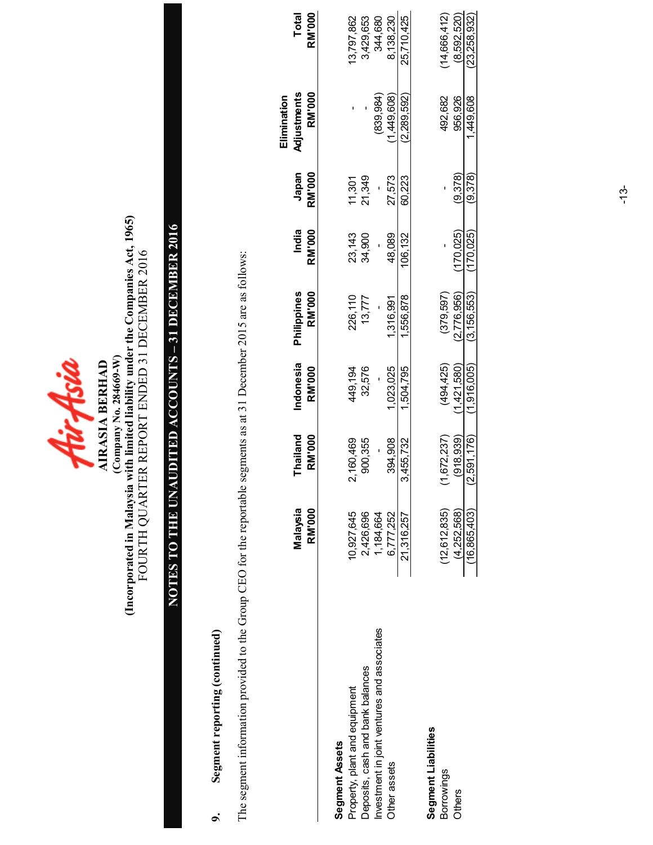| Company No. 284669-W<br>IRASIA BERHAI |
|---------------------------------------|
|---------------------------------------|

## (Incorporated in Malaysia with limited liability under the Companies Act, 1965)<br>FOURTH QUARTER REPORT ENDED 31 DECEMBER 2016 (Incorporated in Malaysia with limited liability under the Companies Act, 1965) FOURTH QUARTER REPORT ENDED 31 DECEMBER 2016

# NOTES TO THE UNAUDITED ACCOUNTS – 31 DECEMBER 2016 NOTES TO THE UNAUDITED ACCOUNTS - 31 DECEMBER 2016

### Segment reporting (continued) 9. Segment reporting (continued)  $\sigma$

The segment information provided to the Group CEO for the reportable segments as at 31 December 2015 are as follows: The segment information provided to the Group CEO for the reportable segments as at 31 December 2015 are as follows:

|                                             | Malaysia<br><b>RM'000</b> | Thailand<br><b>RM'000</b> | Indonesia<br><b>RM'000</b> | Philippines<br>RM'000 | India<br>RM'000 | Japan<br>RM'000 | Adjustments<br><b>RM'000</b><br>Elimination | <b>Total</b><br>RM'000 |
|---------------------------------------------|---------------------------|---------------------------|----------------------------|-----------------------|-----------------|-----------------|---------------------------------------------|------------------------|
| Segment Assets                              |                           |                           |                            |                       |                 |                 |                                             |                        |
| Property, plant and equipment               | 10,927,645                | 2,160,469                 | 449,194                    | 226,110               | 23,143          | 11,301          |                                             | 13,797,862             |
| Deposits, cash and bank balances            | 2,426,696                 | 900,355                   | 32,576                     | 13,777                | 34,900          | 21,349          |                                             | 3,429,653              |
| Investment in joint ventures and associates | 1,184,664                 |                           |                            |                       |                 |                 | (839, 984)                                  | 344,680                |
| Other assets                                | 6,777,252                 | 394,908                   | 1,023,025                  | 1,316,991             | 48,089          | 27,573          | 1,449,608                                   | 8,138,230              |
|                                             | 21,316,257                | 3,455,732                 | 1.504.795                  | .556.878              | 106.132         | 60.223          | (2.289,592)                                 | 25.710.425             |
| Segment Liabilities                         |                           |                           |                            |                       |                 |                 |                                             |                        |
| Borrowings                                  | (12, 612, 835)            | (1,672,237)               | (494, 425)                 | (379,597)             |                 |                 | 492,682                                     | (14,666,412)           |
| Others                                      | (4.252,568)               | (918.939)                 | 1,421,580)                 | (2,776,956)           | 170.025)        | (9.378)         | 956.926                                     | (8,592,520)            |
|                                             | (16,865,403)              | (2,591,176)               | (1.916.005)                | (3, 156, 553)         | 170.025)        | (9.378)         | 1,449,608                                   | (23.258.932)           |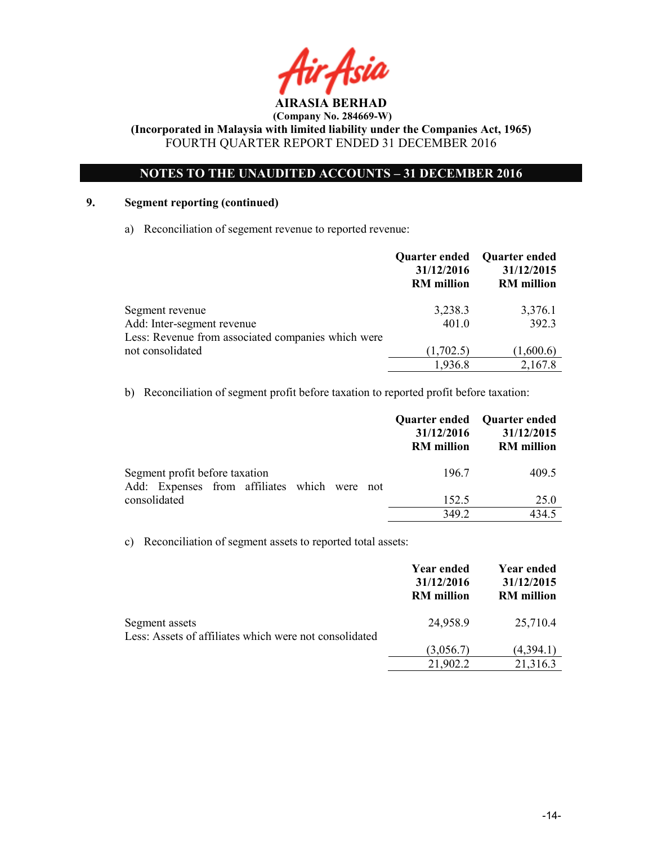

### NOTES TO THE UNAUDITED ACCOUNTS – 31 DECEMBER 2016

### 9. Segment reporting (continued)

a) Reconciliation of segement revenue to reported revenue:

|                                                    | Quarter ended Quarter ended<br>31/12/2016<br><b>RM</b> million | 31/12/2015<br><b>RM</b> million |
|----------------------------------------------------|----------------------------------------------------------------|---------------------------------|
| Segment revenue                                    | 3,238.3                                                        | 3,376.1                         |
| Add: Inter-segment revenue                         | 401.0                                                          | 392.3                           |
| Less: Revenue from associated companies which were |                                                                |                                 |
| not consolidated                                   | (1,702.5)                                                      | (1,600.6)                       |
|                                                    | 1,936.8                                                        | 2,167.8                         |

b) Reconciliation of segment profit before taxation to reported profit before taxation:

|                                              | Quarter ended Quarter ended<br>31/12/2016<br><b>RM</b> million | 31/12/2015<br><b>RM</b> million |
|----------------------------------------------|----------------------------------------------------------------|---------------------------------|
| Segment profit before taxation               | 196.7                                                          | 409.5                           |
| Add: Expenses from affiliates which were not |                                                                |                                 |
| consolidated                                 | 152.5                                                          | 25.0                            |
|                                              | 349.2                                                          | 434.5                           |

c) Reconciliation of segment assets to reported total assets:

|                                                        | Year ended<br>31/12/2016<br><b>RM</b> million | Year ended<br>31/12/2015<br><b>RM</b> million |
|--------------------------------------------------------|-----------------------------------------------|-----------------------------------------------|
| Segment assets                                         | 24,958.9                                      | 25,710.4                                      |
| Less: Assets of affiliates which were not consolidated |                                               |                                               |
|                                                        | (3,056.7)                                     | (4,394.1)                                     |
|                                                        | 21,902.2                                      | 21,316.3                                      |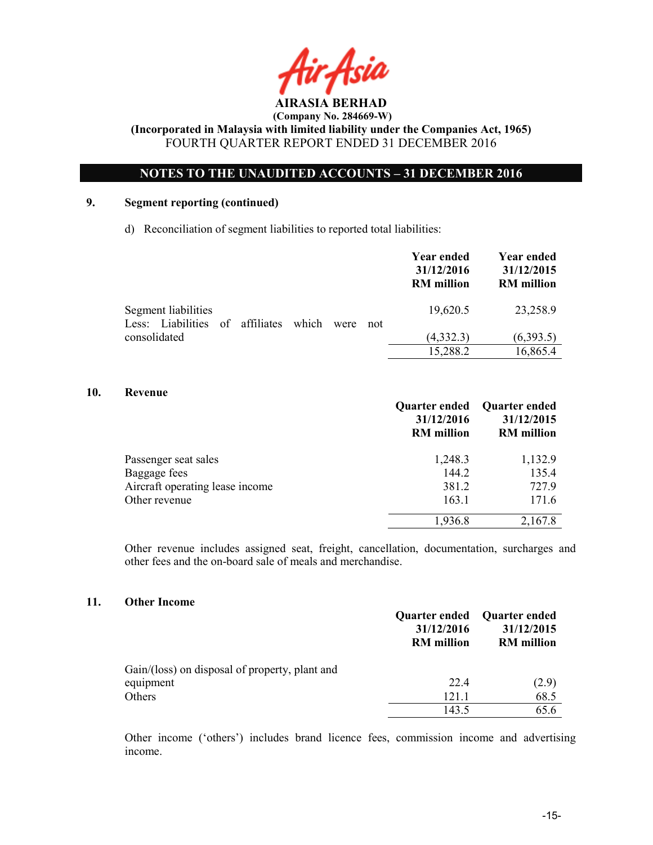

### NOTES TO THE UNAUDITED ACCOUNTS – 31 DECEMBER 2016

### 9. Segment reporting (continued)

d) Reconciliation of segment liabilities to reported total liabilities:

|                                                                                | <b>Year ended</b><br>31/12/2016<br><b>RM</b> million | Year ended<br>31/12/2015<br><b>RM</b> million |
|--------------------------------------------------------------------------------|------------------------------------------------------|-----------------------------------------------|
| Segment liabilities<br>Less: Liabilities of affiliates<br>which<br>were<br>not | 19,620.5                                             | 23,258.9                                      |
| consolidated                                                                   | (4,332.3)                                            | (6,393.5)                                     |
|                                                                                | 15,288.2                                             | 16,865.4                                      |

### 10. Revenue

|                                 | <b>Quarter ended</b><br>31/12/2016<br><b>RM</b> million | Quarter ended<br>31/12/2015<br><b>RM</b> million |
|---------------------------------|---------------------------------------------------------|--------------------------------------------------|
| Passenger seat sales            | 1,248.3                                                 | 1,132.9                                          |
| Baggage fees                    | 144.2                                                   | 135.4                                            |
| Aircraft operating lease income | 381.2                                                   | 727.9                                            |
| Other revenue                   | 163.1                                                   | 171.6                                            |
|                                 | 1,936.8                                                 | 2,167.8                                          |

Other revenue includes assigned seat, freight, cancellation, documentation, surcharges and other fees and the on-board sale of meals and merchandise.

### 11. Other Income

|                                                | <b>Quarter ended</b><br>31/12/2016<br><b>RM</b> million | Quarter ended<br>31/12/2015<br><b>RM</b> million |
|------------------------------------------------|---------------------------------------------------------|--------------------------------------------------|
| Gain/(loss) on disposal of property, plant and |                                                         |                                                  |
| equipment                                      | 22.4                                                    | (2.9)                                            |
| Others                                         | 121.1                                                   | 68.5                                             |
|                                                | 143.5                                                   | 65.6                                             |

Other income ('others') includes brand licence fees, commission income and advertising income.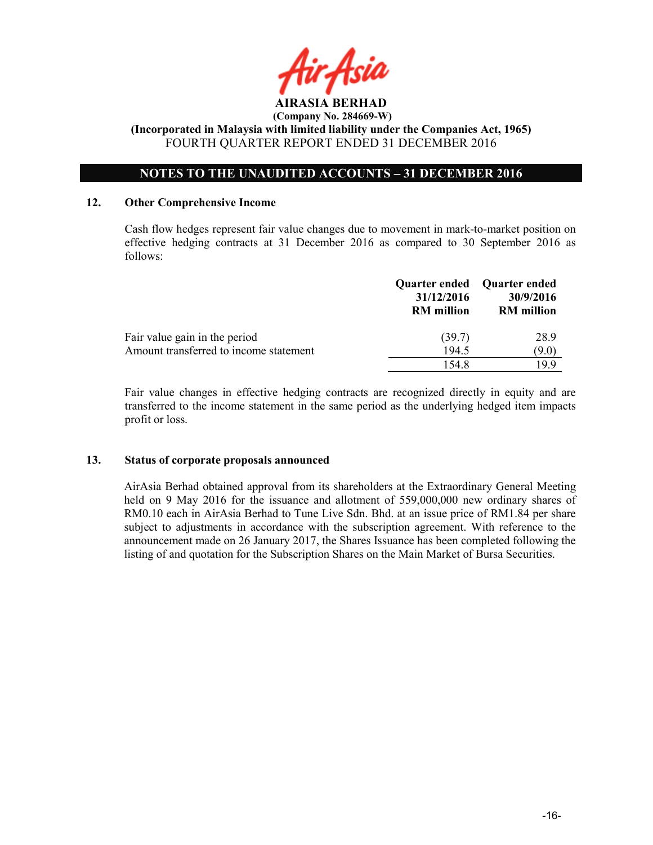

### NOTES TO THE UNAUDITED ACCOUNTS – 31 DECEMBER 2016

### 12. Other Comprehensive Income

Cash flow hedges represent fair value changes due to movement in mark-to-market position on effective hedging contracts at 31 December 2016 as compared to 30 September 2016 as follows:

|                                        | 31/12/2016<br><b>RM</b> million | Quarter ended Quarter ended<br>30/9/2016<br><b>RM</b> million |
|----------------------------------------|---------------------------------|---------------------------------------------------------------|
| Fair value gain in the period          | (39.7)                          | 28.9                                                          |
| Amount transferred to income statement | 194.5                           | (9.0)                                                         |
|                                        | 1548                            | 199                                                           |

Fair value changes in effective hedging contracts are recognized directly in equity and are transferred to the income statement in the same period as the underlying hedged item impacts profit or loss.

### 13. Status of corporate proposals announced

AirAsia Berhad obtained approval from its shareholders at the Extraordinary General Meeting held on 9 May 2016 for the issuance and allotment of 559,000,000 new ordinary shares of RM0.10 each in AirAsia Berhad to Tune Live Sdn. Bhd. at an issue price of RM1.84 per share subject to adjustments in accordance with the subscription agreement. With reference to the announcement made on 26 January 2017, the Shares Issuance has been completed following the listing of and quotation for the Subscription Shares on the Main Market of Bursa Securities.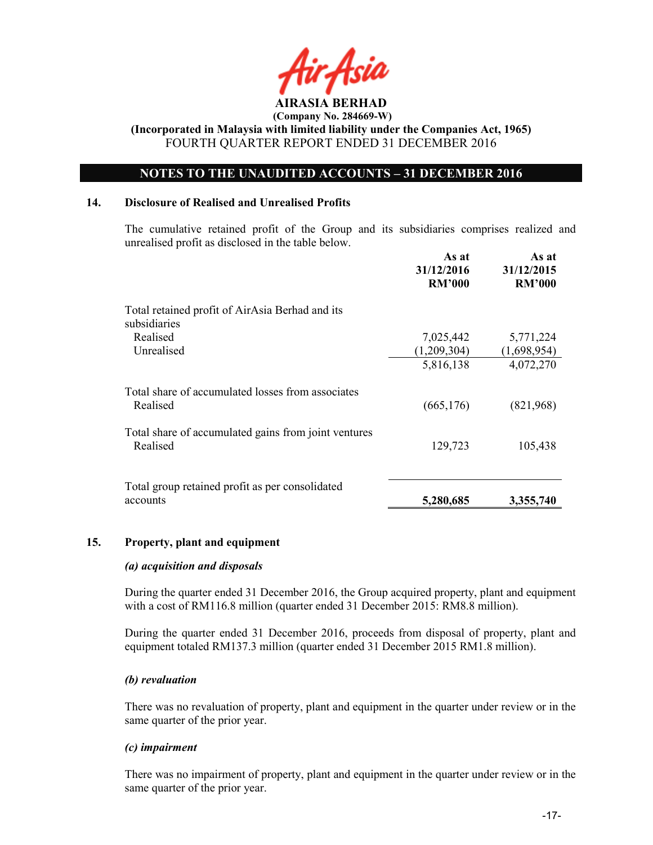

### NOTES TO THE UNAUDITED ACCOUNTS – 31 DECEMBER 2016

### 14. Disclosure of Realised and Unrealised Profits

The cumulative retained profit of the Group and its subsidiaries comprises realized and unrealised profit as disclosed in the table below.

|                                                                  | As at<br>31/12/2016<br><b>RM'000</b> | As at<br>31/12/2015<br><b>RM'000</b> |
|------------------------------------------------------------------|--------------------------------------|--------------------------------------|
| Total retained profit of AirAsia Berhad and its<br>subsidiaries  |                                      |                                      |
| Realised                                                         | 7,025,442                            | 5,771,224                            |
| Unrealised                                                       | (1,209,304)                          | (1,698,954)                          |
|                                                                  | 5,816,138                            | 4,072,270                            |
| Total share of accumulated losses from associates<br>Realised    | (665, 176)                           | (821,968)                            |
| Total share of accumulated gains from joint ventures<br>Realised | 129,723                              | 105,438                              |
| Total group retained profit as per consolidated<br>accounts      | 5,280,685                            | 3,355,740                            |

### 15. Property, plant and equipment

### (a) acquisition and disposals

During the quarter ended 31 December 2016, the Group acquired property, plant and equipment with a cost of RM116.8 million (quarter ended 31 December 2015: RM8.8 million).

During the quarter ended 31 December 2016, proceeds from disposal of property, plant and equipment totaled RM137.3 million (quarter ended 31 December 2015 RM1.8 million).

### (b) revaluation

There was no revaluation of property, plant and equipment in the quarter under review or in the same quarter of the prior year.

### (c) impairment

There was no impairment of property, plant and equipment in the quarter under review or in the same quarter of the prior year.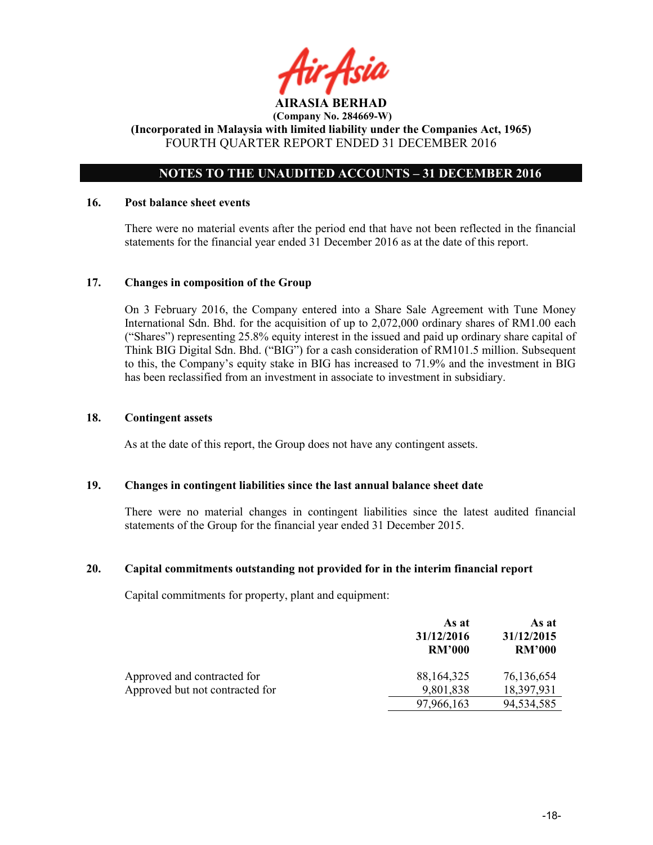

### NOTES TO THE UNAUDITED ACCOUNTS – 31 DECEMBER 2016

### 16. Post balance sheet events

There were no material events after the period end that have not been reflected in the financial statements for the financial year ended 31 December 2016 as at the date of this report.

### 17. Changes in composition of the Group

On 3 February 2016, the Company entered into a Share Sale Agreement with Tune Money International Sdn. Bhd. for the acquisition of up to 2,072,000 ordinary shares of RM1.00 each ("Shares") representing 25.8% equity interest in the issued and paid up ordinary share capital of Think BIG Digital Sdn. Bhd. ("BIG") for a cash consideration of RM101.5 million. Subsequent to this, the Company's equity stake in BIG has increased to 71.9% and the investment in BIG has been reclassified from an investment in associate to investment in subsidiary.

### 18. Contingent assets

As at the date of this report, the Group does not have any contingent assets.

### 19. Changes in contingent liabilities since the last annual balance sheet date

There were no material changes in contingent liabilities since the latest audited financial statements of the Group for the financial year ended 31 December 2015.

### 20. Capital commitments outstanding not provided for in the interim financial report

Capital commitments for property, plant and equipment:

|                                 | As at<br>31/12/2016<br><b>RM'000</b> | As at<br>31/12/2015<br><b>RM'000</b> |
|---------------------------------|--------------------------------------|--------------------------------------|
| Approved and contracted for     | 88, 164, 325                         | 76,136,654                           |
| Approved but not contracted for | 9,801,838                            | 18,397,931                           |
|                                 | 97,966,163                           | 94,534,585                           |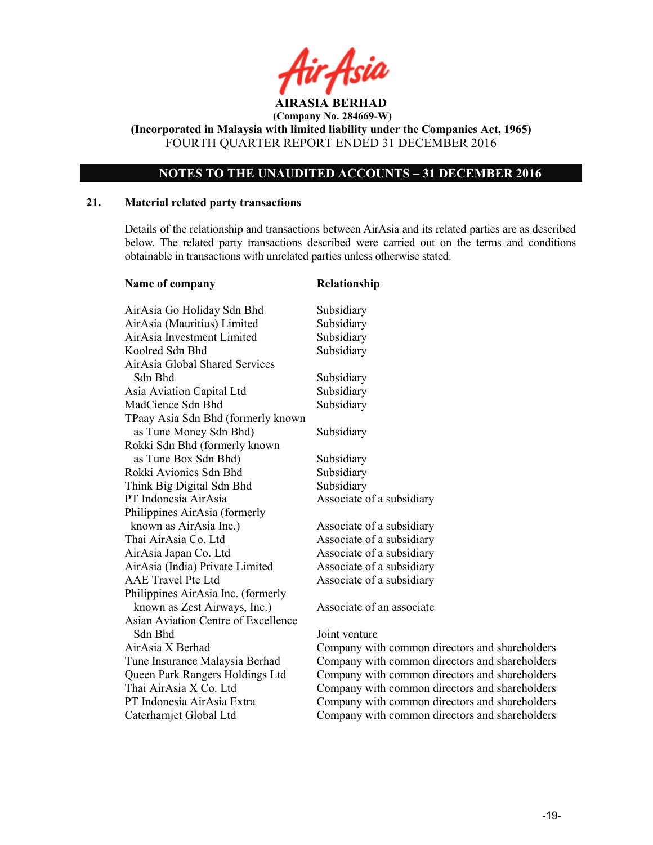

(Incorporated in Malaysia with limited liability under the Companies Act, 1965) FOURTH QUARTER REPORT ENDED 31 DECEMBER 2016

### NOTES TO THE UNAUDITED ACCOUNTS – 31 DECEMBER 2016

### 21. Material related party transactions

Details of the relationship and transactions between AirAsia and its related parties are as described below. The related party transactions described were carried out on the terms and conditions obtainable in transactions with unrelated parties unless otherwise stated.

| Name of company                     | Relationship                                   |
|-------------------------------------|------------------------------------------------|
| AirAsia Go Holiday Sdn Bhd          | Subsidiary                                     |
| AirAsia (Mauritius) Limited         | Subsidiary                                     |
| AirAsia Investment Limited          | Subsidiary                                     |
| Koolred Sdn Bhd                     | Subsidiary                                     |
| AirAsia Global Shared Services      |                                                |
| Sdn Bhd                             | Subsidiary                                     |
| Asia Aviation Capital Ltd           | Subsidiary                                     |
| MadCience Sdn Bhd                   | Subsidiary                                     |
| TPaay Asia Sdn Bhd (formerly known  |                                                |
| as Tune Money Sdn Bhd)              | Subsidiary                                     |
| Rokki Sdn Bhd (formerly known       |                                                |
| as Tune Box Sdn Bhd)                | Subsidiary                                     |
| Rokki Avionics Sdn Bhd              | Subsidiary                                     |
| Think Big Digital Sdn Bhd           | Subsidiary                                     |
| PT Indonesia AirAsia                | Associate of a subsidiary                      |
| Philippines AirAsia (formerly       |                                                |
| known as AirAsia Inc.)              | Associate of a subsidiary                      |
| Thai AirAsia Co. Ltd                | Associate of a subsidiary                      |
| AirAsia Japan Co. Ltd               | Associate of a subsidiary                      |
| AirAsia (India) Private Limited     | Associate of a subsidiary                      |
| <b>AAE</b> Travel Pte Ltd           | Associate of a subsidiary                      |
| Philippines AirAsia Inc. (formerly  |                                                |
| known as Zest Airways, Inc.)        | Associate of an associate                      |
| Asian Aviation Centre of Excellence |                                                |
| Sdn Bhd                             | Joint venture                                  |
| AirAsia X Berhad                    | Company with common directors and shareholders |
| Tune Insurance Malaysia Berhad      | Company with common directors and shareholders |
| Queen Park Rangers Holdings Ltd     | Company with common directors and shareholders |
| Thai AirAsia X Co. Ltd              | Company with common directors and shareholders |
| PT Indonesia AirAsia Extra          | Company with common directors and shareholders |
| Caterhamjet Global Ltd              | Company with common directors and shareholders |
|                                     |                                                |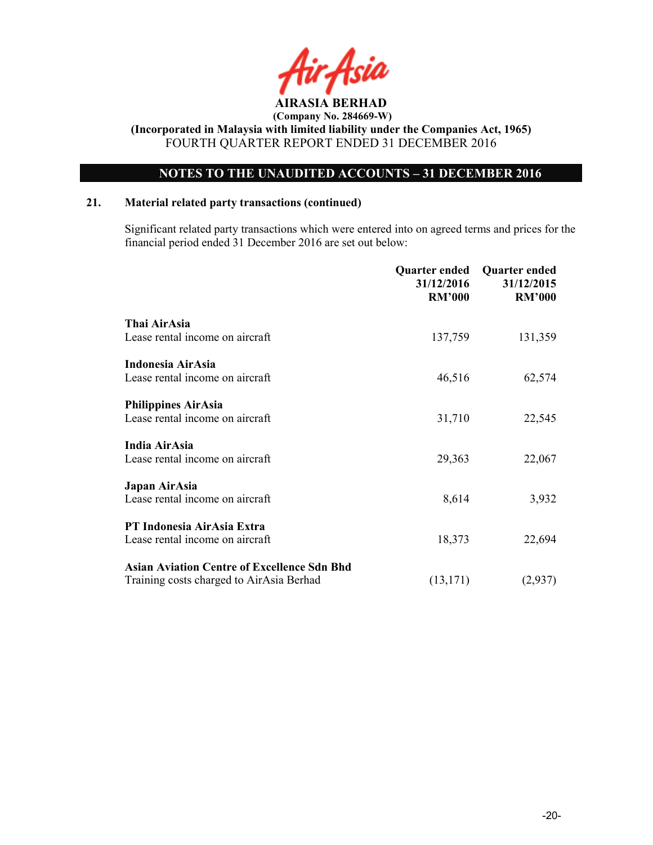

### NOTES TO THE UNAUDITED ACCOUNTS – 31 DECEMBER 2016

### 21. Material related party transactions (continued)

 Significant related party transactions which were entered into on agreed terms and prices for the financial period ended 31 December 2016 are set out below:

|                                                                                                | Quarter ended<br>31/12/2016<br><b>RM'000</b> | <b>Quarter ended</b><br>31/12/2015<br><b>RM'000</b> |
|------------------------------------------------------------------------------------------------|----------------------------------------------|-----------------------------------------------------|
| Thai AirAsia<br>Lease rental income on aircraft                                                | 137,759                                      | 131,359                                             |
| Indonesia AirAsia<br>Lease rental income on aircraft                                           | 46,516                                       | 62,574                                              |
| <b>Philippines AirAsia</b><br>Lease rental income on aircraft                                  | 31,710                                       | 22,545                                              |
| <b>India AirAsia</b><br>Lease rental income on aircraft                                        | 29,363                                       | 22,067                                              |
| Japan AirAsia<br>Lease rental income on aircraft                                               | 8,614                                        | 3,932                                               |
| PT Indonesia AirAsia Extra<br>Lease rental income on aircraft                                  | 18,373                                       | 22,694                                              |
| <b>Asian Aviation Centre of Excellence Sdn Bhd</b><br>Training costs charged to AirAsia Berhad | (13, 171)                                    | (2,937)                                             |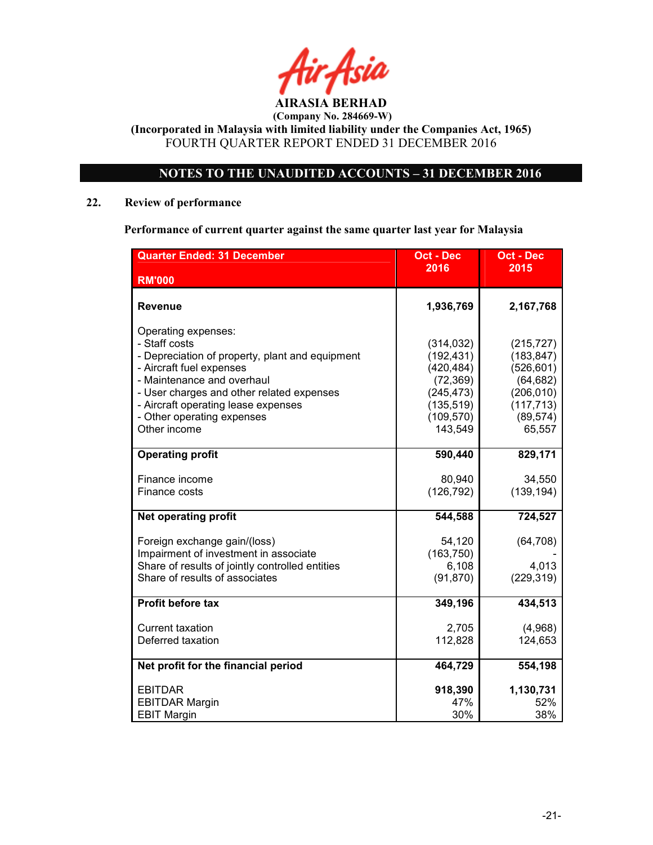

(Incorporated in Malaysia with limited liability under the Companies Act, 1965) FOURTH QUARTER REPORT ENDED 31 DECEMBER 2016

### NOTES TO THE UNAUDITED ACCOUNTS – 31 DECEMBER 2016

### 22. Review of performance

### Performance of current quarter against the same quarter last year for Malaysia

| <b>Quarter Ended: 31 December</b>                                                | <b>Oct - Dec</b>         | <b>Oct - Dec</b>         |
|----------------------------------------------------------------------------------|--------------------------|--------------------------|
| <b>RM'000</b>                                                                    | 2016                     | 2015                     |
|                                                                                  |                          |                          |
| Revenue                                                                          | 1,936,769                | 2,167,768                |
| Operating expenses:                                                              |                          |                          |
| - Staff costs                                                                    | (314, 032)               | (215, 727)               |
| - Depreciation of property, plant and equipment                                  | (192, 431)               | (183, 847)               |
| - Aircraft fuel expenses                                                         | (420, 484)               | (526, 601)               |
| - Maintenance and overhaul                                                       | (72, 369)                | (64, 682)                |
| - User charges and other related expenses<br>- Aircraft operating lease expenses | (245, 473)<br>(135, 519) | (206, 010)<br>(117, 713) |
| - Other operating expenses                                                       | (109, 570)               | (89, 574)                |
| Other income                                                                     | 143,549                  | 65,557                   |
|                                                                                  |                          |                          |
| <b>Operating profit</b>                                                          | 590,440                  | 829,171                  |
| Finance income                                                                   | 80,940                   | 34,550                   |
| Finance costs                                                                    | (126, 792)               | (139, 194)               |
| <b>Net operating profit</b>                                                      | 544,588                  | 724,527                  |
| Foreign exchange gain/(loss)                                                     | 54,120                   | (64, 708)                |
| Impairment of investment in associate                                            | (163, 750)               |                          |
| Share of results of jointly controlled entities                                  | 6,108                    | 4,013                    |
| Share of results of associates                                                   | (91, 870)                | (229, 319)               |
| <b>Profit before tax</b>                                                         | 349,196                  | 434,513                  |
| <b>Current taxation</b>                                                          | 2,705                    | (4,968)                  |
| Deferred taxation                                                                | 112,828                  | 124,653                  |
|                                                                                  |                          |                          |
| Net profit for the financial period                                              | 464,729                  | 554,198                  |
| <b>EBITDAR</b>                                                                   | 918,390                  | 1,130,731                |
| <b>EBITDAR Margin</b>                                                            | 47%                      | 52%                      |
| <b>EBIT Margin</b>                                                               | 30%                      | 38%                      |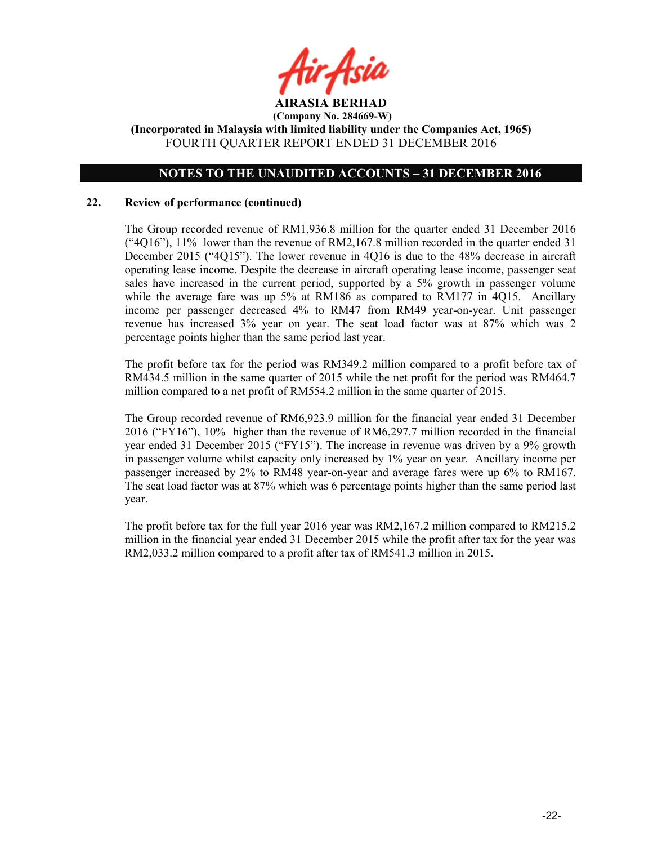

### NOTES TO THE UNAUDITED ACCOUNTS – 31 DECEMBER 2016

### 22. Review of performance (continued)

The Group recorded revenue of RM1,936.8 million for the quarter ended 31 December 2016 ("4Q16"), 11% lower than the revenue of RM2,167.8 million recorded in the quarter ended 31 December 2015 ("4Q15"). The lower revenue in 4Q16 is due to the 48% decrease in aircraft operating lease income. Despite the decrease in aircraft operating lease income, passenger seat sales have increased in the current period, supported by a 5% growth in passenger volume while the average fare was up 5% at RM186 as compared to RM177 in 4Q15. Ancillary income per passenger decreased 4% to RM47 from RM49 year-on-year. Unit passenger revenue has increased 3% year on year. The seat load factor was at 87% which was 2 percentage points higher than the same period last year.

The profit before tax for the period was RM349.2 million compared to a profit before tax of RM434.5 million in the same quarter of 2015 while the net profit for the period was RM464.7 million compared to a net profit of RM554.2 million in the same quarter of 2015.

The Group recorded revenue of RM6,923.9 million for the financial year ended 31 December 2016 ("FY16"), 10% higher than the revenue of RM6,297.7 million recorded in the financial year ended 31 December 2015 ("FY15"). The increase in revenue was driven by a 9% growth in passenger volume whilst capacity only increased by 1% year on year. Ancillary income per passenger increased by 2% to RM48 year-on-year and average fares were up 6% to RM167. The seat load factor was at 87% which was 6 percentage points higher than the same period last year.

The profit before tax for the full year 2016 year was RM2,167.2 million compared to RM215.2 million in the financial year ended 31 December 2015 while the profit after tax for the year was RM2,033.2 million compared to a profit after tax of RM541.3 million in 2015.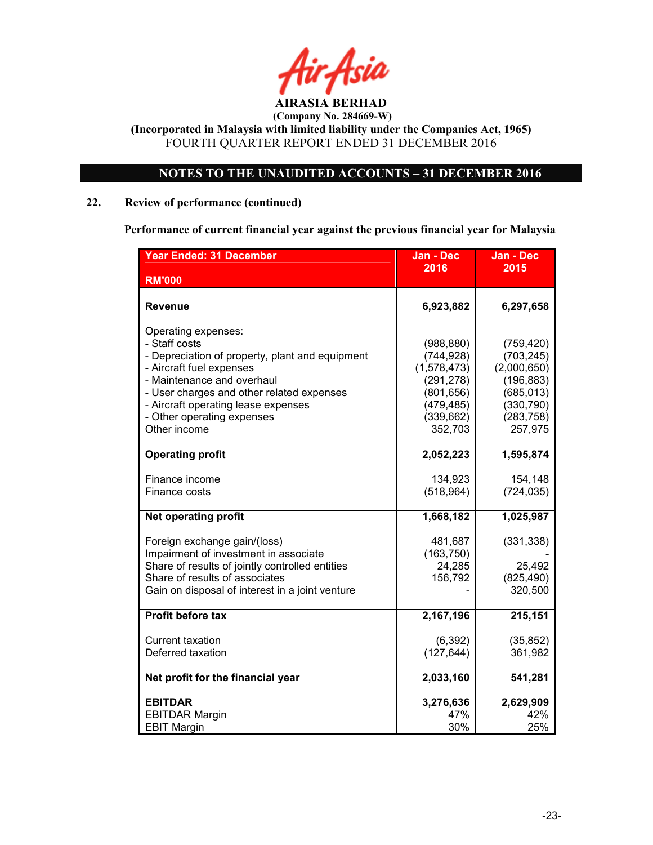

### NOTES TO THE UNAUDITED ACCOUNTS – 31 DECEMBER 2016

### 22. Review of performance (continued)

Performance of current financial year against the previous financial year for Malaysia

| <b>Year Ended: 31 December</b>                                                                                                                                                                                                                                                      | Jan - Dec                                                                                                  | <b>Jan - Dec</b>                                                                                           |
|-------------------------------------------------------------------------------------------------------------------------------------------------------------------------------------------------------------------------------------------------------------------------------------|------------------------------------------------------------------------------------------------------------|------------------------------------------------------------------------------------------------------------|
| <b>RM'000</b>                                                                                                                                                                                                                                                                       | 2016                                                                                                       | 2015                                                                                                       |
| Revenue                                                                                                                                                                                                                                                                             | 6,923,882                                                                                                  | 6,297,658                                                                                                  |
| Operating expenses:<br>- Staff costs<br>- Depreciation of property, plant and equipment<br>- Aircraft fuel expenses<br>- Maintenance and overhaul<br>- User charges and other related expenses<br>- Aircraft operating lease expenses<br>- Other operating expenses<br>Other income | (988, 880)<br>(744, 928)<br>(1,578,473)<br>(291, 278)<br>(801, 656)<br>(479, 485)<br>(339, 662)<br>352,703 | (759, 420)<br>(703, 245)<br>(2,000,650)<br>(196, 883)<br>(685, 013)<br>(330, 790)<br>(283, 758)<br>257,975 |
| <b>Operating profit</b>                                                                                                                                                                                                                                                             | 2,052,223                                                                                                  | 1,595,874                                                                                                  |
| Finance income<br>Finance costs                                                                                                                                                                                                                                                     | 134,923<br>(518, 964)                                                                                      | 154,148<br>(724, 035)                                                                                      |
| <b>Net operating profit</b>                                                                                                                                                                                                                                                         | 1,668,182                                                                                                  | 1,025,987                                                                                                  |
| Foreign exchange gain/(loss)<br>Impairment of investment in associate<br>Share of results of jointly controlled entities<br>Share of results of associates<br>Gain on disposal of interest in a joint venture                                                                       | 481,687<br>(163, 750)<br>24,285<br>156,792                                                                 | (331, 338)<br>25,492<br>(825, 490)<br>320,500                                                              |
| <b>Profit before tax</b>                                                                                                                                                                                                                                                            | 2,167,196                                                                                                  | 215,151                                                                                                    |
| <b>Current taxation</b><br>Deferred taxation                                                                                                                                                                                                                                        | (6, 392)<br>(127, 644)                                                                                     | (35, 852)<br>361,982                                                                                       |
| Net profit for the financial year                                                                                                                                                                                                                                                   | 2,033,160                                                                                                  | 541,281                                                                                                    |
| <b>EBITDAR</b><br><b>EBITDAR Margin</b><br><b>EBIT Margin</b>                                                                                                                                                                                                                       | 3,276,636<br>47%<br>30%                                                                                    | 2,629,909<br>42%<br>25%                                                                                    |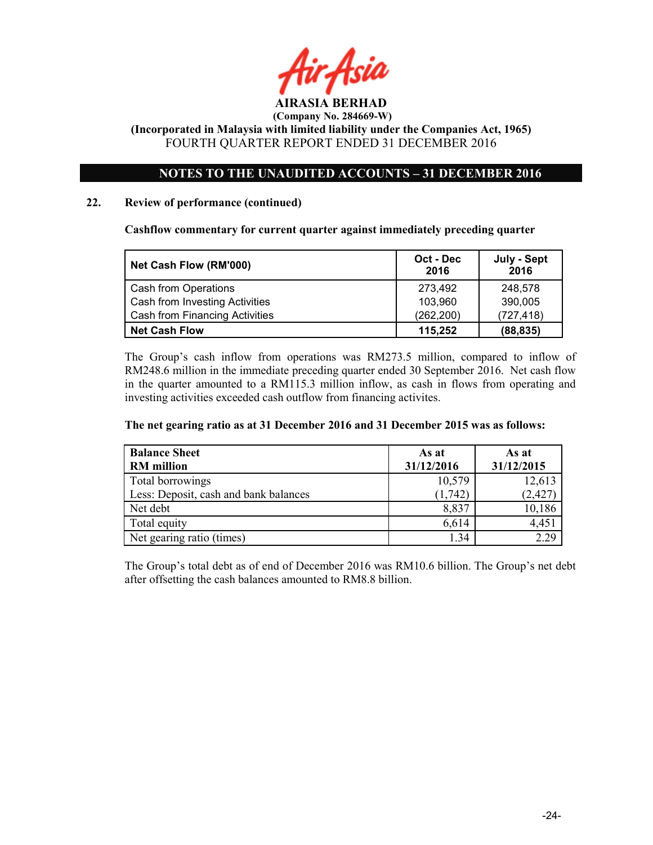

(Incorporated in Malaysia with limited liability under the Companies Act, 1965) FOURTH QUARTER REPORT ENDED 31 DECEMBER 2016

### NOTES TO THE UNAUDITED ACCOUNTS – 31 DECEMBER 2016

### 22. Review of performance (continued)

Cashflow commentary for current quarter against immediately preceding quarter

| Net Cash Flow (RM'000)         | Oct - Dec<br>2016 | July - Sept<br>2016 |
|--------------------------------|-------------------|---------------------|
| Cash from Operations           | 273.492           | 248,578             |
| Cash from Investing Activities | 103.960           | 390,005             |
| Cash from Financing Activities | (262, 200)        | (727, 418)          |
| Net Cash Flow                  | 115,252           | (88, 835)           |

The Group's cash inflow from operations was RM273.5 million, compared to inflow of RM248.6 million in the immediate preceding quarter ended 30 September 2016. Net cash flow in the quarter amounted to a RM115.3 million inflow, as cash in flows from operating and investing activities exceeded cash outflow from financing activites.

### The net gearing ratio as at 31 December 2016 and 31 December 2015 was as follows:

| <b>Balance Sheet</b><br><b>RM</b> million | As at<br>31/12/2016 | As at<br>31/12/2015 |
|-------------------------------------------|---------------------|---------------------|
| Total borrowings                          | 10,579              | 12,613              |
| Less: Deposit, cash and bank balances     | (1,742)             | (2, 427)            |
| Net debt                                  | 8,837               | 10,186              |
| Total equity                              | 6,614               | 4,451               |
| Net gearing ratio (times)                 | 1.34                | 2.29                |

The Group's total debt as of end of December 2016 was RM10.6 billion. The Group's net debt after offsetting the cash balances amounted to RM8.8 billion.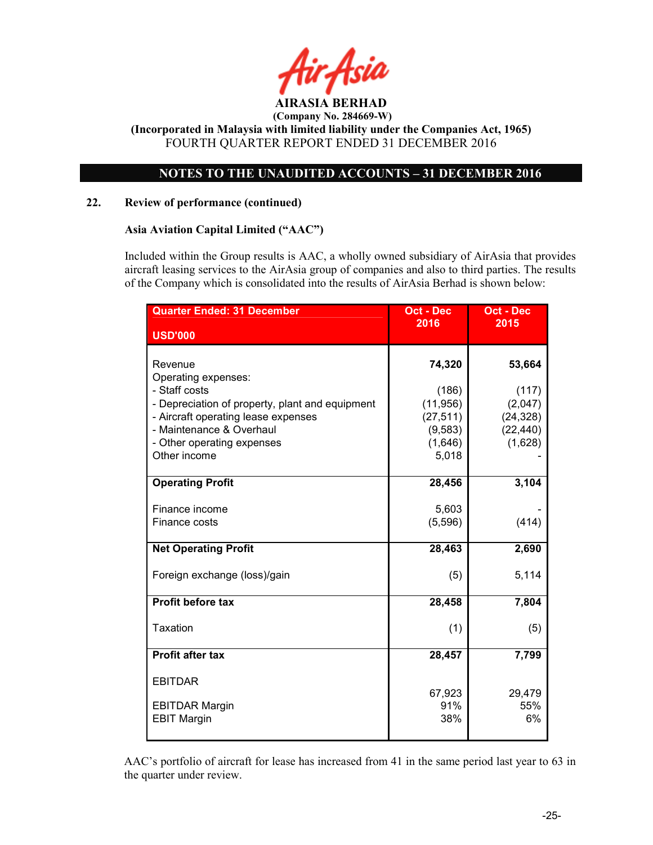

(Incorporated in Malaysia with limited liability under the Companies Act, 1965) FOURTH QUARTER REPORT ENDED 31 DECEMBER 2016

### NOTES TO THE UNAUDITED ACCOUNTS – 31 DECEMBER 2016

### 22. Review of performance (continued)

### Asia Aviation Capital Limited ("AAC")

Included within the Group results is AAC, a wholly owned subsidiary of AirAsia that provides aircraft leasing services to the AirAsia group of companies and also to third parties. The results of the Company which is consolidated into the results of AirAsia Berhad is shown below:

| <b>Quarter Ended: 31 December</b>               | <b>Oct - Dec</b><br>2016 | <b>Oct - Dec</b><br>2015 |
|-------------------------------------------------|--------------------------|--------------------------|
| <b>USD'000</b>                                  |                          |                          |
| Revenue<br>Operating expenses:                  | 74,320                   | 53,664                   |
| - Staff costs                                   | (186)                    | (117)                    |
| - Depreciation of property, plant and equipment | (11, 956)                | (2,047)                  |
| - Aircraft operating lease expenses             | (27, 511)                | (24, 328)                |
| - Maintenance & Overhaul                        | (9, 583)                 | (22, 440)                |
| - Other operating expenses<br>Other income      | (1,646)<br>5,018         | (1,628)                  |
|                                                 |                          |                          |
| <b>Operating Profit</b>                         | 28,456                   | 3,104                    |
|                                                 |                          |                          |
| Finance income<br>Finance costs                 | 5,603<br>(5,596)         | (414)                    |
|                                                 |                          |                          |
| <b>Net Operating Profit</b>                     | 28,463                   | 2,690                    |
| Foreign exchange (loss)/gain                    | (5)                      | 5,114                    |
| <b>Profit before tax</b>                        | 28,458                   | 7,804                    |
| Taxation                                        | (1)                      | (5)                      |
| <b>Profit after tax</b>                         | 28,457                   | 7,799                    |
| <b>EBITDAR</b>                                  |                          |                          |
|                                                 | 67,923                   | 29,479                   |
| <b>EBITDAR Margin</b><br><b>EBIT Margin</b>     | 91%<br>38%               | 55%<br>6%                |
|                                                 |                          |                          |

AAC's portfolio of aircraft for lease has increased from 41 in the same period last year to 63 in the quarter under review.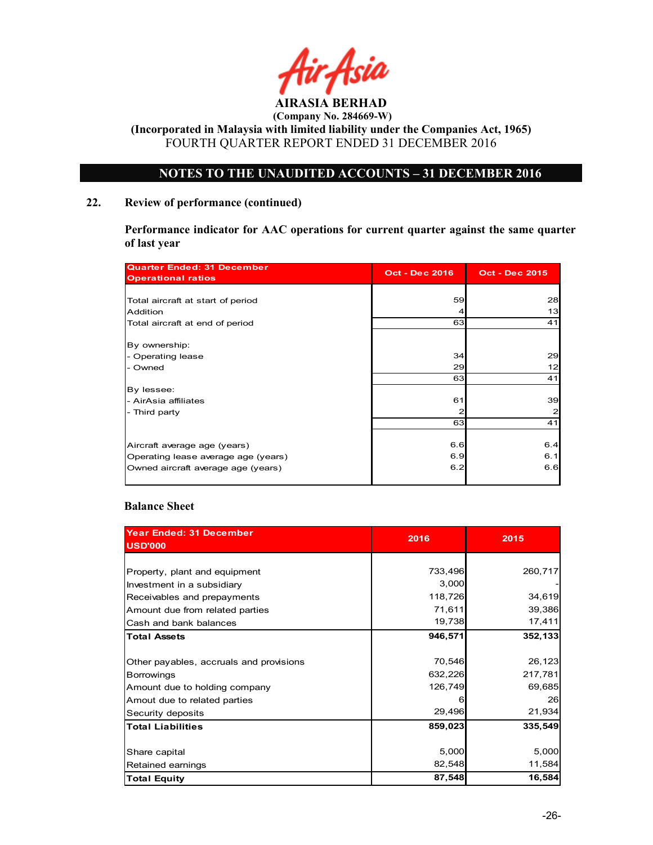

 (Company No. 284669-W) (Incorporated in Malaysia with limited liability under the Companies Act, 1965)

FOURTH QUARTER REPORT ENDED 31 DECEMBER 2016

### NOTES TO THE UNAUDITED ACCOUNTS – 31 DECEMBER 2016

### 22. Review of performance (continued)

Performance indicator for AAC operations for current quarter against the same quarter of last year

| <b>Quarter Ended: 31 December</b><br><b>Operational ratios</b> | <b>Oct - Dec 2016</b> | <b>Oct - Dec 2015</b> |
|----------------------------------------------------------------|-----------------------|-----------------------|
|                                                                |                       |                       |
| Total aircraft at start of period                              | 59                    | 28                    |
| Addition                                                       |                       | 13                    |
| Total aircraft at end of period                                | 63                    | 41                    |
| By ownership:                                                  |                       |                       |
| - Operating lease                                              | 34                    | 29                    |
| - Owned                                                        | 29                    | 12                    |
|                                                                | 63                    | 41                    |
| By lessee:                                                     |                       |                       |
| - AirAsia affiliates                                           | 61                    | 39                    |
| - Third party                                                  | 2                     | $\overline{a}$        |
|                                                                | 63                    | 41                    |
|                                                                |                       |                       |
| Aircraft average age (years)                                   | 6.6                   | 6.4                   |
| Operating lease average age (years)                            | 6.9                   | 6.1                   |
| Owned aircraft average age (years)                             | 6.2                   | 6.6                   |

### Balance Sheet

| <b>Year Ended: 31 December</b><br><b>USD'000</b> | 2016    | 2015    |
|--------------------------------------------------|---------|---------|
|                                                  |         |         |
| Property, plant and equipment                    | 733,496 | 260,717 |
| Investment in a subsidiary                       | 3,000   |         |
| Receivables and prepayments                      | 118,726 | 34,619  |
| Amount due from related parties                  | 71,611  | 39,386  |
| Cash and bank balances                           | 19,738  | 17,411  |
| <b>Total Assets</b>                              | 946,571 | 352,133 |
|                                                  |         |         |
| Other payables, accruals and provisions          | 70,546  | 26,123  |
| <b>Borrowings</b>                                | 632,226 | 217,781 |
| Amount due to holding company                    | 126,749 | 69,685  |
| Amout due to related parties                     | n       | 26      |
| Security deposits                                | 29,496  | 21,934  |
| <b>Total Liabilities</b>                         | 859,023 | 335,549 |
|                                                  |         |         |
| Share capital                                    | 5,000   | 5,000   |
| Retained earnings                                | 82,548  | 11,584  |
| <b>Total Equity</b>                              | 87,548  | 16,584  |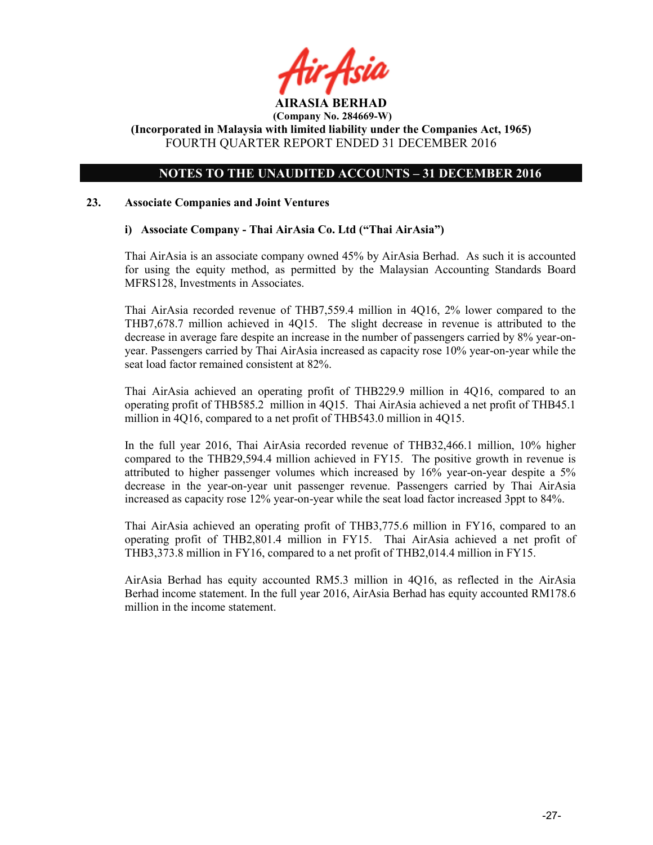

### (Incorporated in Malaysia with limited liability under the Companies Act, 1965) FOURTH QUARTER REPORT ENDED 31 DECEMBER 2016

### NOTES TO THE UNAUDITED ACCOUNTS – 31 DECEMBER 2016

### 23. Associate Companies and Joint Ventures

### i) Associate Company - Thai AirAsia Co. Ltd ("Thai AirAsia")

Thai AirAsia is an associate company owned 45% by AirAsia Berhad. As such it is accounted for using the equity method, as permitted by the Malaysian Accounting Standards Board MFRS128, Investments in Associates.

Thai AirAsia recorded revenue of THB7,559.4 million in 4Q16, 2% lower compared to the THB7,678.7 million achieved in 4Q15. The slight decrease in revenue is attributed to the decrease in average fare despite an increase in the number of passengers carried by 8% year-onyear. Passengers carried by Thai AirAsia increased as capacity rose 10% year-on-year while the seat load factor remained consistent at 82%.

Thai AirAsia achieved an operating profit of THB229.9 million in 4Q16, compared to an operating profit of THB585.2 million in 4Q15. Thai AirAsia achieved a net profit of THB45.1 million in 4Q16, compared to a net profit of THB543.0 million in 4Q15.

In the full year 2016, Thai AirAsia recorded revenue of THB32,466.1 million, 10% higher compared to the THB29,594.4 million achieved in FY15. The positive growth in revenue is attributed to higher passenger volumes which increased by 16% year-on-year despite a 5% decrease in the year-on-year unit passenger revenue. Passengers carried by Thai AirAsia increased as capacity rose 12% year-on-year while the seat load factor increased 3ppt to 84%.

Thai AirAsia achieved an operating profit of THB3,775.6 million in FY16, compared to an operating profit of THB2,801.4 million in FY15. Thai AirAsia achieved a net profit of THB3,373.8 million in FY16, compared to a net profit of THB2,014.4 million in FY15.

AirAsia Berhad has equity accounted RM5.3 million in 4Q16, as reflected in the AirAsia Berhad income statement. In the full year 2016, AirAsia Berhad has equity accounted RM178.6 million in the income statement.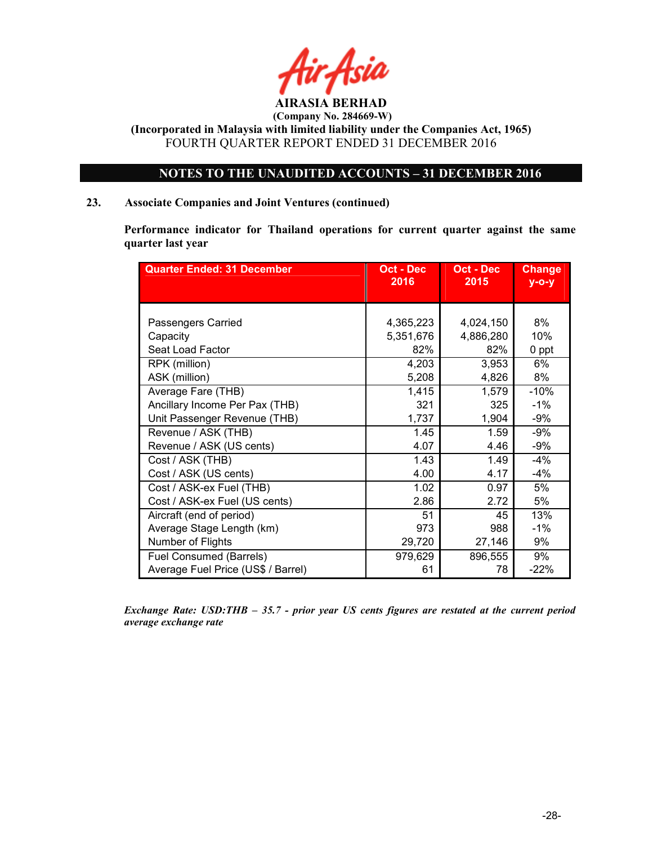

(Incorporated in Malaysia with limited liability under the Companies Act, 1965) FOURTH QUARTER REPORT ENDED 31 DECEMBER 2016

### NOTES TO THE UNAUDITED ACCOUNTS – 31 DECEMBER 2016

### 23. Associate Companies and Joint Ventures (continued)

Performance indicator for Thailand operations for current quarter against the same quarter last year

| <b>Quarter Ended: 31 December</b>  | Oct - Dec<br>2016 | Oct - Dec<br>2015 | <b>Change</b><br>$y$ -o-y |
|------------------------------------|-------------------|-------------------|---------------------------|
|                                    |                   |                   |                           |
|                                    |                   |                   |                           |
| Passengers Carried                 | 4,365,223         | 4,024,150         | 8%                        |
| Capacity                           | 5,351,676         | 4,886,280         | 10%                       |
| Seat Load Factor                   | 82%               | 82%               | 0 ppt                     |
| RPK (million)                      | 4,203             | 3,953             | 6%                        |
| ASK (million)                      | 5,208             | 4,826             | 8%                        |
| Average Fare (THB)                 | 1,415             | 1,579             | $-10%$                    |
| Ancillary Income Per Pax (THB)     | 321               | 325               | $-1\%$                    |
| Unit Passenger Revenue (THB)       | 1,737             | 1,904             | -9%                       |
| Revenue / ASK (THB)                | 1.45              | 1.59              | -9%                       |
| Revenue / ASK (US cents)           | 4.07              | 4.46              | -9%                       |
| Cost / ASK (THB)                   | 1.43              | 1.49              | $-4%$                     |
| Cost / ASK (US cents)              | 4.00              | 4.17              | -4%                       |
| Cost / ASK-ex Fuel (THB)           | 1.02              | 0.97              | 5%                        |
| Cost / ASK-ex Fuel (US cents)      | 2.86              | 2.72              | 5%                        |
| Aircraft (end of period)           | 51                | 45                | 13%                       |
| Average Stage Length (km)          | 973               | 988               | $-1%$                     |
| Number of Flights                  | 29,720            | 27,146            | 9%                        |
| <b>Fuel Consumed (Barrels)</b>     | 979,629           | 896,555           | 9%                        |
| Average Fuel Price (US\$ / Barrel) | 61                | 78                | $-22%$                    |

Exchange Rate: USD:THB – 35.7 - prior year US cents figures are restated at the current period average exchange rate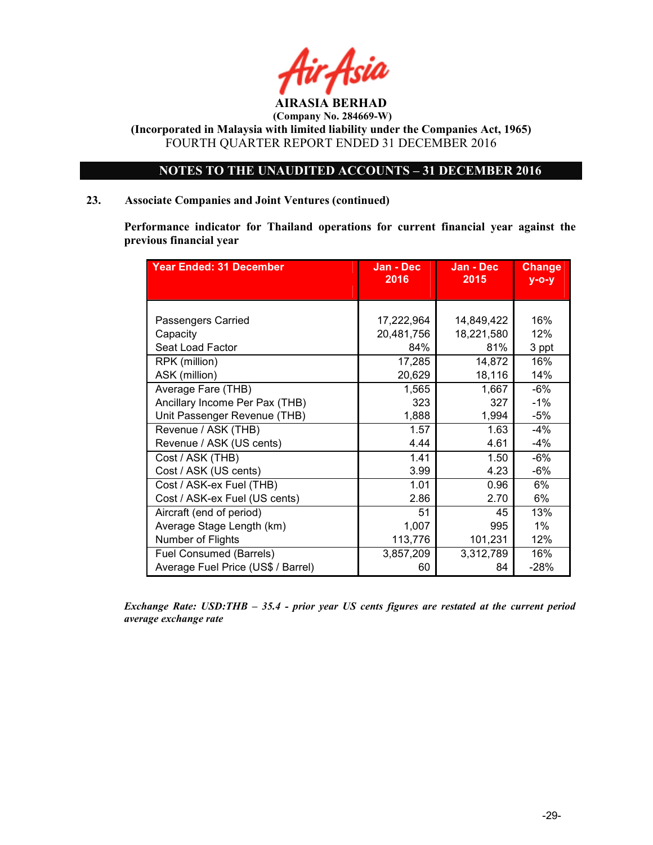

(Incorporated in Malaysia with limited liability under the Companies Act, 1965) FOURTH QUARTER REPORT ENDED 31 DECEMBER 2016

### NOTES TO THE UNAUDITED ACCOUNTS – 31 DECEMBER 2016

### 23. Associate Companies and Joint Ventures (continued)

Performance indicator for Thailand operations for current financial year against the previous financial year

| <b>Year Ended: 31 December</b>     | Jan - Dec<br>2016 | Jan - Dec<br>2015 | <b>Change</b><br>$y$ -o-y |
|------------------------------------|-------------------|-------------------|---------------------------|
|                                    |                   |                   |                           |
|                                    |                   |                   |                           |
| Passengers Carried                 | 17,222,964        | 14,849,422        | 16%                       |
| Capacity                           | 20,481,756        | 18,221,580        | 12%                       |
| Seat Load Factor                   | 84%               | 81%               | 3 ppt                     |
| RPK (million)                      | 17,285            | 14,872            | 16%                       |
| ASK (million)                      | 20,629            | 18,116            | 14%                       |
| Average Fare (THB)                 | 1,565             | 1,667             | $-6%$                     |
| Ancillary Income Per Pax (THB)     | 323               | 327               | $-1%$                     |
| Unit Passenger Revenue (THB)       | 1,888             | 1,994             | $-5%$                     |
| Revenue / ASK (THB)                | 1.57              | 1.63              | -4%                       |
| Revenue / ASK (US cents)           | 4.44              | 4.61              | -4%                       |
| Cost / ASK (THB)                   | 1.41              | 1.50              | $-6%$                     |
| Cost / ASK (US cents)              | 3.99              | 4.23              | $-6%$                     |
| Cost / ASK-ex Fuel (THB)           | 1.01              | 0.96              | 6%                        |
| Cost / ASK-ex Fuel (US cents)      | 2.86              | 2.70              | 6%                        |
| Aircraft (end of period)           | 51                | 45                | 13%                       |
| Average Stage Length (km)          | 1,007             | 995               | 1%                        |
| Number of Flights                  | 113,776           | 101,231           | 12%                       |
| Fuel Consumed (Barrels)            | 3,857,209         | 3,312,789         | 16%                       |
| Average Fuel Price (US\$ / Barrel) | 60                | 84                | $-28%$                    |

Exchange Rate: USD:THB – 35.4 - prior year US cents figures are restated at the current period average exchange rate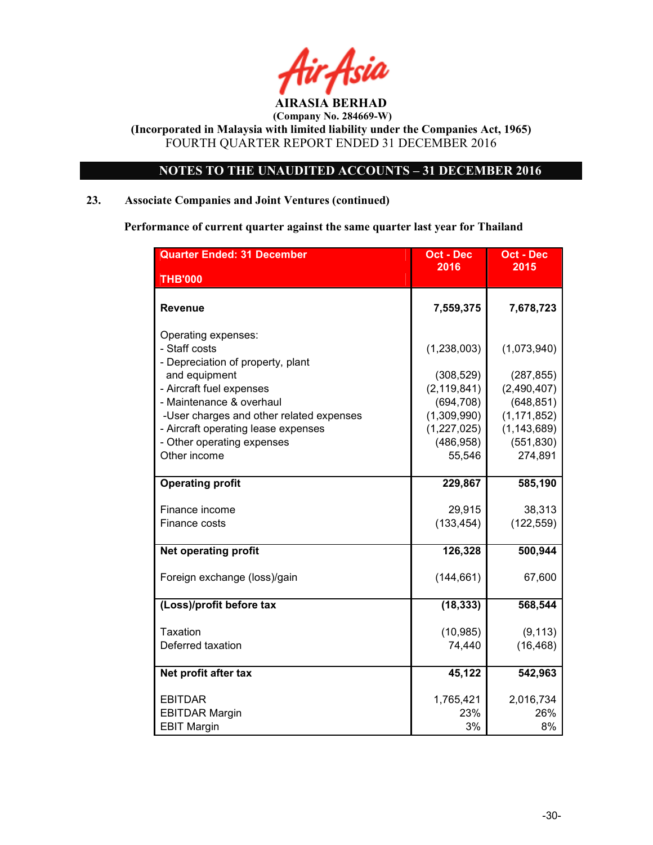

### NOTES TO THE UNAUDITED ACCOUNTS – 31 DECEMBER 2016

### 23. Associate Companies and Joint Ventures (continued)

Performance of current quarter against the same quarter last year for Thailand

| <b>Quarter Ended: 31 December</b>                                                                             | <b>Oct - Dec</b>                         | <b>Oct - Dec</b>                             |
|---------------------------------------------------------------------------------------------------------------|------------------------------------------|----------------------------------------------|
| <b>THB'000</b>                                                                                                | 2016                                     | 2015                                         |
| Revenue                                                                                                       | 7,559,375                                | 7,678,723                                    |
| Operating expenses:<br>- Staff costs<br>- Depreciation of property, plant                                     | (1, 238, 003)                            | (1,073,940)                                  |
| and equipment<br>- Aircraft fuel expenses                                                                     | (308, 529)<br>(2, 119, 841)              | (287, 855)<br>(2,490,407)                    |
| - Maintenance & overhaul                                                                                      | (694, 708)                               | (648, 851)                                   |
| -User charges and other related expenses<br>- Aircraft operating lease expenses<br>- Other operating expenses | (1,309,990)<br>(1,227,025)<br>(486, 958) | (1, 171, 852)<br>(1, 143, 689)<br>(551, 830) |
| Other income                                                                                                  | 55,546                                   | 274,891                                      |
| <b>Operating profit</b>                                                                                       | 229,867                                  | 585,190                                      |
| Finance income                                                                                                | 29,915                                   | 38,313                                       |
| Finance costs                                                                                                 | (133, 454)                               | (122, 559)                                   |
| Net operating profit                                                                                          | 126,328                                  | 500,944                                      |
| Foreign exchange (loss)/gain                                                                                  | (144, 661)                               | 67,600                                       |
| (Loss)/profit before tax                                                                                      | (18, 333)                                | 568,544                                      |
| Taxation                                                                                                      | (10, 985)                                | (9, 113)                                     |
| Deferred taxation                                                                                             | 74,440                                   | (16, 468)                                    |
| Net profit after tax                                                                                          | 45,122                                   | 542,963                                      |
| <b>EBITDAR</b>                                                                                                | 1,765,421                                | 2,016,734                                    |
| <b>EBITDAR Margin</b><br><b>EBIT Margin</b>                                                                   | 23%<br>3%                                | 26%<br>8%                                    |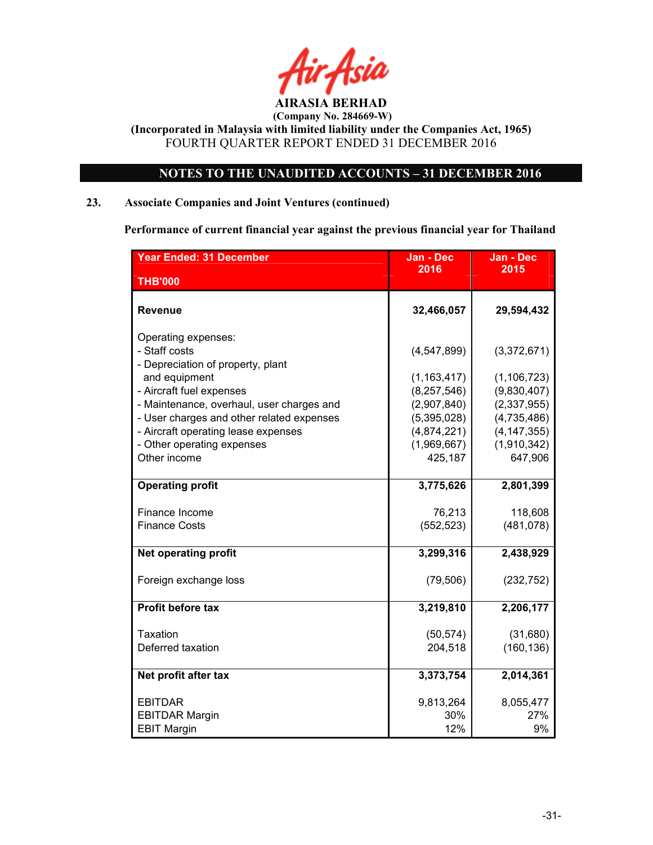

### NOTES TO THE UNAUDITED ACCOUNTS – 31 DECEMBER 2016

### 23. Associate Companies and Joint Ventures (continued)

Performance of current financial year against the previous financial year for Thailand

| <b>Year Ended: 31 December</b>                                                   | Jan - Dec                      | <b>Jan - Dec</b>             |
|----------------------------------------------------------------------------------|--------------------------------|------------------------------|
| <b>THB'000</b>                                                                   | 2016                           | 2015                         |
| <b>Revenue</b>                                                                   | 32,466,057                     | 29,594,432                   |
| Operating expenses:<br>- Staff costs<br>- Depreciation of property, plant        | (4, 547, 899)                  | (3,372,671)                  |
| and equipment<br>- Aircraft fuel expenses                                        | (1, 163, 417)<br>(8, 257, 546) | (1, 106, 723)<br>(9,830,407) |
| - Maintenance, overhaul, user charges and                                        | (2,907,840)                    | (2,337,955)                  |
| - User charges and other related expenses<br>- Aircraft operating lease expenses | (5,395,028)<br>(4,874,221)     | (4,735,486)<br>(4, 147, 355) |
| - Other operating expenses<br>Other income                                       | (1,969,667)<br>425,187         | (1,910,342)<br>647,906       |
| <b>Operating profit</b>                                                          | 3,775,626                      | 2,801,399                    |
| Finance Income                                                                   | 76,213                         | 118,608                      |
| <b>Finance Costs</b>                                                             | (552, 523)                     | (481, 078)                   |
| <b>Net operating profit</b>                                                      | 3,299,316                      | 2,438,929                    |
| Foreign exchange loss                                                            | (79, 506)                      | (232, 752)                   |
| <b>Profit before tax</b>                                                         | 3,219,810                      | 2,206,177                    |
| Taxation                                                                         | (50, 574)                      | (31,680)                     |
| Deferred taxation                                                                | 204,518                        | (160, 136)                   |
| Net profit after tax                                                             | 3,373,754                      | 2,014,361                    |
| <b>EBITDAR</b>                                                                   | 9,813,264                      | 8,055,477                    |
| <b>EBITDAR Margin</b>                                                            | 30%                            | 27%                          |
| <b>EBIT Margin</b>                                                               | 12%                            | 9%                           |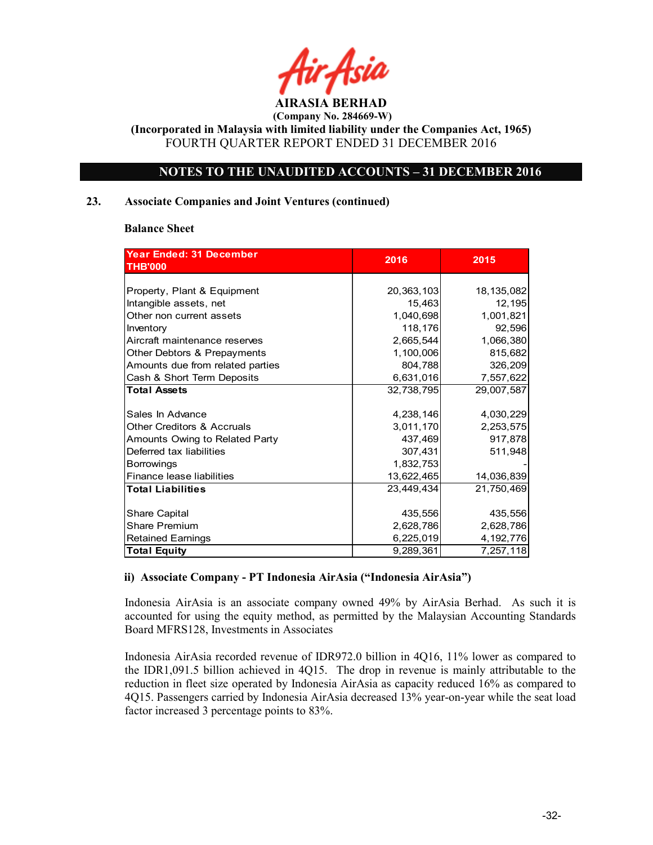

(Incorporated in Malaysia with limited liability under the Companies Act, 1965) FOURTH QUARTER REPORT ENDED 31 DECEMBER 2016

### NOTES TO THE UNAUDITED ACCOUNTS – 31 DECEMBER 2016

### 23. Associate Companies and Joint Ventures (continued)

### Balance Sheet

| Year Ended: 31 December               | 2016       | 2015         |
|---------------------------------------|------------|--------------|
| <b>THB'000</b>                        |            |              |
|                                       |            |              |
| Property, Plant & Equipment           | 20,363,103 | 18, 135, 082 |
| Intangible assets, net                | 15,463     | 12,195       |
| Other non current assets              | 1,040,698  | 1,001,821    |
| Inventory                             | 118,176    | 92,596       |
| Aircraft maintenance reserves         | 2,665,544  | 1,066,380    |
| Other Debtors & Prepayments           | 1,100,006  | 815,682      |
| Amounts due from related parties      | 804,788    | 326,209      |
| Cash & Short Term Deposits            | 6,631,016  | 7,557,622    |
| <b>Total Assets</b>                   | 32,738,795 | 29,007,587   |
|                                       |            |              |
| Sales In Advance                      | 4,238,146  | 4,030,229    |
| <b>Other Creditors &amp; Accruals</b> | 3,011,170  | 2,253,575    |
| Amounts Owing to Related Party        | 437,469    | 917,878      |
| Deferred tax liabilities              | 307,431    | 511,948      |
| <b>Borrowings</b>                     | 1,832,753  |              |
| Finance lease liabilities             | 13,622,465 | 14,036,839   |
| <b>Total Liabilities</b>              | 23,449,434 | 21,750,469   |
|                                       |            |              |
| Share Capital                         | 435,556    | 435,556      |
| <b>Share Premium</b>                  | 2,628,786  | 2,628,786    |
| <b>Retained Earnings</b>              | 6,225,019  | 4, 192, 776  |
| <b>Total Equity</b>                   | 9,289,361  | 7,257,118    |

### ii) Associate Company - PT Indonesia AirAsia ("Indonesia AirAsia")

Indonesia AirAsia is an associate company owned 49% by AirAsia Berhad. As such it is accounted for using the equity method, as permitted by the Malaysian Accounting Standards Board MFRS128, Investments in Associates

Indonesia AirAsia recorded revenue of IDR972.0 billion in 4Q16, 11% lower as compared to the IDR1,091.5 billion achieved in 4Q15. The drop in revenue is mainly attributable to the reduction in fleet size operated by Indonesia AirAsia as capacity reduced 16% as compared to 4Q15. Passengers carried by Indonesia AirAsia decreased 13% year-on-year while the seat load factor increased 3 percentage points to 83%.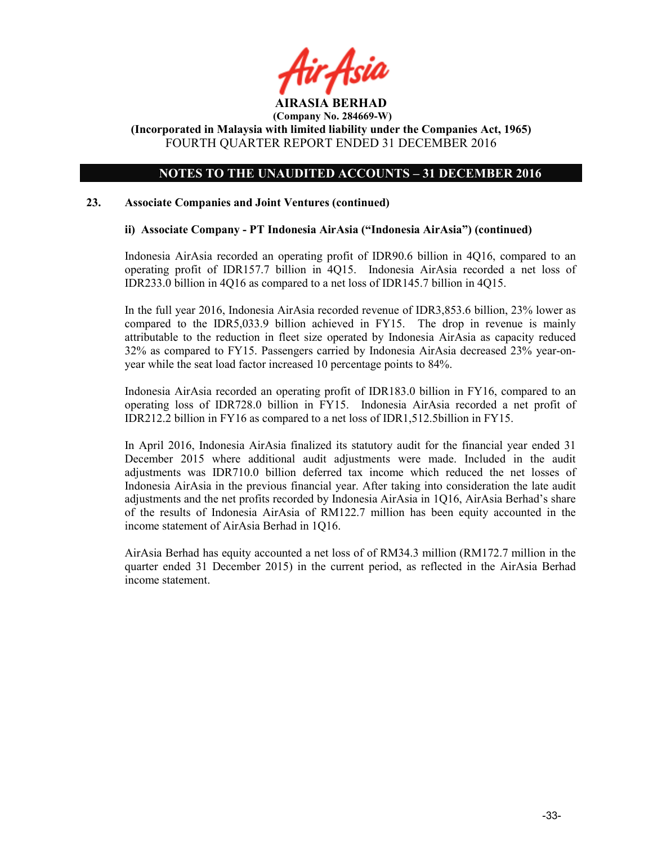

(Incorporated in Malaysia with limited liability under the Companies Act, 1965) FOURTH QUARTER REPORT ENDED 31 DECEMBER 2016

### NOTES TO THE UNAUDITED ACCOUNTS – 31 DECEMBER 2016

### 23. Associate Companies and Joint Ventures (continued)

### ii) Associate Company - PT Indonesia AirAsia ("Indonesia AirAsia") (continued)

Indonesia AirAsia recorded an operating profit of IDR90.6 billion in 4Q16, compared to an operating profit of IDR157.7 billion in 4Q15. Indonesia AirAsia recorded a net loss of IDR233.0 billion in 4Q16 as compared to a net loss of IDR145.7 billion in 4Q15.

In the full year 2016, Indonesia AirAsia recorded revenue of IDR3,853.6 billion, 23% lower as compared to the IDR5,033.9 billion achieved in FY15. The drop in revenue is mainly attributable to the reduction in fleet size operated by Indonesia AirAsia as capacity reduced 32% as compared to FY15. Passengers carried by Indonesia AirAsia decreased 23% year-onyear while the seat load factor increased 10 percentage points to 84%.

Indonesia AirAsia recorded an operating profit of IDR183.0 billion in FY16, compared to an operating loss of IDR728.0 billion in FY15. Indonesia AirAsia recorded a net profit of IDR212.2 billion in FY16 as compared to a net loss of IDR1,512.5billion in FY15.

In April 2016, Indonesia AirAsia finalized its statutory audit for the financial year ended 31 December 2015 where additional audit adjustments were made. Included in the audit adjustments was IDR710.0 billion deferred tax income which reduced the net losses of Indonesia AirAsia in the previous financial year. After taking into consideration the late audit adjustments and the net profits recorded by Indonesia AirAsia in 1Q16, AirAsia Berhad's share of the results of Indonesia AirAsia of RM122.7 million has been equity accounted in the income statement of AirAsia Berhad in 1Q16.

AirAsia Berhad has equity accounted a net loss of of RM34.3 million (RM172.7 million in the quarter ended 31 December 2015) in the current period, as reflected in the AirAsia Berhad income statement.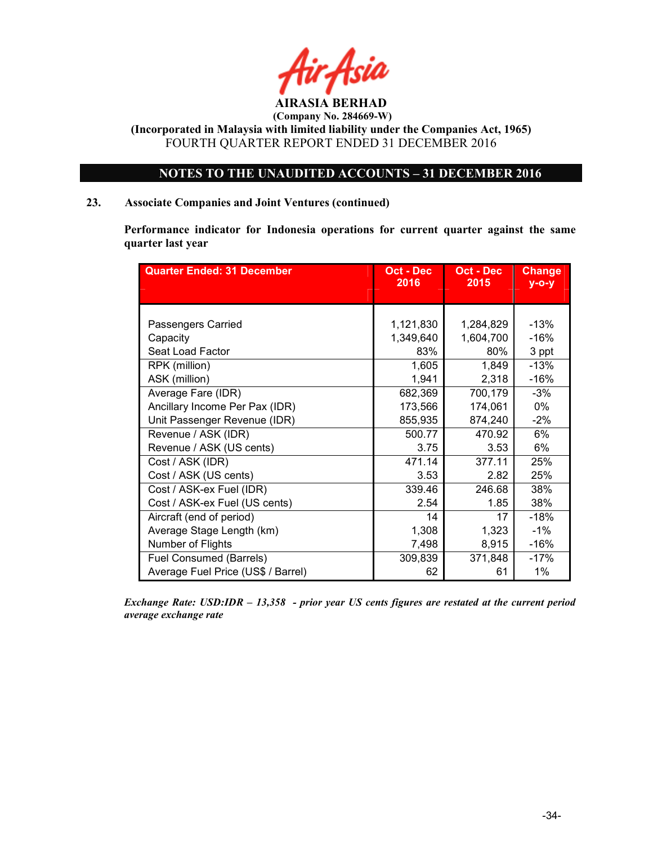

### NOTES TO THE UNAUDITED ACCOUNTS – 31 DECEMBER 2016

### 23. Associate Companies and Joint Ventures (continued)

Performance indicator for Indonesia operations for current quarter against the same quarter last year

| <b>Quarter Ended: 31 December</b>  | Oct - Dec<br>2016 | Oct - Dec<br>2015 | <b>Change</b><br>$y$ -o-y |
|------------------------------------|-------------------|-------------------|---------------------------|
|                                    |                   |                   |                           |
|                                    |                   |                   |                           |
| Passengers Carried                 | 1,121,830         | 1,284,829         | $-13%$                    |
| Capacity                           | 1,349,640         | 1,604,700         | $-16%$                    |
| Seat Load Factor                   | 83%               | 80%               | 3 ppt                     |
| RPK (million)                      | 1,605             | 1,849             | $-13%$                    |
| ASK (million)                      | 1,941             | 2,318             | $-16%$                    |
| Average Fare (IDR)                 | 682,369           | 700,179           | $-3%$                     |
| Ancillary Income Per Pax (IDR)     | 173,566           | 174,061           | 0%                        |
| Unit Passenger Revenue (IDR)       | 855,935           | 874,240           | $-2%$                     |
| Revenue / ASK (IDR)                | 500.77            | 470.92            | 6%                        |
| Revenue / ASK (US cents)           | 3.75              | 3.53              | 6%                        |
| Cost / ASK (IDR)                   | 471.14            | 377.11            | 25%                       |
| Cost / ASK (US cents)              | 3.53              | 2.82              | 25%                       |
| Cost / ASK-ex Fuel (IDR)           | 339.46            | 246.68            | 38%                       |
| Cost / ASK-ex Fuel (US cents)      | 2.54              | 1.85              | 38%                       |
| Aircraft (end of period)           | 14                | 17                | $-18%$                    |
| Average Stage Length (km)          | 1,308             | 1,323             | $-1%$                     |
| Number of Flights                  | 7,498             | 8,915             | $-16%$                    |
| Fuel Consumed (Barrels)            | 309,839           | 371,848           | $-17%$                    |
| Average Fuel Price (US\$ / Barrel) | 62                | 61                | 1%                        |

Exchange Rate: USD:IDR – 13,358 - prior year US cents figures are restated at the current period average exchange rate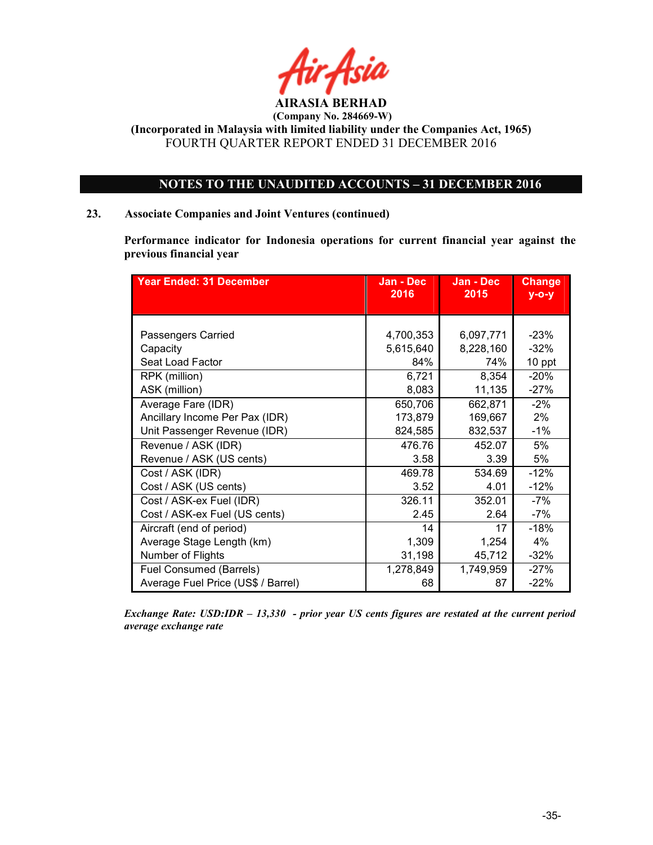

### NOTES TO THE UNAUDITED ACCOUNTS – 31 DECEMBER 2016

### 23. Associate Companies and Joint Ventures (continued)

Performance indicator for Indonesia operations for current financial year against the previous financial year

| <b>Year Ended: 31 December</b>     | Jan - Dec<br>2016 | Jan - Dec<br>2015 | <b>Change</b><br>$y - o - y$ |
|------------------------------------|-------------------|-------------------|------------------------------|
|                                    |                   |                   |                              |
|                                    |                   |                   |                              |
| Passengers Carried                 | 4,700,353         | 6,097,771         | $-23%$                       |
| Capacity                           | 5,615,640         | 8,228,160         | $-32%$                       |
| Seat Load Factor                   | 84%               | 74%               | 10 ppt                       |
| RPK (million)                      | 6,721             | 8,354             | $-20%$                       |
| ASK (million)                      | 8,083             | 11,135            | $-27%$                       |
| Average Fare (IDR)                 | 650,706           | 662,871           | $-2%$                        |
| Ancillary Income Per Pax (IDR)     | 173,879           | 169,667           | 2%                           |
| Unit Passenger Revenue (IDR)       | 824,585           | 832,537           | $-1%$                        |
| Revenue / ASK (IDR)                | 476.76            | 452.07            | 5%                           |
| Revenue / ASK (US cents)           | 3.58              | 3.39              | 5%                           |
| Cost / ASK (IDR)                   | 469.78            | 534.69            | $-12%$                       |
| Cost / ASK (US cents)              | 3.52              | 4.01              | $-12%$                       |
| Cost / ASK-ex Fuel (IDR)           | 326.11            | 352.01            | -7%                          |
| Cost / ASK-ex Fuel (US cents)      | 2.45              | 2.64              | -7%                          |
| Aircraft (end of period)           | 14                | 17                | $-18%$                       |
| Average Stage Length (km)          | 1,309             | 1,254             | 4%                           |
| Number of Flights                  | 31,198            | 45,712            | $-32%$                       |
| Fuel Consumed (Barrels)            | 1,278,849         | 1,749,959         | $-27%$                       |
| Average Fuel Price (US\$ / Barrel) | 68                | 87                | $-22%$                       |

Exchange Rate: USD:IDR – 13,330 - prior year US cents figures are restated at the current period average exchange rate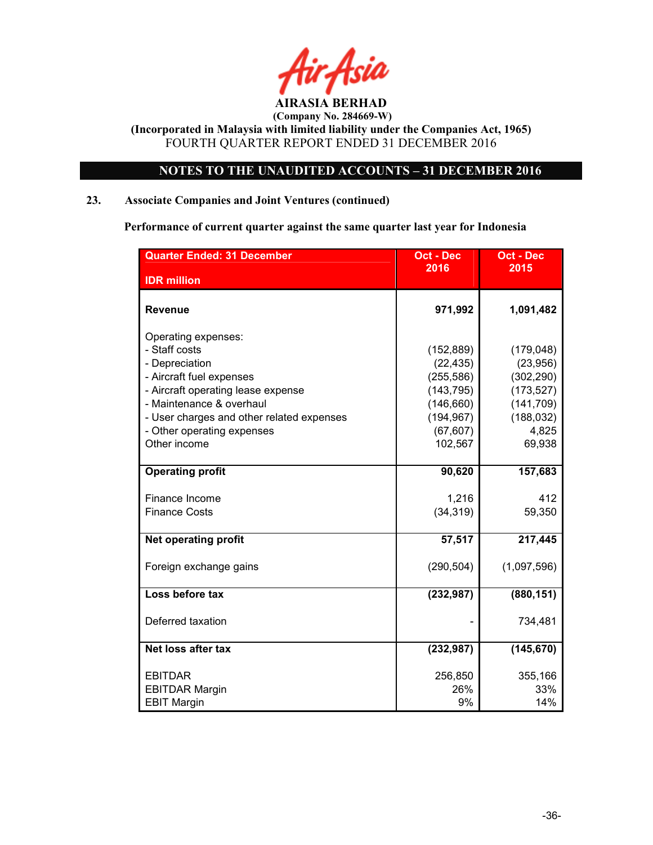

### NOTES TO THE UNAUDITED ACCOUNTS – 31 DECEMBER 2016

### 23. Associate Companies and Joint Ventures (continued)

Performance of current quarter against the same quarter last year for Indonesia

| <b>Oct - Dec</b> | <b>Oct - Dec</b>                                                                                     |
|------------------|------------------------------------------------------------------------------------------------------|
|                  | 2015                                                                                                 |
|                  |                                                                                                      |
| 971,992          | 1,091,482                                                                                            |
|                  |                                                                                                      |
| (152, 889)       | (179, 048)                                                                                           |
| (22, 435)        | (23,956)                                                                                             |
| (255, 586)       | (302, 290)                                                                                           |
| (143, 795)       | (173, 527)                                                                                           |
| (146, 660)       | (141, 709)                                                                                           |
|                  | (188, 032)                                                                                           |
|                  | 4,825                                                                                                |
|                  | 69,938                                                                                               |
|                  |                                                                                                      |
|                  | 157,683                                                                                              |
|                  | 412                                                                                                  |
| (34, 319)        | 59,350                                                                                               |
|                  |                                                                                                      |
| 57,517           | 217,445                                                                                              |
|                  |                                                                                                      |
|                  | (1,097,596)                                                                                          |
| (232, 987)       | (880, 151)                                                                                           |
|                  |                                                                                                      |
|                  | 734,481                                                                                              |
|                  |                                                                                                      |
|                  | (145, 670)                                                                                           |
|                  | 355,166                                                                                              |
| 26%              | 33%                                                                                                  |
| 9%               | 14%                                                                                                  |
|                  | 2016<br>(194, 967)<br>(67, 607)<br>102,567<br>90,620<br>1,216<br>(290, 504)<br>(232, 987)<br>256,850 |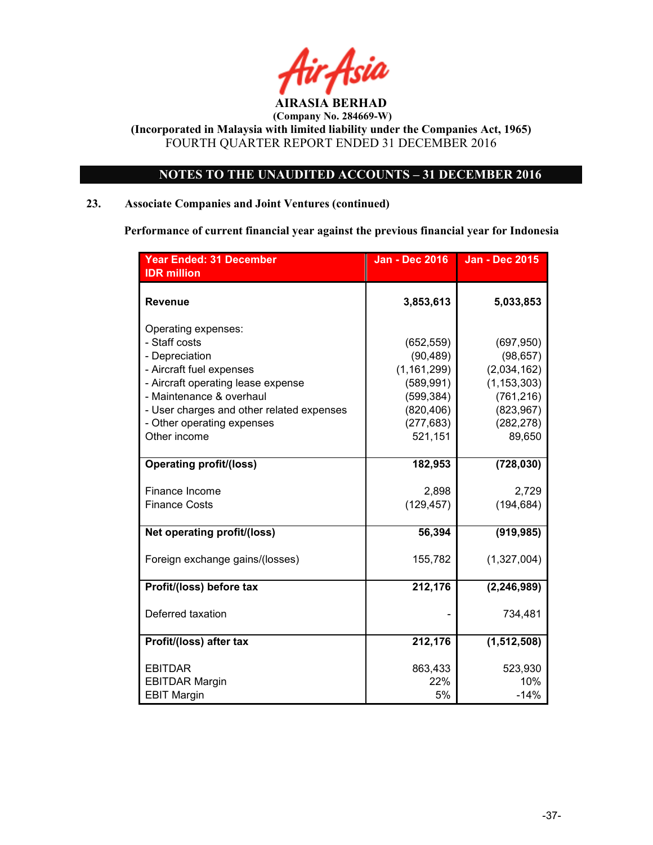

### NOTES TO THE UNAUDITED ACCOUNTS – 31 DECEMBER 2016

### 23. Associate Companies and Joint Ventures (continued)

Performance of current financial year against the previous financial year for Indonesia

| <b>Year Ended: 31 December</b>            | <b>Jan - Dec 2016</b> | <b>Jan - Dec 2015</b> |
|-------------------------------------------|-----------------------|-----------------------|
| <b>IDR</b> million                        |                       |                       |
| <b>Revenue</b>                            | 3,853,613             | 5,033,853             |
| Operating expenses:<br>- Staff costs      | (652, 559)            | (697, 950)            |
| - Depreciation                            | (90, 489)             | (98, 657)             |
| - Aircraft fuel expenses                  | (1, 161, 299)         | (2,034,162)           |
| - Aircraft operating lease expense        | (589, 991)            | (1, 153, 303)         |
| - Maintenance & overhaul                  | (599, 384)            | (761, 216)            |
| - User charges and other related expenses | (820, 406)            | (823, 967)            |
| - Other operating expenses                | (277, 683)            | (282, 278)            |
| Other income                              | 521,151               | 89,650                |
| <b>Operating profit/(loss)</b>            | 182,953               | (728, 030)            |
| Finance Income                            | 2,898                 | 2,729                 |
| <b>Finance Costs</b>                      | (129, 457)            | (194, 684)            |
| Net operating profit/(loss)               | 56,394                | (919, 985)            |
| Foreign exchange gains/(losses)           | 155,782               | (1,327,004)           |
| Profit/(loss) before tax                  | 212,176               | (2, 246, 989)         |
| Deferred taxation                         |                       | 734,481               |
| Profit/(loss) after tax                   | 212,176               | (1,512,508)           |
| <b>EBITDAR</b>                            | 863,433               | 523,930               |
| <b>EBITDAR Margin</b>                     | 22%                   | 10%                   |
| <b>EBIT Margin</b>                        | 5%                    | $-14%$                |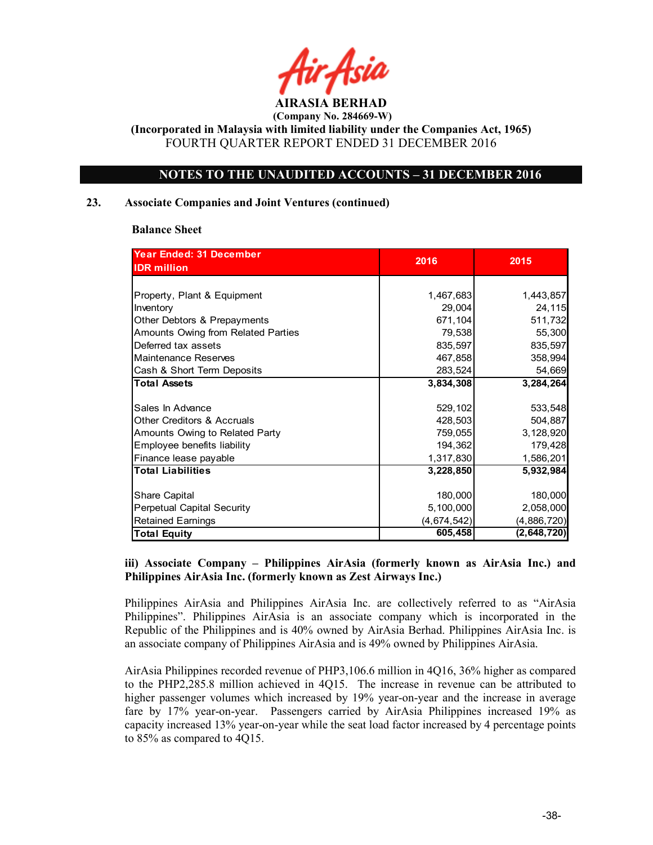

(Incorporated in Malaysia with limited liability under the Companies Act, 1965) FOURTH QUARTER REPORT ENDED 31 DECEMBER 2016

### NOTES TO THE UNAUDITED ACCOUNTS – 31 DECEMBER 2016

### 23. Associate Companies and Joint Ventures (continued)

### Balance Sheet

| <b>Year Ended: 31 December</b>        | 2016        | 2015        |
|---------------------------------------|-------------|-------------|
| <b>IDR</b> million                    |             |             |
|                                       |             |             |
| Property, Plant & Equipment           | 1,467,683   | 1,443,857   |
| Inventory                             | 29,004      | 24,115      |
| Other Debtors & Prepayments           | 671,104     | 511,732     |
| Amounts Owing from Related Parties    | 79,538      | 55,300      |
| Deferred tax assets                   | 835,597     | 835,597     |
| Maintenance Reserves                  | 467,858     | 358,994     |
| Cash & Short Term Deposits            | 283,524     | 54,669      |
| <b>Total Assets</b>                   | 3,834,308   | 3,284,264   |
|                                       |             |             |
| Sales In Advance                      | 529,102     | 533,548     |
| <b>Other Creditors &amp; Accruals</b> | 428,503     | 504,887     |
| Amounts Owing to Related Party        | 759,055     | 3,128,920   |
| Employee benefits liability           | 194,362     | 179,428     |
| Finance lease payable                 | 1,317,830   | 1,586,201   |
| <b>Total Liabilities</b>              | 3,228,850   | 5.932,984   |
|                                       |             |             |
| Share Capital                         | 180,000     | 180,000     |
| <b>Perpetual Capital Security</b>     | 5,100,000   | 2,058,000   |
| <b>Retained Earnings</b>              | (4,674,542) | (4,886,720) |
| Total Equity                          | 605,458     | (2,648,720) |

### iii) Associate Company – Philippines AirAsia (formerly known as AirAsia Inc.) and Philippines AirAsia Inc. (formerly known as Zest Airways Inc.)

Philippines AirAsia and Philippines AirAsia Inc. are collectively referred to as "AirAsia Philippines". Philippines AirAsia is an associate company which is incorporated in the Republic of the Philippines and is 40% owned by AirAsia Berhad. Philippines AirAsia Inc. is an associate company of Philippines AirAsia and is 49% owned by Philippines AirAsia.

AirAsia Philippines recorded revenue of PHP3,106.6 million in 4Q16, 36% higher as compared to the PHP2,285.8 million achieved in 4Q15. The increase in revenue can be attributed to higher passenger volumes which increased by 19% year-on-year and the increase in average fare by 17% year-on-year. Passengers carried by AirAsia Philippines increased 19% as capacity increased 13% year-on-year while the seat load factor increased by 4 percentage points to 85% as compared to 4Q15.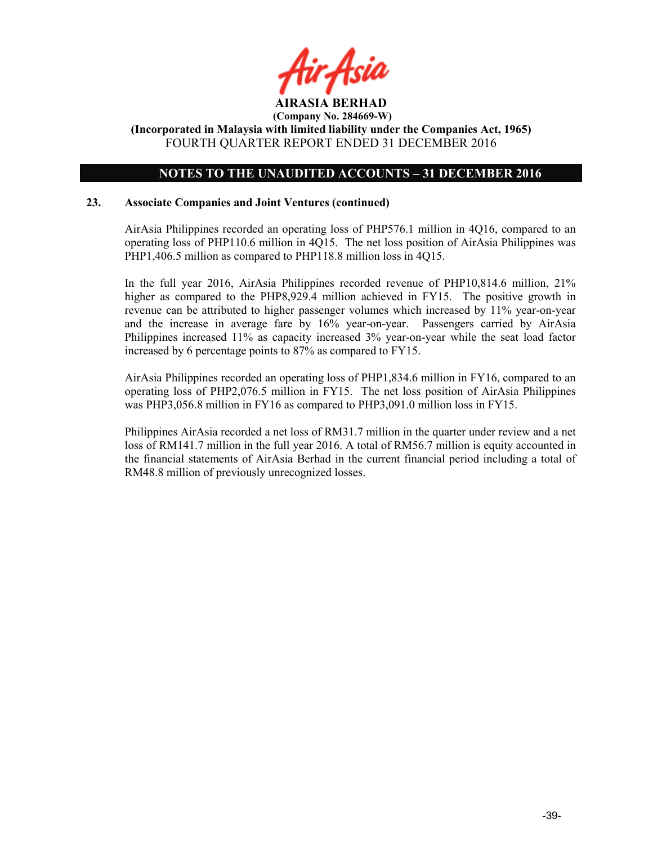

### NOTES TO THE UNAUDITED ACCOUNTS – 31 DECEMBER 2016

### 23. Associate Companies and Joint Ventures (continued)

AirAsia Philippines recorded an operating loss of PHP576.1 million in 4Q16, compared to an operating loss of PHP110.6 million in 4Q15. The net loss position of AirAsia Philippines was PHP1,406.5 million as compared to PHP118.8 million loss in 4Q15.

In the full year 2016, AirAsia Philippines recorded revenue of PHP10,814.6 million, 21% higher as compared to the PHP8,929.4 million achieved in FY15. The positive growth in revenue can be attributed to higher passenger volumes which increased by 11% year-on-year and the increase in average fare by 16% year-on-year. Passengers carried by AirAsia Philippines increased 11% as capacity increased 3% year-on-year while the seat load factor increased by 6 percentage points to 87% as compared to FY15.

AirAsia Philippines recorded an operating loss of PHP1,834.6 million in FY16, compared to an operating loss of PHP2,076.5 million in FY15. The net loss position of AirAsia Philippines was PHP3,056.8 million in FY16 as compared to PHP3,091.0 million loss in FY15.

Philippines AirAsia recorded a net loss of RM31.7 million in the quarter under review and a net loss of RM141.7 million in the full year 2016. A total of RM56.7 million is equity accounted in the financial statements of AirAsia Berhad in the current financial period including a total of RM48.8 million of previously unrecognized losses.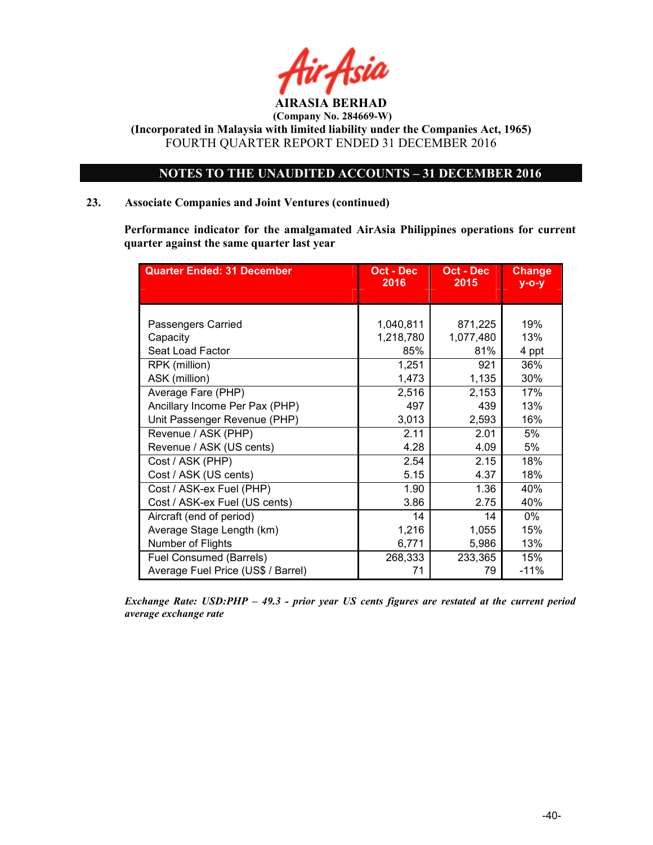

### NOTES TO THE UNAUDITED ACCOUNTS – 31 DECEMBER 2016

### 23. Associate Companies and Joint Ventures (continued)

Performance indicator for the amalgamated AirAsia Philippines operations for current quarter against the same quarter last year

| <b>Quarter Ended: 31 December</b>  | Oct - Dec<br>2016 | Oct - Dec<br>2015 | <b>Change</b><br>$y$ -o-y |
|------------------------------------|-------------------|-------------------|---------------------------|
|                                    |                   |                   |                           |
|                                    |                   |                   |                           |
| Passengers Carried                 | 1,040,811         | 871,225           | 19%                       |
| Capacity                           | 1,218,780         | 1,077,480         | 13%                       |
| Seat Load Factor                   | 85%               | 81%               | 4 ppt                     |
| RPK (million)                      | 1,251             | 921               | 36%                       |
| ASK (million)                      | 1,473             | 1,135             | 30%                       |
| Average Fare (PHP)                 | 2,516             | 2,153             | 17%                       |
| Ancillary Income Per Pax (PHP)     | 497               | 439               | 13%                       |
| Unit Passenger Revenue (PHP)       | 3,013             | 2,593             | 16%                       |
| Revenue / ASK (PHP)                | 2.11              | 2.01              | 5%                        |
| Revenue / ASK (US cents)           | 4.28              | 4.09              | 5%                        |
| Cost / ASK (PHP)                   | 2.54              | 2.15              | 18%                       |
| Cost / ASK (US cents)              | 5.15              | 4.37              | 18%                       |
| Cost / ASK-ex Fuel (PHP)           | 1.90              | 1.36              | 40%                       |
| Cost / ASK-ex Fuel (US cents)      | 3.86              | 2.75              | 40%                       |
| Aircraft (end of period)           | 14                | 14                | $0\%$                     |
| Average Stage Length (km)          | 1,216             | 1,055             | 15%                       |
| Number of Flights                  | 6,771             | 5,986             | 13%                       |
| Fuel Consumed (Barrels)            | 268,333           | 233,365           | 15%                       |
| Average Fuel Price (US\$ / Barrel) | 71                | 79                | $-11%$                    |

Exchange Rate: USD:PHP – 49.3 - prior year US cents figures are restated at the current period average exchange rate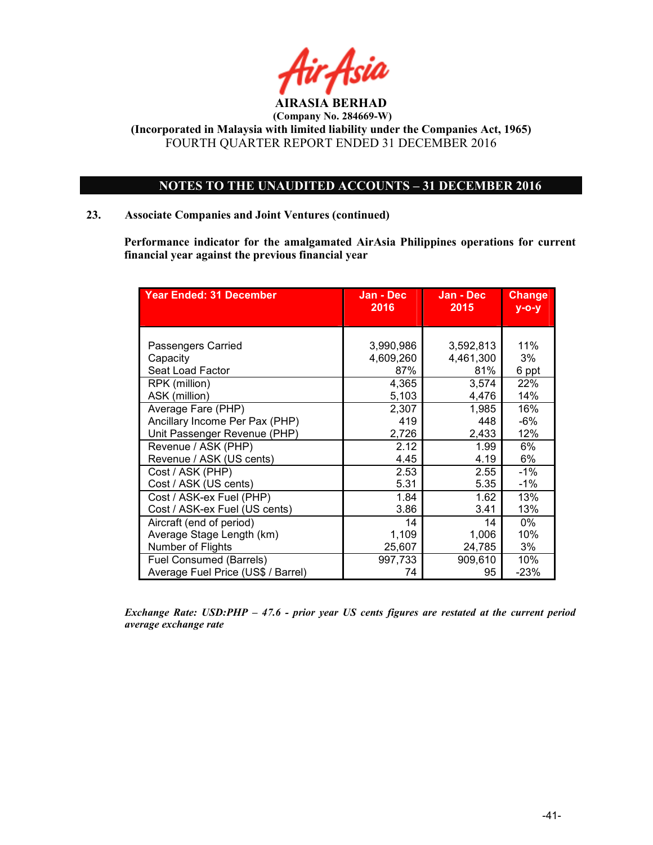

### NOTES TO THE UNAUDITED ACCOUNTS – 31 DECEMBER 2016

### 23. Associate Companies and Joint Ventures (continued)

Performance indicator for the amalgamated AirAsia Philippines operations for current financial year against the previous financial year

| <b>Year Ended: 31 December</b>                     | Jan - Dec<br>2016             | Jan - Dec<br>2015             | <b>Change</b><br>$y - o - y$ |
|----------------------------------------------------|-------------------------------|-------------------------------|------------------------------|
|                                                    |                               |                               |                              |
| Passengers Carried<br>Capacity<br>Seat Load Factor | 3,990,986<br>4,609,260<br>87% | 3,592,813<br>4,461,300<br>81% | 11%<br>3%<br>6 ppt           |
| RPK (million)                                      | 4,365                         | 3,574                         | 22%                          |
| ASK (million)                                      | 5,103                         | 4,476                         | 14%                          |
| Average Fare (PHP)                                 | 2,307                         | 1,985                         | 16%                          |
| Ancillary Income Per Pax (PHP)                     | 419                           | 448                           | -6%                          |
| Unit Passenger Revenue (PHP)                       | 2,726                         | 2,433                         | 12%                          |
| Revenue / ASK (PHP)                                | 2.12                          | 1.99                          | 6%                           |
| Revenue / ASK (US cents)                           | 4.45                          | 4.19                          | 6%                           |
| Cost / ASK (PHP)                                   | 2.53                          | 2.55                          | $-1%$                        |
| Cost / ASK (US cents)                              | 5.31                          | 5.35                          | $-1%$                        |
| Cost / ASK-ex Fuel (PHP)                           | 1.84                          | 1.62                          | 13%                          |
| Cost / ASK-ex Fuel (US cents)                      | 3.86                          | 3.41                          | 13%                          |
| Aircraft (end of period)                           | 14                            | 14                            | 0%                           |
| Average Stage Length (km)                          | 1,109                         | 1,006                         | 10%                          |
| Number of Flights                                  | 25,607                        | 24,785                        | 3%                           |
| Fuel Consumed (Barrels)                            | 997,733                       | 909,610                       | 10%                          |
| Average Fuel Price (US\$ / Barrel)                 | 74                            | 95                            | $-23%$                       |

Exchange Rate: USD:PHP – 47.6 - prior year US cents figures are restated at the current period average exchange rate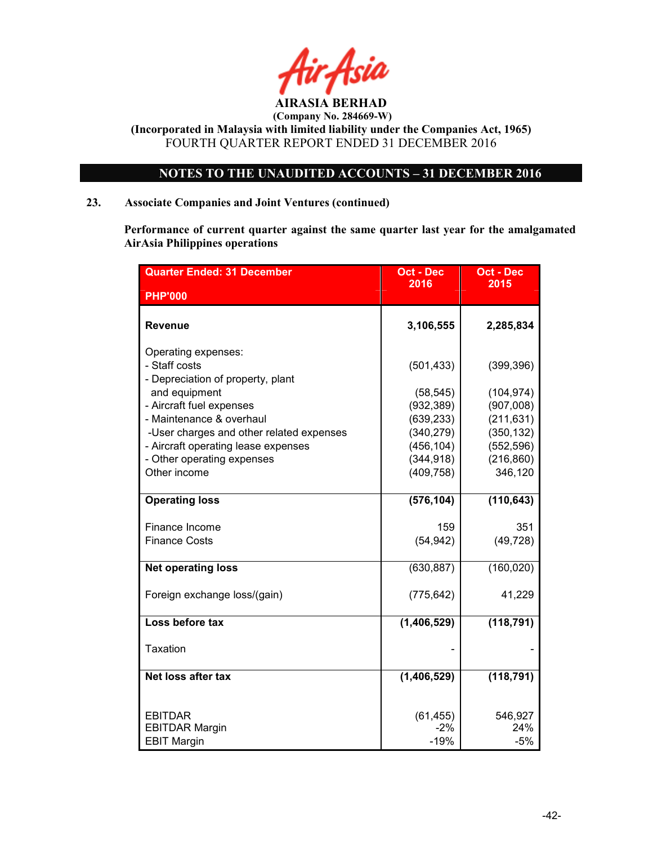

### NOTES TO THE UNAUDITED ACCOUNTS – 31 DECEMBER 2016

### 23. Associate Companies and Joint Ventures (continued)

Performance of current quarter against the same quarter last year for the amalgamated AirAsia Philippines operations

| <b>Quarter Ended: 31 December</b>                                                                             | <b>Oct - Dec</b><br>2016               | <b>Oct - Dec</b><br>2015               |
|---------------------------------------------------------------------------------------------------------------|----------------------------------------|----------------------------------------|
| <b>PHP'000</b>                                                                                                |                                        |                                        |
| Revenue                                                                                                       | 3,106,555                              | 2,285,834                              |
| Operating expenses:<br>- Staff costs<br>- Depreciation of property, plant                                     | (501, 433)                             | (399, 396)                             |
| and equipment<br>- Aircraft fuel expenses<br>- Maintenance & overhaul                                         | (58, 545)<br>(932, 389)<br>(639, 233)  | (104, 974)<br>(907,008)<br>(211, 631)  |
| -User charges and other related expenses<br>- Aircraft operating lease expenses<br>- Other operating expenses | (340, 279)<br>(456, 104)<br>(344, 918) | (350, 132)<br>(552, 596)<br>(216, 860) |
| Other income                                                                                                  | (409, 758)                             | 346,120                                |
| <b>Operating loss</b>                                                                                         | (576, 104)                             | (110, 643)                             |
| Finance Income<br><b>Finance Costs</b>                                                                        | 159<br>(54, 942)                       | 351<br>(49, 728)                       |
| <b>Net operating loss</b>                                                                                     | (630, 887)                             | (160, 020)                             |
| Foreign exchange loss/(gain)                                                                                  | (775, 642)                             | 41,229                                 |
| Loss before tax                                                                                               | (1,406,529)                            | (118, 791)                             |
| Taxation                                                                                                      |                                        |                                        |
| Net loss after tax                                                                                            | (1, 406, 529)                          | (118, 791)                             |
| <b>EBITDAR</b><br><b>EBITDAR Margin</b><br><b>EBIT Margin</b>                                                 | (61, 455)<br>$-2%$<br>$-19%$           | 546,927<br>24%<br>$-5%$                |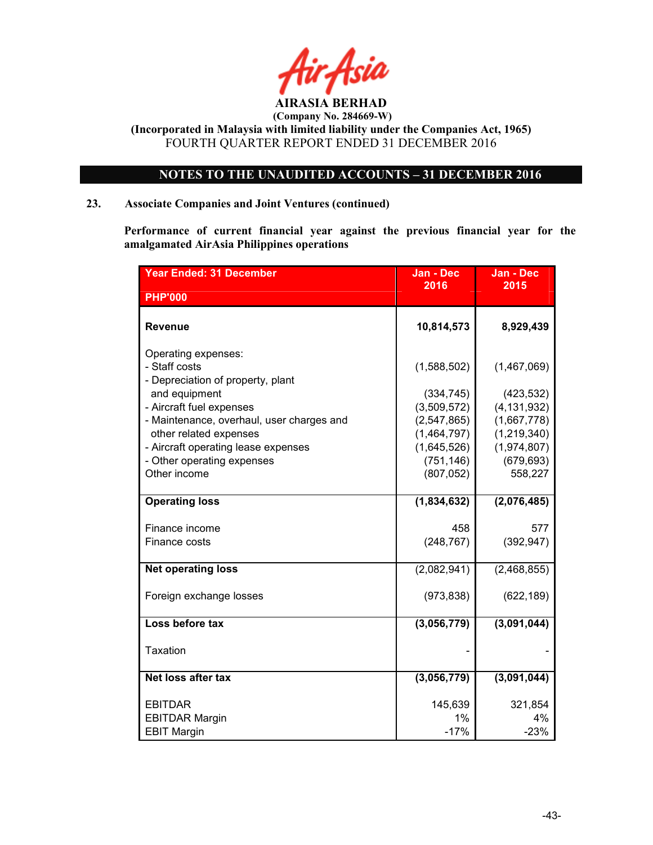

### NOTES TO THE UNAUDITED ACCOUNTS – 31 DECEMBER 2016

### 23. Associate Companies and Joint Ventures (continued)

Performance of current financial year against the previous financial year for the amalgamated AirAsia Philippines operations

| <b>Year Ended: 31 December</b>                                                                                                                                                                                                       | Jan - Dec                                                                               | Jan - Dec                                                                               |
|--------------------------------------------------------------------------------------------------------------------------------------------------------------------------------------------------------------------------------------|-----------------------------------------------------------------------------------------|-----------------------------------------------------------------------------------------|
| <b>PHP'000</b>                                                                                                                                                                                                                       | 2016                                                                                    | 2015                                                                                    |
| <b>Revenue</b>                                                                                                                                                                                                                       | 10,814,573                                                                              | 8,929,439                                                                               |
| Operating expenses:<br>- Staff costs<br>- Depreciation of property, plant<br>and equipment<br>- Aircraft fuel expenses<br>- Maintenance, overhaul, user charges and<br>other related expenses<br>- Aircraft operating lease expenses | (1,588,502)<br>(334, 745)<br>(3,509,572)<br>(2, 547, 865)<br>(1,464,797)<br>(1,645,526) | (1,467,069)<br>(423, 532)<br>(4, 131, 932)<br>(1,667,778)<br>(1,219,340)<br>(1,974,807) |
| - Other operating expenses<br>Other income                                                                                                                                                                                           | (751, 146)<br>(807, 052)                                                                | (679, 693)<br>558,227                                                                   |
| <b>Operating loss</b>                                                                                                                                                                                                                | (1,834,632)                                                                             | (2,076,485)                                                                             |
| Finance income<br>Finance costs                                                                                                                                                                                                      | 458<br>(248, 767)                                                                       | 577<br>(392, 947)                                                                       |
| <b>Net operating loss</b>                                                                                                                                                                                                            | (2,082,941)                                                                             | (2,468,855)                                                                             |
| Foreign exchange losses                                                                                                                                                                                                              | (973, 838)                                                                              | (622, 189)                                                                              |
| Loss before tax                                                                                                                                                                                                                      | (3,056,779)                                                                             | (3,091,044)                                                                             |
| <b>Taxation</b>                                                                                                                                                                                                                      |                                                                                         |                                                                                         |
| Net loss after tax                                                                                                                                                                                                                   | (3,056,779)                                                                             | (3,091,044)                                                                             |
| <b>EBITDAR</b><br><b>EBITDAR Margin</b><br><b>EBIT Margin</b>                                                                                                                                                                        | 145,639<br>1%<br>$-17%$                                                                 | 321,854<br>$4\%$<br>$-23%$                                                              |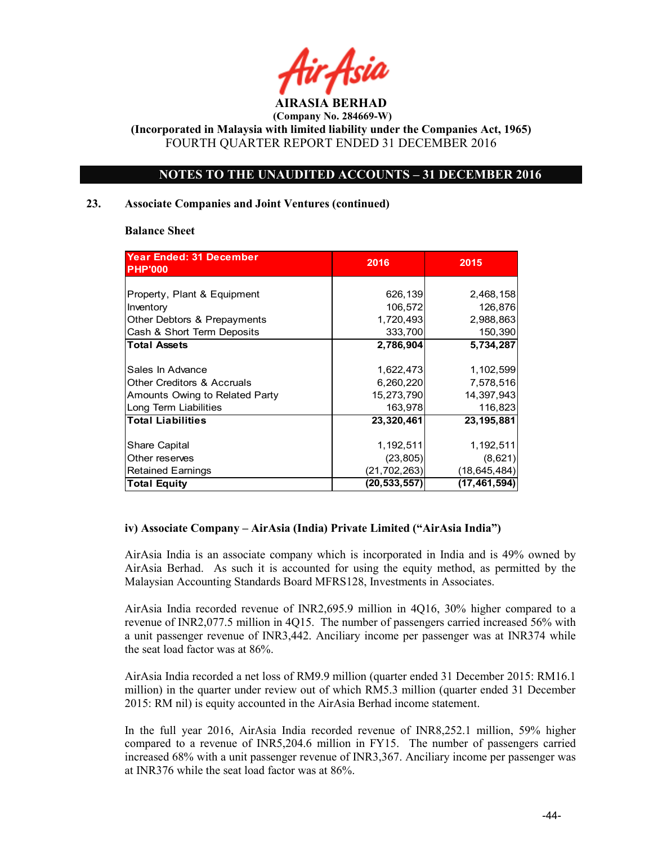

 (Company No. 284669-W) (Incorporated in Malaysia with limited liability under the Companies Act, 1965)

FOURTH QUARTER REPORT ENDED 31 DECEMBER 2016

### NOTES TO THE UNAUDITED ACCOUNTS – 31 DECEMBER 2016

### 23. Associate Companies and Joint Ventures (continued)

### Balance Sheet

| <b>Year Ended: 31 December</b><br><b>PHP'000</b> | 2016           | 2015           |
|--------------------------------------------------|----------------|----------------|
|                                                  |                |                |
| Property, Plant & Equipment                      | 626,139        | 2,468,158      |
| Inventory                                        | 106,572        | 126,876        |
| Other Debtors & Prepayments                      | 1,720,493      | 2,988,863      |
| Cash & Short Term Deposits                       | 333,700        | 150,390        |
| <b>Total Assets</b>                              | 2,786,904      | 5,734,287      |
|                                                  |                |                |
| Sales In Advance                                 | 1,622,473      | 1,102,599      |
| <b>Other Creditors &amp; Accruals</b>            | 6,260,220      | 7,578,516      |
| Amounts Owing to Related Party                   | 15,273,790     | 14,397,943     |
| Long Term Liabilities                            | 163,978        | 116,823        |
| <b>Total Liabilities</b>                         | 23,320,461     | 23,195,881     |
|                                                  |                |                |
| Share Capital                                    | 1,192,511      | 1,192,511      |
| Other reserves                                   | (23, 805)      | (8,621)        |
| Retained Earnings                                | (21, 702, 263) | (18, 645, 484) |
| Total Equity                                     | (20,533,557)   | (17, 461, 594) |

### iv) Associate Company – AirAsia (India) Private Limited ("AirAsia India")

AirAsia India is an associate company which is incorporated in India and is 49% owned by AirAsia Berhad. As such it is accounted for using the equity method, as permitted by the Malaysian Accounting Standards Board MFRS128, Investments in Associates.

AirAsia India recorded revenue of INR2,695.9 million in 4Q16, 30% higher compared to a revenue of INR2,077.5 million in 4Q15. The number of passengers carried increased 56% with a unit passenger revenue of INR3,442. Anciliary income per passenger was at INR374 while the seat load factor was at 86%.

AirAsia India recorded a net loss of RM9.9 million (quarter ended 31 December 2015: RM16.1 million) in the quarter under review out of which RM5.3 million (quarter ended 31 December 2015: RM nil) is equity accounted in the AirAsia Berhad income statement.

In the full year 2016, AirAsia India recorded revenue of INR8,252.1 million, 59% higher compared to a revenue of INR5,204.6 million in FY15. The number of passengers carried increased 68% with a unit passenger revenue of INR3,367. Anciliary income per passenger was at INR376 while the seat load factor was at 86%.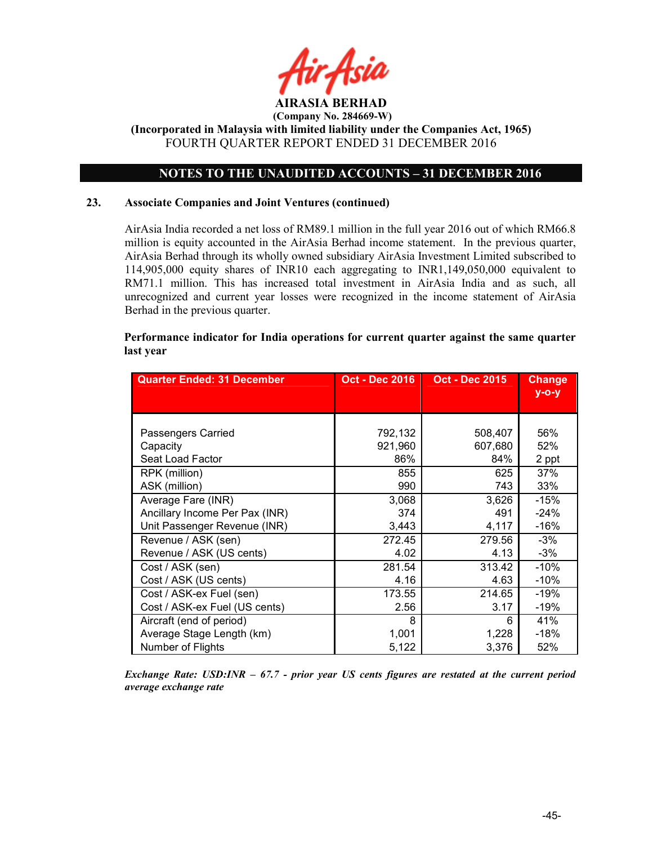

### NOTES TO THE UNAUDITED ACCOUNTS – 31 DECEMBER 2016

### 23. Associate Companies and Joint Ventures (continued)

AirAsia India recorded a net loss of RM89.1 million in the full year 2016 out of which RM66.8 million is equity accounted in the AirAsia Berhad income statement. In the previous quarter, AirAsia Berhad through its wholly owned subsidiary AirAsia Investment Limited subscribed to 114,905,000 equity shares of INR10 each aggregating to INR1,149,050,000 equivalent to RM71.1 million. This has increased total investment in AirAsia India and as such, all unrecognized and current year losses were recognized in the income statement of AirAsia Berhad in the previous quarter.

### Performance indicator for India operations for current quarter against the same quarter last year

| <b>Quarter Ended: 31 December</b> | <b>Oct - Dec 2016</b> | <b>Oct - Dec 2015</b> | <b>Change</b> |
|-----------------------------------|-----------------------|-----------------------|---------------|
|                                   |                       |                       | $y - o - y$   |
|                                   |                       |                       |               |
| Passengers Carried                | 792,132               | 508,407               | 56%           |
| Capacity                          | 921,960               | 607,680               | 52%           |
| Seat Load Factor                  | 86%                   | 84%                   | 2 ppt         |
| RPK (million)                     | 855                   | 625                   | 37%           |
| ASK (million)                     | 990                   | 743                   | 33%           |
| Average Fare (INR)                | 3,068                 | 3,626                 | $-15%$        |
| Ancillary Income Per Pax (INR)    | 374                   | 491                   | $-24%$        |
| Unit Passenger Revenue (INR)      | 3,443                 | 4,117                 | $-16%$        |
| Revenue / ASK (sen)               | 272.45                | 279.56                | -3%           |
| Revenue / ASK (US cents)          | 4.02                  | 4.13                  | $-3%$         |
| Cost / ASK (sen)                  | 281.54                | 313.42                | $-10%$        |
| Cost / ASK (US cents)             | 4.16                  | 4.63                  | -10%          |
| Cost / ASK-ex Fuel (sen)          | 173.55                | 214.65                | -19%          |
| Cost / ASK-ex Fuel (US cents)     | 2.56                  | 3.17                  | -19%          |
| Aircraft (end of period)          | 8                     | 6                     | 41%           |
| Average Stage Length (km)         | 1,001                 | 1,228                 | -18%          |
| Number of Flights                 | 5,122                 | 3,376                 | 52%           |

Exchange Rate:  $USD:INR - 67.7$  - prior year US cents figures are restated at the current period average exchange rate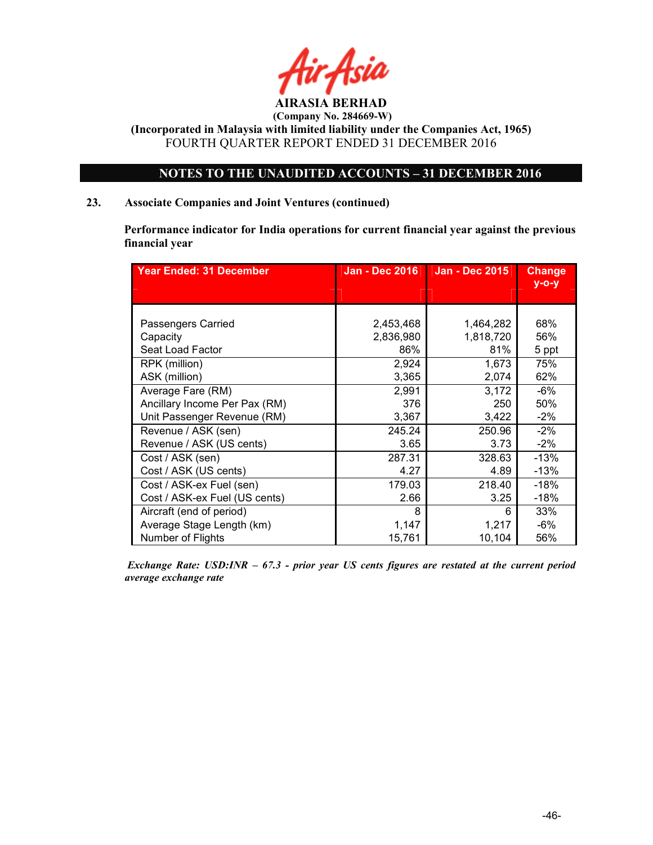

(Incorporated in Malaysia with limited liability under the Companies Act, 1965) FOURTH QUARTER REPORT ENDED 31 DECEMBER 2016

### NOTES TO THE UNAUDITED ACCOUNTS – 31 DECEMBER 2016

### 23. Associate Companies and Joint Ventures (continued)

Performance indicator for India operations for current financial year against the previous financial year

| <b>Year Ended: 31 December</b> | <b>Jan - Dec 2016</b> | <b>Jan - Dec 2015</b> | <b>Change</b><br>$y$ -o-y |
|--------------------------------|-----------------------|-----------------------|---------------------------|
|                                |                       |                       |                           |
|                                |                       |                       |                           |
| Passengers Carried             | 2,453,468             | 1,464,282             | 68%                       |
| Capacity                       | 2,836,980             | 1,818,720             | 56%                       |
| Seat Load Factor               | 86%                   | 81%                   | 5 ppt                     |
| RPK (million)                  | 2,924                 | 1,673                 | 75%                       |
| ASK (million)                  | 3,365                 | 2,074                 | 62%                       |
| Average Fare (RM)              | 2,991                 | 3,172                 | $-6%$                     |
| Ancillary Income Per Pax (RM)  | 376                   | 250                   | 50%                       |
| Unit Passenger Revenue (RM)    | 3,367                 | 3,422                 | $-2%$                     |
| Revenue / ASK (sen)            | 245.24                | 250.96                | $-2\%$                    |
| Revenue / ASK (US cents)       | 3.65                  | 3.73                  | $-2\%$                    |
| Cost / ASK (sen)               | 287.31                | 328.63                | $-13%$                    |
| Cost / ASK (US cents)          | 4.27                  | 4.89                  | $-13%$                    |
| Cost / ASK-ex Fuel (sen)       | 179.03                | 218.40                | -18%                      |
| Cost / ASK-ex Fuel (US cents)  | 2.66                  | 3.25                  | $-18%$                    |
| Aircraft (end of period)       | 8                     | 6                     | 33%                       |
| Average Stage Length (km)      | 1,147                 | 1,217                 | -6%                       |
| Number of Flights              | 15,761                | 10,104                | 56%                       |

Exchange Rate: USD: INR  $-67.3$  - prior year US cents figures are restated at the current period average exchange rate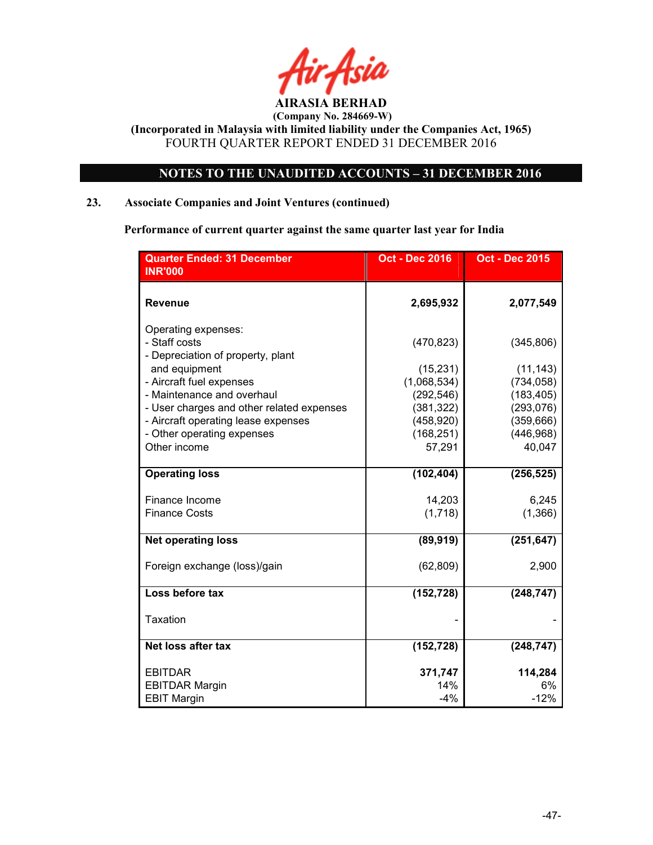

### NOTES TO THE UNAUDITED ACCOUNTS – 31 DECEMBER 2016

### 23. Associate Companies and Joint Ventures (continued)

Performance of current quarter against the same quarter last year for India

| <b>Quarter Ended: 31 December</b>                                              | <b>Oct - Dec 2016</b>    | <b>Oct - Dec 2015</b>   |
|--------------------------------------------------------------------------------|--------------------------|-------------------------|
| <b>INR'000</b>                                                                 |                          |                         |
| <b>Revenue</b>                                                                 | 2,695,932                | 2,077,549               |
| Operating expenses:<br>- Staff costs                                           | (470, 823)               | (345, 806)              |
| - Depreciation of property, plant<br>and equipment<br>- Aircraft fuel expenses | (15, 231)<br>(1,068,534) | (11, 143)<br>(734, 058) |
| - Maintenance and overhaul                                                     | (292, 546)               | (183, 405)              |
| - User charges and other related expenses                                      | (381, 322)               | (293, 076)              |
| - Aircraft operating lease expenses                                            | (458, 920)               | (359, 666)              |
| - Other operating expenses                                                     | (168, 251)               | (446, 968)              |
| Other income                                                                   | 57,291                   | 40,047                  |
| <b>Operating loss</b>                                                          | (102, 404)               | (256, 525)              |
| Finance Income                                                                 | 14,203                   | 6,245                   |
| <b>Finance Costs</b>                                                           | (1,718)                  | (1,366)                 |
| <b>Net operating loss</b>                                                      | (89, 919)                | (251, 647)              |
| Foreign exchange (loss)/gain                                                   | (62, 809)                | 2,900                   |
| Loss before tax                                                                | (152, 728)               | (248, 747)              |
| <b>Taxation</b>                                                                |                          |                         |
| Net loss after tax                                                             | (152, 728)               | (248, 747)              |
| <b>EBITDAR</b>                                                                 | 371,747                  | 114,284                 |
| <b>EBITDAR Margin</b>                                                          | 14%                      | 6%                      |
| <b>EBIT Margin</b>                                                             | $-4%$                    | $-12%$                  |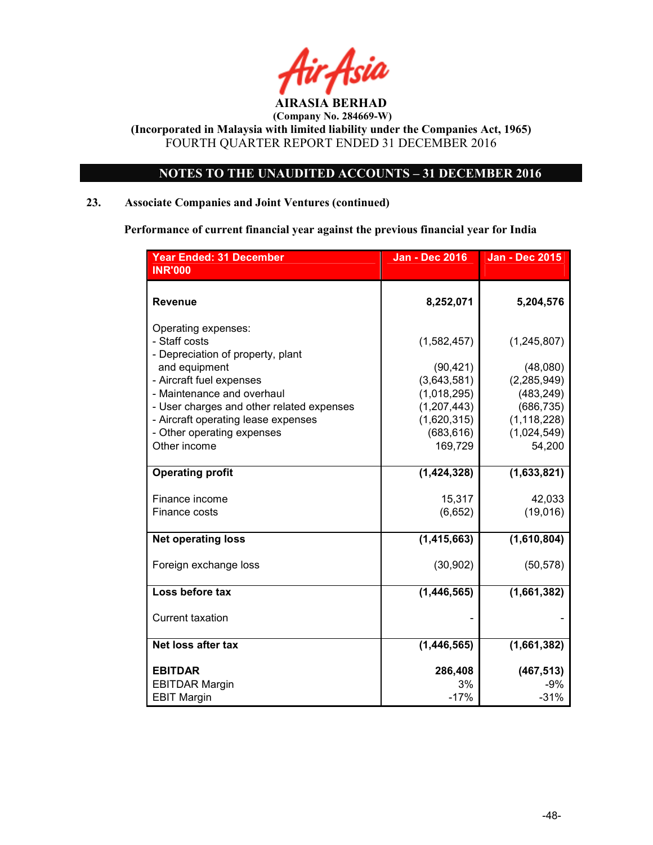

### NOTES TO THE UNAUDITED ACCOUNTS – 31 DECEMBER 2016

### 23. Associate Companies and Joint Ventures (continued)

Performance of current financial year against the previous financial year for India

| <b>Year Ended: 31 December</b>                                                                                                                               | <b>Jan - Dec 2016</b>                                                | <b>Jan - Dec 2015</b>                                              |
|--------------------------------------------------------------------------------------------------------------------------------------------------------------|----------------------------------------------------------------------|--------------------------------------------------------------------|
| <b>INR'000</b>                                                                                                                                               |                                                                      |                                                                    |
| <b>Revenue</b>                                                                                                                                               | 8,252,071                                                            | 5,204,576                                                          |
| Operating expenses:<br>- Staff costs<br>- Depreciation of property, plant                                                                                    | (1,582,457)                                                          | (1, 245, 807)                                                      |
| and equipment<br>- Aircraft fuel expenses                                                                                                                    | (90, 421)<br>(3,643,581)                                             | (48,080)<br>(2, 285, 949)                                          |
| - Maintenance and overhaul<br>- User charges and other related expenses<br>- Aircraft operating lease expenses<br>- Other operating expenses<br>Other income | (1,018,295)<br>(1, 207, 443)<br>(1,620,315)<br>(683, 616)<br>169,729 | (483, 249)<br>(686, 735)<br>(1, 118, 228)<br>(1,024,549)<br>54,200 |
| <b>Operating profit</b>                                                                                                                                      | (1,424,328)                                                          | (1,633,821)                                                        |
| Finance income<br>Finance costs                                                                                                                              | 15,317<br>(6,652)                                                    | 42,033<br>(19,016)                                                 |
| <b>Net operating loss</b>                                                                                                                                    | (1, 415, 663)                                                        | (1,610,804)                                                        |
| Foreign exchange loss                                                                                                                                        | (30, 902)                                                            | (50, 578)                                                          |
| Loss before tax                                                                                                                                              | (1,446,565)                                                          | (1,661,382)                                                        |
| <b>Current taxation</b>                                                                                                                                      |                                                                      |                                                                    |
| Net loss after tax                                                                                                                                           | (1, 446, 565)                                                        | (1,661,382)                                                        |
| <b>EBITDAR</b><br><b>EBITDAR Margin</b><br><b>EBIT Margin</b>                                                                                                | 286,408<br>3%<br>$-17%$                                              | (467, 513)<br>-9%<br>$-31%$                                        |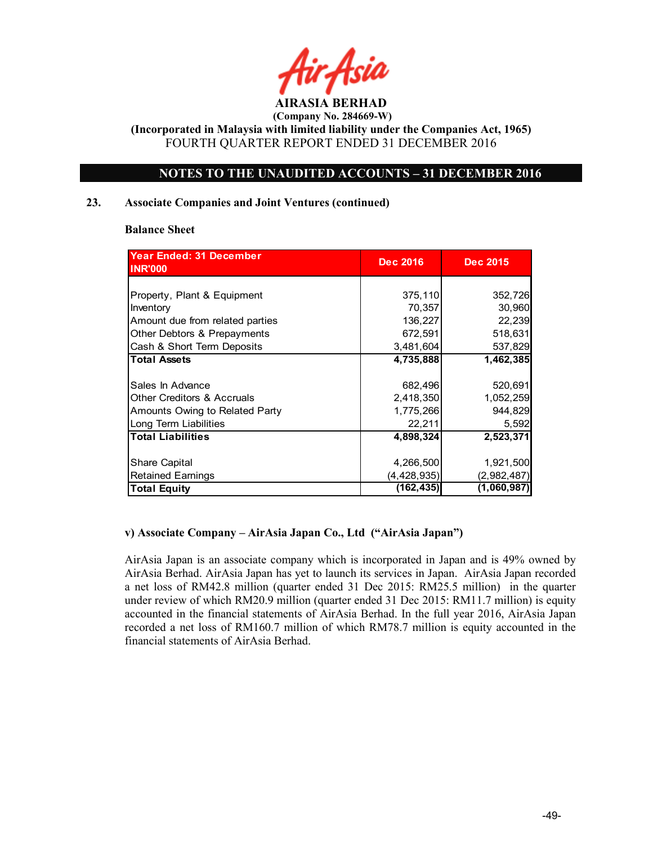

(Incorporated in Malaysia with limited liability under the Companies Act, 1965) FOURTH QUARTER REPORT ENDED 31 DECEMBER 2016

### NOTES TO THE UNAUDITED ACCOUNTS – 31 DECEMBER 2016

### 23. Associate Companies and Joint Ventures (continued)

### Balance Sheet

| <b>Year Ended: 31 December</b><br><b>INR'000</b> | <b>Dec 2016</b> | <b>Dec 2015</b> |
|--------------------------------------------------|-----------------|-----------------|
|                                                  |                 |                 |
| Property, Plant & Equipment                      | 375,110         | 352,726         |
| Inventory                                        | 70,357          | 30,960          |
| Amount due from related parties                  | 136,227         | 22,239          |
| Other Debtors & Prepayments                      | 672,591         | 518,631         |
| Cash & Short Term Deposits                       | 3,481,604       | 537,829         |
| <b>Total Assets</b>                              | 4,735,888       | 1,462,385       |
|                                                  |                 |                 |
| Sales In Advance                                 | 682,496         | 520,691         |
| <b>Other Creditors &amp; Accruals</b>            | 2,418,350       | 1,052,259       |
| Amounts Owing to Related Party                   | 1,775,266       | 944,829         |
| Long Term Liabilities                            | 22,211          | 5,592           |
| <b>Total Liabilities</b>                         | 4,898,324       | 2,523,371       |
|                                                  |                 |                 |
| Share Capital                                    | 4,266,500       | 1,921,500       |
| <b>Retained Earnings</b>                         | (4, 428, 935)   | (2,982,487)     |
| Total Equity                                     | (162, 435)      | (1,060,987)     |

### v) Associate Company – AirAsia Japan Co., Ltd ("AirAsia Japan")

AirAsia Japan is an associate company which is incorporated in Japan and is 49% owned by AirAsia Berhad. AirAsia Japan has yet to launch its services in Japan. AirAsia Japan recorded a net loss of RM42.8 million (quarter ended 31 Dec 2015: RM25.5 million) in the quarter under review of which RM20.9 million (quarter ended 31 Dec 2015: RM11.7 million) is equity accounted in the financial statements of AirAsia Berhad. In the full year 2016, AirAsia Japan recorded a net loss of RM160.7 million of which RM78.7 million is equity accounted in the financial statements of AirAsia Berhad.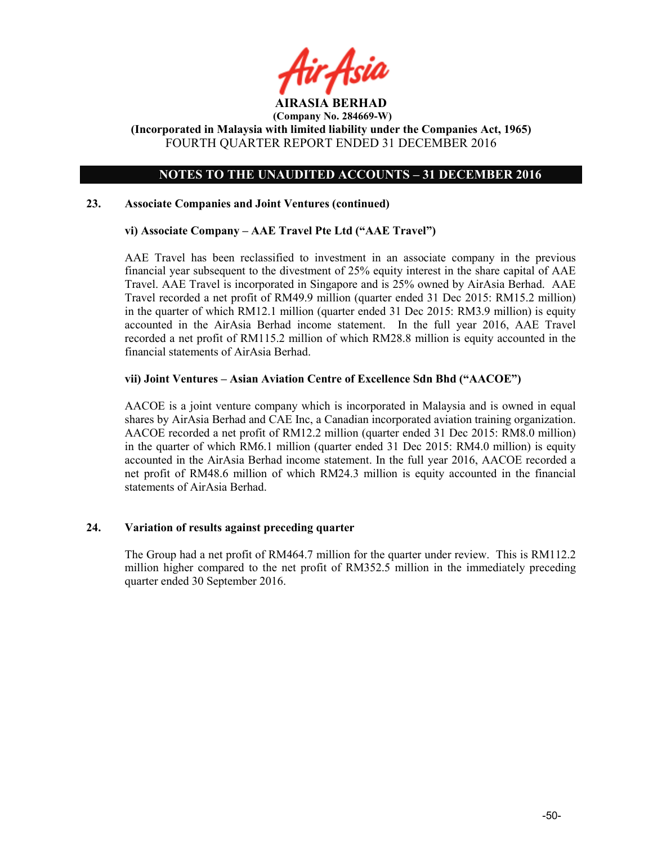

(Incorporated in Malaysia with limited liability under the Companies Act, 1965) FOURTH QUARTER REPORT ENDED 31 DECEMBER 2016

### NOTES TO THE UNAUDITED ACCOUNTS – 31 DECEMBER 2016

### 23. Associate Companies and Joint Ventures (continued)

### vi) Associate Company – AAE Travel Pte Ltd ("AAE Travel")

AAE Travel has been reclassified to investment in an associate company in the previous financial year subsequent to the divestment of 25% equity interest in the share capital of AAE Travel. AAE Travel is incorporated in Singapore and is 25% owned by AirAsia Berhad. AAE Travel recorded a net profit of RM49.9 million (quarter ended 31 Dec 2015: RM15.2 million) in the quarter of which RM12.1 million (quarter ended 31 Dec 2015: RM3.9 million) is equity accounted in the AirAsia Berhad income statement. In the full year 2016, AAE Travel recorded a net profit of RM115.2 million of which RM28.8 million is equity accounted in the financial statements of AirAsia Berhad.

### vii) Joint Ventures – Asian Aviation Centre of Excellence Sdn Bhd ("AACOE")

AACOE is a joint venture company which is incorporated in Malaysia and is owned in equal shares by AirAsia Berhad and CAE Inc, a Canadian incorporated aviation training organization. AACOE recorded a net profit of RM12.2 million (quarter ended 31 Dec 2015: RM8.0 million) in the quarter of which RM6.1 million (quarter ended 31 Dec 2015: RM4.0 million) is equity accounted in the AirAsia Berhad income statement. In the full year 2016, AACOE recorded a net profit of RM48.6 million of which RM24.3 million is equity accounted in the financial statements of AirAsia Berhad.

### 24. Variation of results against preceding quarter

The Group had a net profit of RM464.7 million for the quarter under review. This is RM112.2 million higher compared to the net profit of RM352.5 million in the immediately preceding quarter ended 30 September 2016.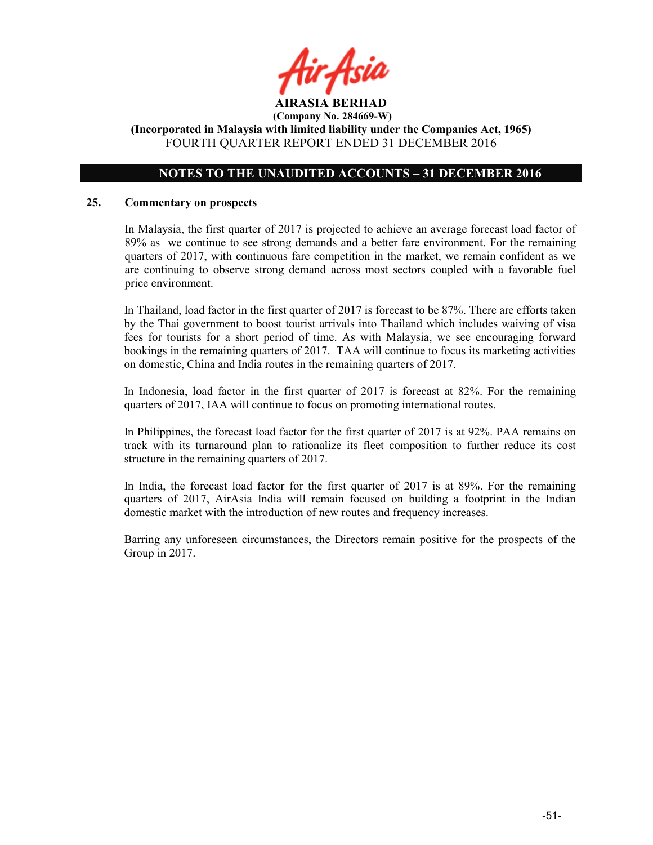

### NOTES TO THE UNAUDITED ACCOUNTS – 31 DECEMBER 2016

### 25. Commentary on prospects

In Malaysia, the first quarter of 2017 is projected to achieve an average forecast load factor of 89% as we continue to see strong demands and a better fare environment. For the remaining quarters of 2017, with continuous fare competition in the market, we remain confident as we are continuing to observe strong demand across most sectors coupled with a favorable fuel price environment.

In Thailand, load factor in the first quarter of 2017 is forecast to be 87%. There are efforts taken by the Thai government to boost tourist arrivals into Thailand which includes waiving of visa fees for tourists for a short period of time. As with Malaysia, we see encouraging forward bookings in the remaining quarters of 2017. TAA will continue to focus its marketing activities on domestic, China and India routes in the remaining quarters of 2017.

In Indonesia, load factor in the first quarter of 2017 is forecast at 82%. For the remaining quarters of 2017, IAA will continue to focus on promoting international routes.

In Philippines, the forecast load factor for the first quarter of 2017 is at 92%. PAA remains on track with its turnaround plan to rationalize its fleet composition to further reduce its cost structure in the remaining quarters of 2017.

In India, the forecast load factor for the first quarter of 2017 is at 89%. For the remaining quarters of 2017, AirAsia India will remain focused on building a footprint in the Indian domestic market with the introduction of new routes and frequency increases.

Barring any unforeseen circumstances, the Directors remain positive for the prospects of the Group in 2017.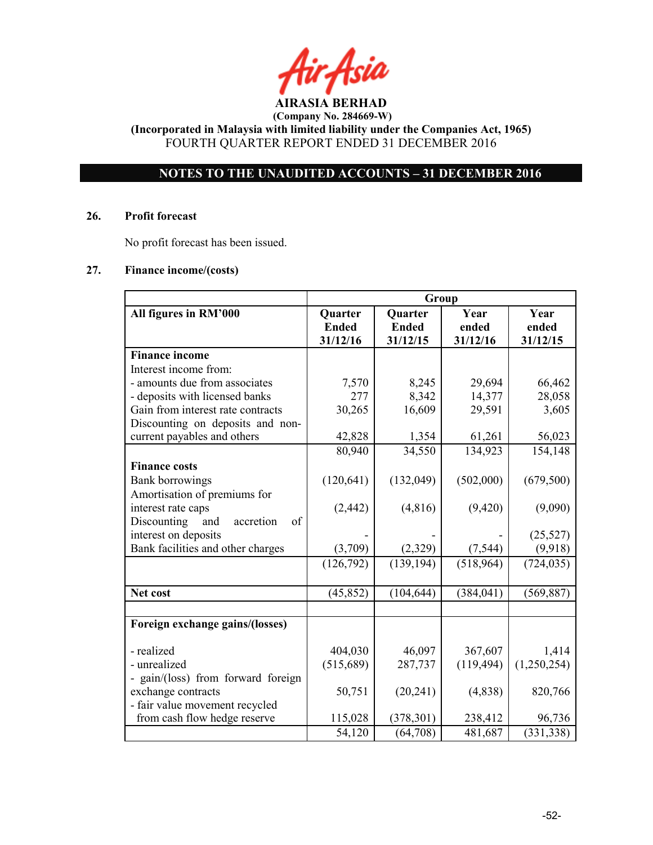AIRASIA BERHAD

(Incorporated in Malaysia with limited liability under the Companies Act, 1965) FOURTH QUARTER REPORT ENDED 31 DECEMBER 2016

### NOTES TO THE UNAUDITED ACCOUNTS – 31 DECEMBER 2016

### 26. Profit forecast

No profit forecast has been issued.

### 27. Finance income/(costs)

|                                       | Group        |              |            |             |
|---------------------------------------|--------------|--------------|------------|-------------|
| All figures in RM'000                 | Quarter      | Quarter      | Year       | Year        |
|                                       | <b>Ended</b> | <b>Ended</b> | ended      | ended       |
|                                       | 31/12/16     | 31/12/15     | 31/12/16   | 31/12/15    |
| <b>Finance income</b>                 |              |              |            |             |
| Interest income from:                 |              |              |            |             |
| - amounts due from associates         | 7,570        | 8,245        | 29,694     | 66,462      |
| - deposits with licensed banks        | 277          | 8,342        | 14,377     | 28,058      |
| Gain from interest rate contracts     | 30,265       | 16,609       | 29,591     | 3,605       |
| Discounting on deposits and non-      |              |              |            |             |
| current payables and others           | 42,828       | 1,354        | 61,261     | 56,023      |
|                                       | 80,940       | 34,550       | 134,923    | 154,148     |
| <b>Finance costs</b>                  |              |              |            |             |
| <b>Bank borrowings</b>                | (120, 641)   | (132,049)    | (502,000)  | (679, 500)  |
| Amortisation of premiums for          |              |              |            |             |
| interest rate caps                    | (2, 442)     | (4,816)      | (9, 420)   | (9,090)     |
| Discounting<br>accretion<br>of<br>and |              |              |            |             |
| interest on deposits                  |              |              |            | (25, 527)   |
| Bank facilities and other charges     | (3,709)      | (2,329)      | (7, 544)   | (9,918)     |
|                                       | (126, 792)   | (139, 194)   | (518,964)  | (724, 035)  |
|                                       |              |              |            |             |
| Net cost                              | (45, 852)    | (104, 644)   | (384, 041) | (569, 887)  |
|                                       |              |              |            |             |
| Foreign exchange gains/(losses)       |              |              |            |             |
| - realized                            | 404,030      | 46,097       | 367,607    | 1,414       |
| - unrealized                          | (515,689)    | 287,737      | (119, 494) | (1,250,254) |
| - gain/(loss) from forward foreign    |              |              |            |             |
| exchange contracts                    | 50,751       | (20, 241)    | (4,838)    | 820,766     |
| - fair value movement recycled        |              |              |            |             |
| from cash flow hedge reserve          | 115,028      | (378, 301)   | 238,412    | 96,736      |
|                                       | 54,120       | (64, 708)    | 481,687    | (331, 338)  |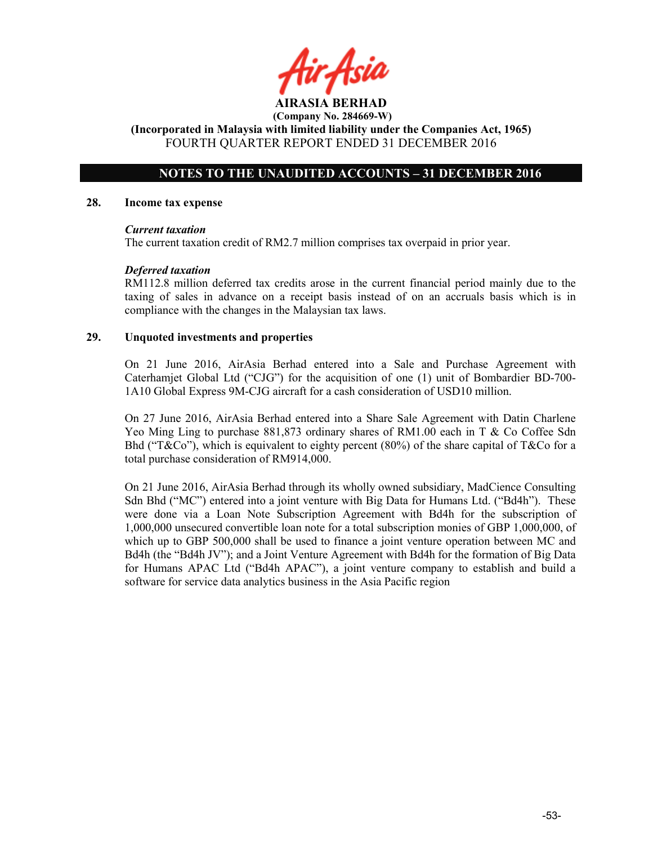AIRASIA BERHAD (Company No. 284669-W)

(Incorporated in Malaysia with limited liability under the Companies Act, 1965) FOURTH QUARTER REPORT ENDED 31 DECEMBER 2016

### NOTES TO THE UNAUDITED ACCOUNTS – 31 DECEMBER 2016

### 28. Income tax expense

### Current taxation

The current taxation credit of RM2.7 million comprises tax overpaid in prior year.

### Deferred taxation

RM112.8 million deferred tax credits arose in the current financial period mainly due to the taxing of sales in advance on a receipt basis instead of on an accruals basis which is in compliance with the changes in the Malaysian tax laws.

### 29. Unquoted investments and properties

On 21 June 2016, AirAsia Berhad entered into a Sale and Purchase Agreement with Caterhamjet Global Ltd ("CJG") for the acquisition of one (1) unit of Bombardier BD-700- 1A10 Global Express 9M-CJG aircraft for a cash consideration of USD10 million.

On 27 June 2016, AirAsia Berhad entered into a Share Sale Agreement with Datin Charlene Yeo Ming Ling to purchase 881,873 ordinary shares of RM1.00 each in T & Co Coffee Sdn Bhd ("T&Co"), which is equivalent to eighty percent (80%) of the share capital of T&Co for a total purchase consideration of RM914,000.

On 21 June 2016, AirAsia Berhad through its wholly owned subsidiary, MadCience Consulting Sdn Bhd ("MC") entered into a joint venture with Big Data for Humans Ltd. ("Bd4h"). These were done via a Loan Note Subscription Agreement with Bd4h for the subscription of 1,000,000 unsecured convertible loan note for a total subscription monies of GBP 1,000,000, of which up to GBP 500,000 shall be used to finance a joint venture operation between MC and Bd4h (the "Bd4h JV"); and a Joint Venture Agreement with Bd4h for the formation of Big Data for Humans APAC Ltd ("Bd4h APAC"), a joint venture company to establish and build a software for service data analytics business in the Asia Pacific region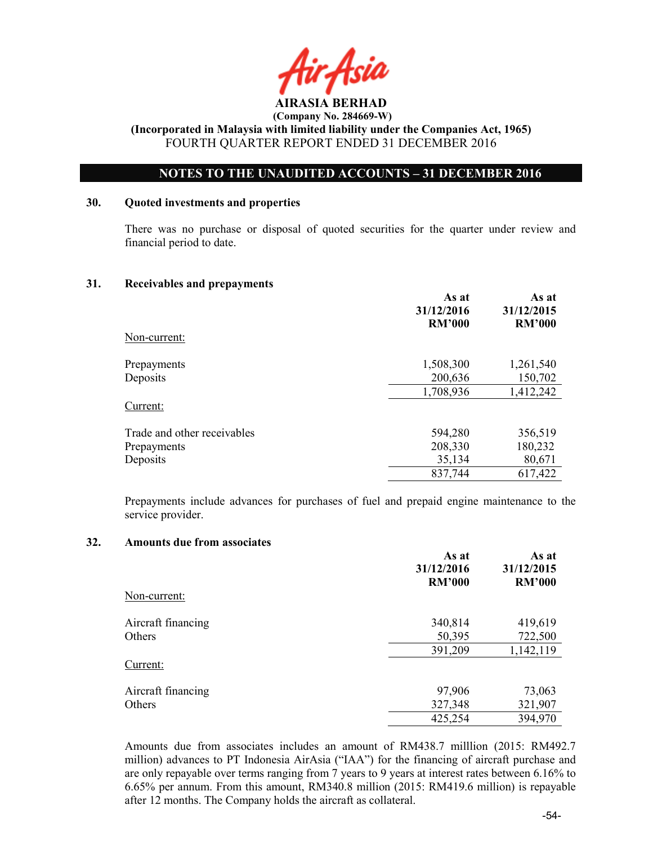

### NOTES TO THE UNAUDITED ACCOUNTS – 31 DECEMBER 2016

### 30. Quoted investments and properties

There was no purchase or disposal of quoted securities for the quarter under review and financial period to date.

### 31. Receivables and prepayments

|                             | As at<br>31/12/2016<br><b>RM'000</b> | As at<br>31/12/2015<br><b>RM'000</b> |
|-----------------------------|--------------------------------------|--------------------------------------|
| Non-current:                |                                      |                                      |
| Prepayments                 | 1,508,300                            | 1,261,540                            |
| Deposits                    | 200,636                              | 150,702                              |
|                             | 1,708,936                            | 1,412,242                            |
| Current:                    |                                      |                                      |
| Trade and other receivables | 594,280                              | 356,519                              |
| Prepayments                 | 208,330                              | 180,232                              |
| Deposits                    | 35,134                               | 80,671                               |
|                             | 837,744                              | 617,422                              |

Prepayments include advances for purchases of fuel and prepaid engine maintenance to the service provider.

### 32. Amounts due from associates

|                    | As at<br>31/12/2016<br><b>RM'000</b> | As at<br>31/12/2015<br><b>RM'000</b> |
|--------------------|--------------------------------------|--------------------------------------|
| Non-current:       |                                      |                                      |
| Aircraft financing | 340,814                              | 419,619                              |
| Others             | 50,395                               | 722,500                              |
|                    | 391,209                              | 1,142,119                            |
| Current:           |                                      |                                      |
| Aircraft financing | 97,906                               | 73,063                               |
| Others             | 327,348                              | 321,907                              |
|                    | 425,254                              | 394,970                              |

Amounts due from associates includes an amount of RM438.7 milllion (2015: RM492.7 million) advances to PT Indonesia AirAsia ("IAA") for the financing of aircraft purchase and are only repayable over terms ranging from 7 years to 9 years at interest rates between 6.16% to 6.65% per annum. From this amount, RM340.8 million (2015: RM419.6 million) is repayable after 12 months. The Company holds the aircraft as collateral.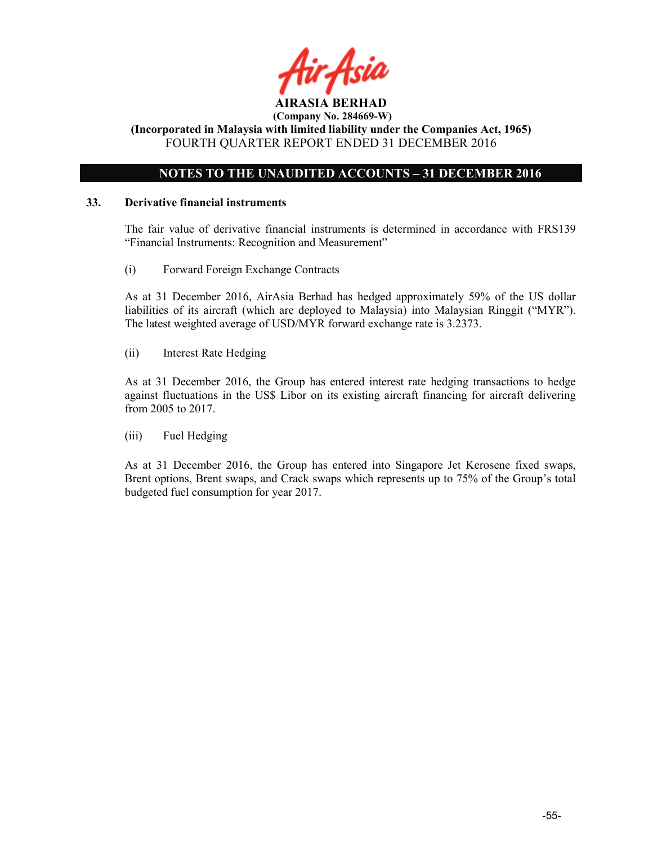

### NOTES TO THE UNAUDITED ACCOUNTS – 31 DECEMBER 2016

### 33. Derivative financial instruments

The fair value of derivative financial instruments is determined in accordance with FRS139 "Financial Instruments: Recognition and Measurement"

(i) Forward Foreign Exchange Contracts

As at 31 December 2016, AirAsia Berhad has hedged approximately 59% of the US dollar liabilities of its aircraft (which are deployed to Malaysia) into Malaysian Ringgit ("MYR"). The latest weighted average of USD/MYR forward exchange rate is 3.2373.

(ii) Interest Rate Hedging

As at 31 December 2016, the Group has entered interest rate hedging transactions to hedge against fluctuations in the US\$ Libor on its existing aircraft financing for aircraft delivering from 2005 to 2017.

(iii) Fuel Hedging

As at 31 December 2016, the Group has entered into Singapore Jet Kerosene fixed swaps, Brent options, Brent swaps, and Crack swaps which represents up to 75% of the Group's total budgeted fuel consumption for year 2017.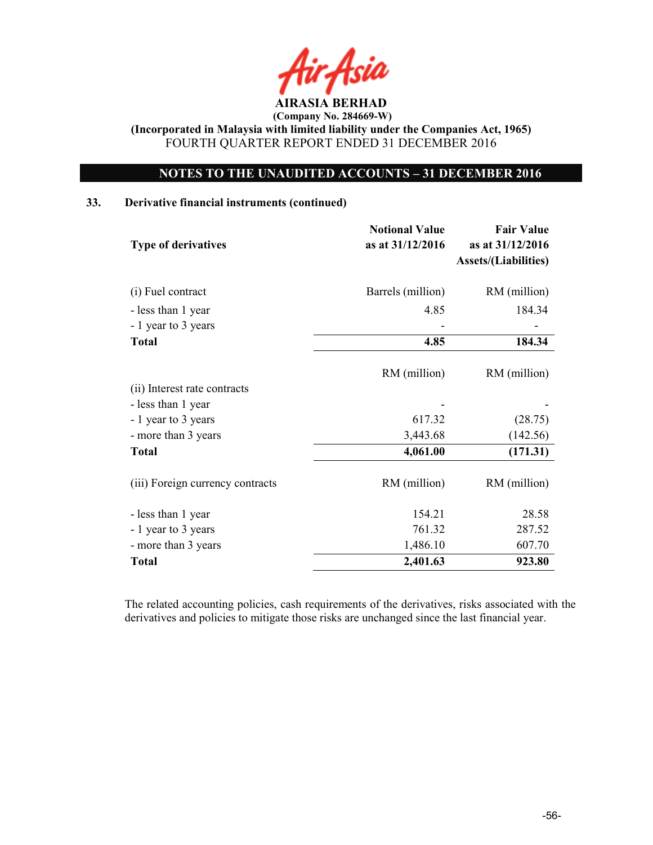

### NOTES TO THE UNAUDITED ACCOUNTS – 31 DECEMBER 2016

### 33. Derivative financial instruments (continued)

| <b>Type of derivatives</b>       | <b>Notional Value</b><br>as at 31/12/2016 | <b>Fair Value</b><br>as at 31/12/2016<br><b>Assets/(Liabilities)</b> |
|----------------------------------|-------------------------------------------|----------------------------------------------------------------------|
| (i) Fuel contract                | Barrels (million)                         | RM (million)                                                         |
| - less than 1 year               | 4.85                                      | 184.34                                                               |
| - 1 year to 3 years              |                                           |                                                                      |
| <b>Total</b>                     | 4.85                                      | 184.34                                                               |
|                                  | RM (million)                              | RM (million)                                                         |
| (ii) Interest rate contracts     |                                           |                                                                      |
| - less than 1 year               |                                           |                                                                      |
| - 1 year to 3 years              | 617.32                                    | (28.75)                                                              |
| - more than 3 years              | 3,443.68                                  | (142.56)                                                             |
| <b>Total</b>                     | 4,061.00                                  | (171.31)                                                             |
| (iii) Foreign currency contracts | RM (million)                              | RM (million)                                                         |
| - less than 1 year               | 154.21                                    | 28.58                                                                |
| - 1 year to 3 years              | 761.32                                    | 287.52                                                               |
| - more than 3 years              | 1,486.10                                  | 607.70                                                               |
| <b>Total</b>                     | 2,401.63                                  | 923.80                                                               |

The related accounting policies, cash requirements of the derivatives, risks associated with the derivatives and policies to mitigate those risks are unchanged since the last financial year.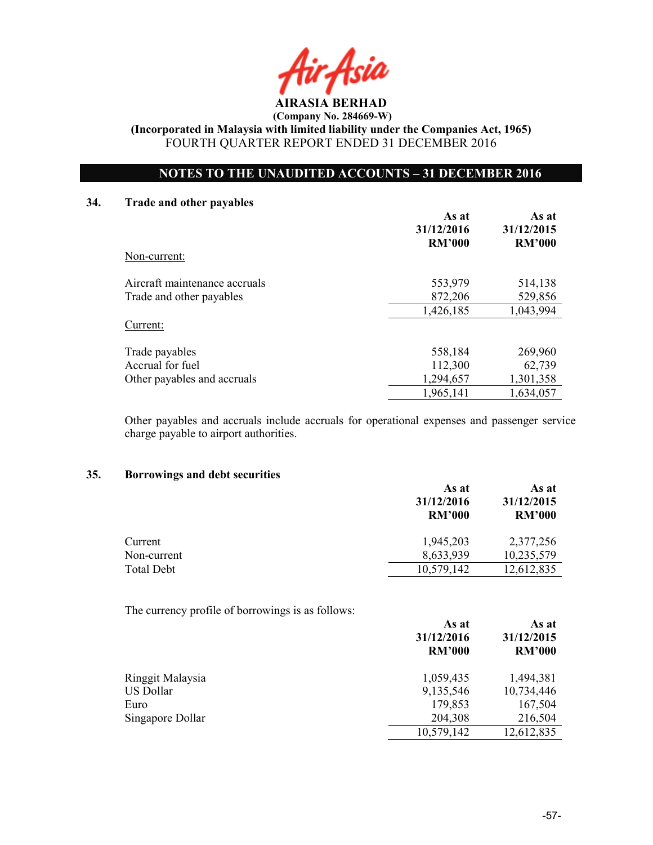AIRASIA BERHAD

(Incorporated in Malaysia with limited liability under the Companies Act, 1965) FOURTH QUARTER REPORT ENDED 31 DECEMBER 2016

### NOTES TO THE UNAUDITED ACCOUNTS – 31 DECEMBER 2016

### 34. Trade and other payables

|                               | As at<br>31/12/2016<br><b>RM'000</b> | As at<br>31/12/2015<br><b>RM'000</b> |
|-------------------------------|--------------------------------------|--------------------------------------|
| Non-current:                  |                                      |                                      |
| Aircraft maintenance accruals | 553,979                              | 514,138                              |
| Trade and other payables      | 872,206                              | 529,856                              |
|                               | 1,426,185                            | 1,043,994                            |
| Current:                      |                                      |                                      |
| Trade payables                | 558,184                              | 269,960                              |
| Accrual for fuel              | 112,300                              | 62,739                               |
| Other payables and accruals   | 1,294,657                            | 1,301,358                            |
|                               | 1,965,141                            | 1,634,057                            |

Other payables and accruals include accruals for operational expenses and passenger service charge payable to airport authorities.

### 35. Borrowings and debt securities

|                   | As at<br>31/12/2016<br><b>RM'000</b> | As at<br>31/12/2015<br><b>RM'000</b> |  |
|-------------------|--------------------------------------|--------------------------------------|--|
| Current           | 1,945,203                            | 2,377,256                            |  |
| Non-current       | 8,633,939                            | 10,235,579                           |  |
| <b>Total Debt</b> | 10,579,142                           | 12,612,835                           |  |

The currency profile of borrowings is as follows:

|                  | As at<br>31/12/2016<br><b>RM'000</b> | As at<br>31/12/2015<br><b>RM'000</b> |
|------------------|--------------------------------------|--------------------------------------|
| Ringgit Malaysia | 1,059,435                            | 1,494,381                            |
| US Dollar        | 9,135,546                            | 10,734,446                           |
| Euro             | 179,853                              | 167,504                              |
| Singapore Dollar | 204,308                              | 216,504                              |
|                  | 10,579,142                           | 12,612,835                           |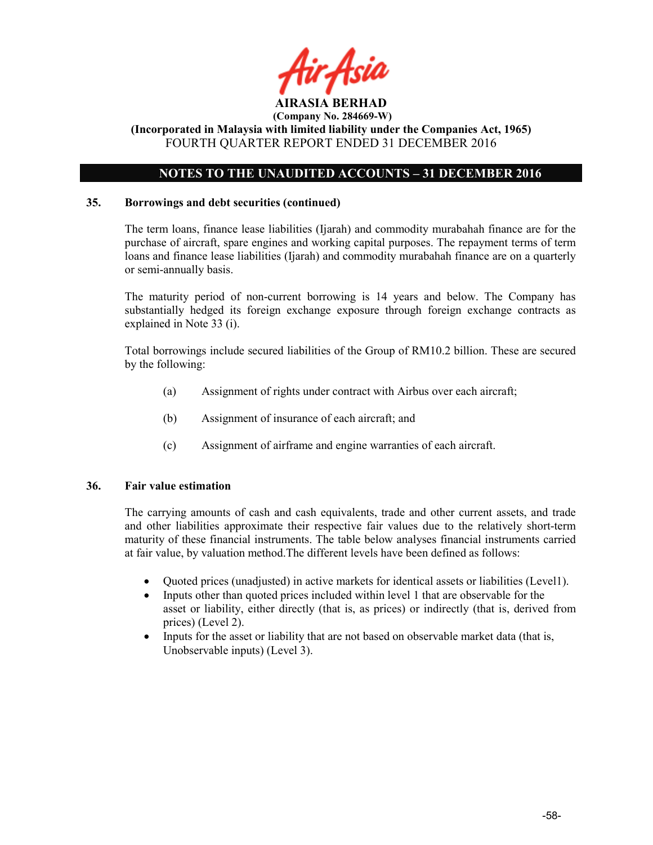

### NOTES TO THE UNAUDITED ACCOUNTS – 31 DECEMBER 2016

### 35. Borrowings and debt securities (continued)

The term loans, finance lease liabilities (Ijarah) and commodity murabahah finance are for the purchase of aircraft, spare engines and working capital purposes. The repayment terms of term loans and finance lease liabilities (Ijarah) and commodity murabahah finance are on a quarterly or semi-annually basis.

The maturity period of non-current borrowing is 14 years and below. The Company has substantially hedged its foreign exchange exposure through foreign exchange contracts as explained in Note 33 (i).

Total borrowings include secured liabilities of the Group of RM10.2 billion. These are secured by the following:

- (a) Assignment of rights under contract with Airbus over each aircraft;
- (b) Assignment of insurance of each aircraft; and
- (c) Assignment of airframe and engine warranties of each aircraft.

### 36. Fair value estimation

The carrying amounts of cash and cash equivalents, trade and other current assets, and trade and other liabilities approximate their respective fair values due to the relatively short-term maturity of these financial instruments. The table below analyses financial instruments carried at fair value, by valuation method.The different levels have been defined as follows:

- Quoted prices (unadjusted) in active markets for identical assets or liabilities (Level1).
- Inputs other than quoted prices included within level 1 that are observable for the asset or liability, either directly (that is, as prices) or indirectly (that is, derived from prices) (Level 2).
- Inputs for the asset or liability that are not based on observable market data (that is, Unobservable inputs) (Level 3).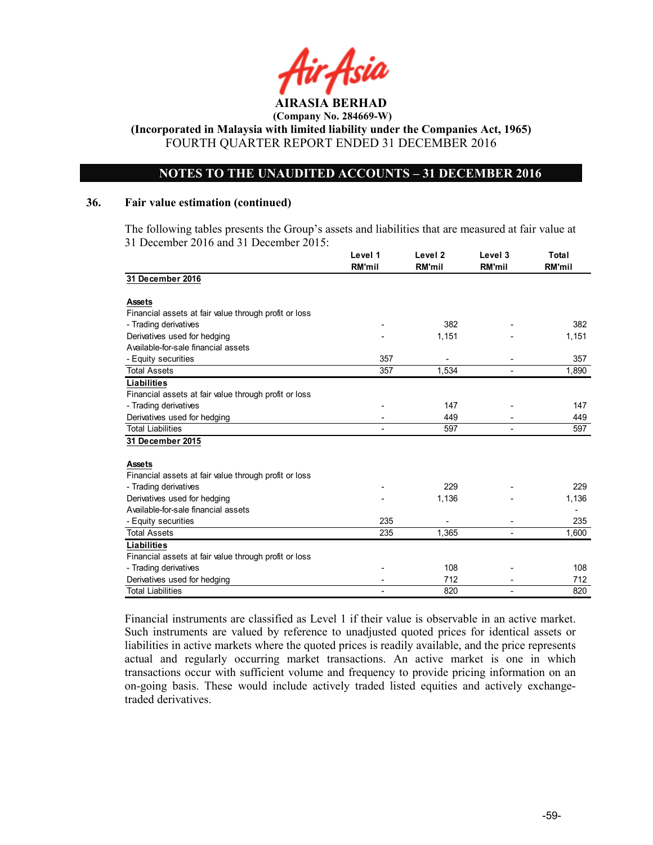

### NOTES TO THE UNAUDITED ACCOUNTS – 31 DECEMBER 2016

### 36. Fair value estimation (continued)

The following tables presents the Group's assets and liabilities that are measured at fair value at 31 December 2016 and 31 December 2015:

|                                                       | Level 1<br><b>RM'mil</b> | Level <sub>2</sub><br><b>RM'mil</b> | Level 3<br><b>RM'mil</b> | Total<br>RM'mil |
|-------------------------------------------------------|--------------------------|-------------------------------------|--------------------------|-----------------|
| 31 December 2016                                      |                          |                                     |                          |                 |
|                                                       |                          |                                     |                          |                 |
| <b>Assets</b>                                         |                          |                                     |                          |                 |
| Financial assets at fair value through profit or loss |                          |                                     |                          |                 |
| - Trading derivatives                                 |                          | 382                                 |                          | 382             |
| Derivatives used for hedging                          |                          | 1,151                               |                          | 1,151           |
| Available-for-sale financial assets                   |                          |                                     |                          |                 |
| - Equity securities                                   | 357                      |                                     |                          | 357             |
| <b>Total Assets</b>                                   | 357                      | 1,534                               |                          | 1,890           |
| <b>Liabilities</b>                                    |                          |                                     |                          |                 |
| Financial assets at fair value through profit or loss |                          |                                     |                          |                 |
| - Trading derivatives                                 |                          | 147                                 |                          | 147             |
| Derivatives used for hedging                          |                          | 449                                 |                          | 449             |
| <b>Total Liabilities</b>                              |                          | 597                                 |                          | 597             |
| 31 December 2015                                      |                          |                                     |                          |                 |
| <b>Assets</b>                                         |                          |                                     |                          |                 |
| Financial assets at fair value through profit or loss |                          |                                     |                          |                 |
| - Trading derivatives                                 |                          | 229                                 |                          | 229             |
| Derivatives used for hedging                          |                          | 1,136                               |                          | 1,136           |
| Available-for-sale financial assets                   |                          |                                     |                          |                 |
| - Equity securities                                   | 235                      |                                     |                          | 235             |
| <b>Total Assets</b>                                   | 235                      | 1,365                               |                          | 1.600           |
| <b>Liabilities</b>                                    |                          |                                     |                          |                 |
| Financial assets at fair value through profit or loss |                          |                                     |                          |                 |
| - Trading derivatives                                 |                          | 108                                 |                          | 108             |
| Derivatives used for hedging                          |                          | 712                                 |                          | 712             |
| <b>Total Liabilities</b>                              |                          | 820                                 |                          | 820             |

Financial instruments are classified as Level 1 if their value is observable in an active market. Such instruments are valued by reference to unadjusted quoted prices for identical assets or liabilities in active markets where the quoted prices is readily available, and the price represents actual and regularly occurring market transactions. An active market is one in which transactions occur with sufficient volume and frequency to provide pricing information on an on-going basis. These would include actively traded listed equities and actively exchangetraded derivatives.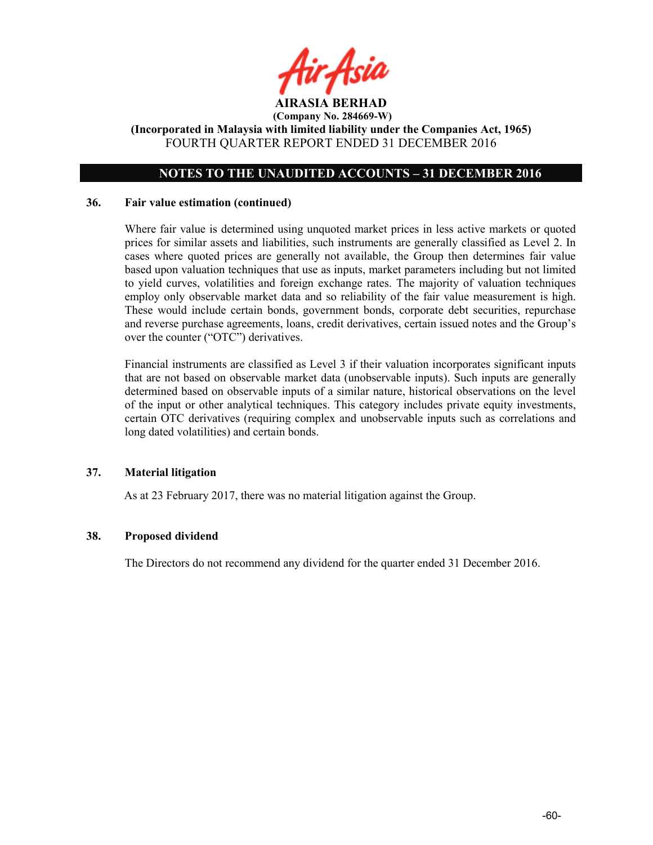

### NOTES TO THE UNAUDITED ACCOUNTS – 31 DECEMBER 2016

### 36. Fair value estimation (continued)

Where fair value is determined using unquoted market prices in less active markets or quoted prices for similar assets and liabilities, such instruments are generally classified as Level 2. In cases where quoted prices are generally not available, the Group then determines fair value based upon valuation techniques that use as inputs, market parameters including but not limited to yield curves, volatilities and foreign exchange rates. The majority of valuation techniques employ only observable market data and so reliability of the fair value measurement is high. These would include certain bonds, government bonds, corporate debt securities, repurchase and reverse purchase agreements, loans, credit derivatives, certain issued notes and the Group's over the counter ("OTC") derivatives.

Financial instruments are classified as Level 3 if their valuation incorporates significant inputs that are not based on observable market data (unobservable inputs). Such inputs are generally determined based on observable inputs of a similar nature, historical observations on the level of the input or other analytical techniques. This category includes private equity investments, certain OTC derivatives (requiring complex and unobservable inputs such as correlations and long dated volatilities) and certain bonds.

### 37. Material litigation

As at 23 February 2017, there was no material litigation against the Group.

### 38. Proposed dividend

The Directors do not recommend any dividend for the quarter ended 31 December 2016.